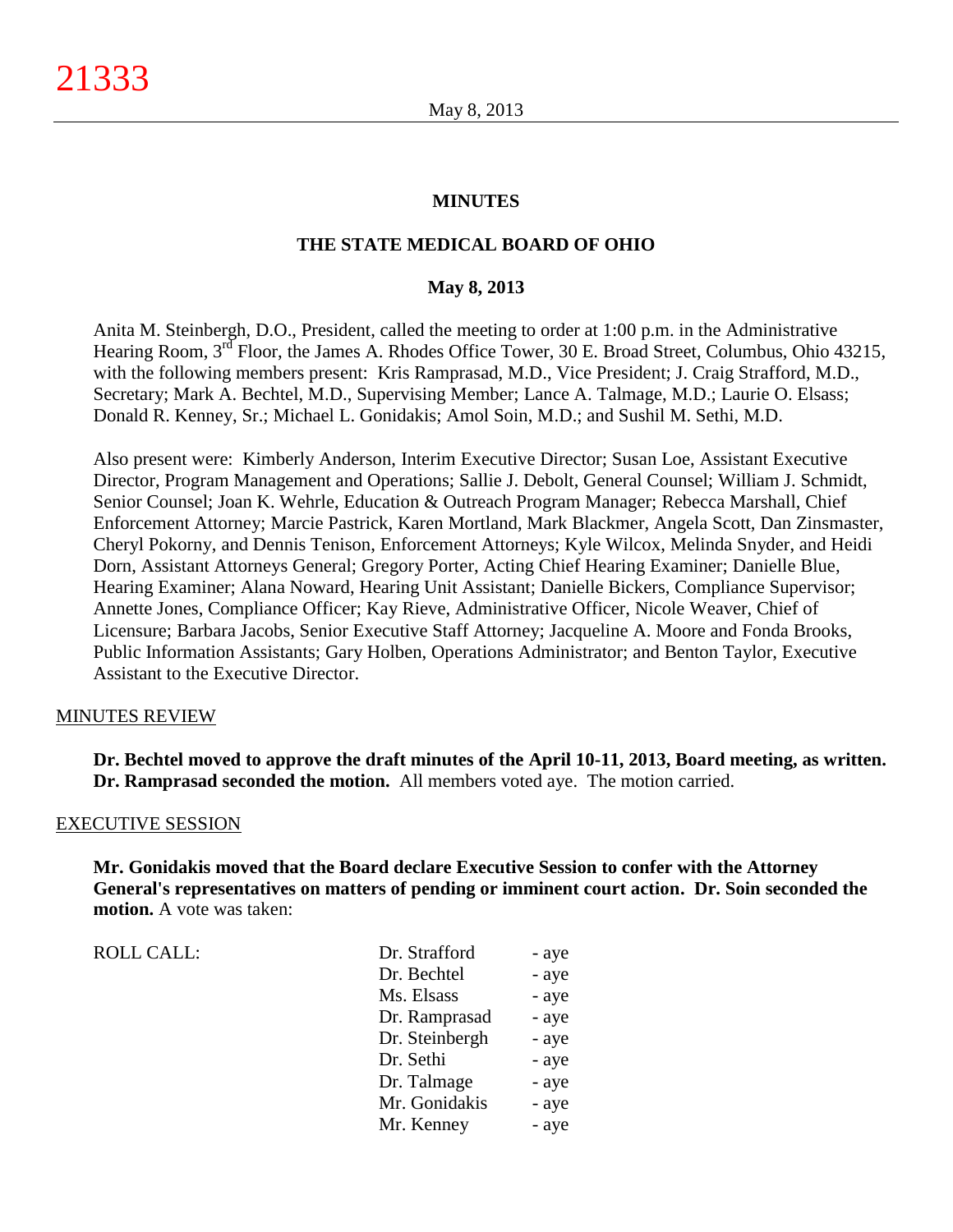#### **MINUTES**

## **THE STATE MEDICAL BOARD OF OHIO**

#### **May 8, 2013**

Anita M. Steinbergh, D.O., President, called the meeting to order at 1:00 p.m. in the Administrative Hearing Room, 3<sup>rd</sup> Floor, the James A. Rhodes Office Tower, 30 E. Broad Street, Columbus, Ohio 43215, with the following members present: Kris Ramprasad, M.D., Vice President; J. Craig Strafford, M.D., Secretary; Mark A. Bechtel, M.D., Supervising Member; Lance A. Talmage, M.D.; Laurie O. Elsass; Donald R. Kenney, Sr.; Michael L. Gonidakis; Amol Soin, M.D.; and Sushil M. Sethi, M.D.

Also present were: Kimberly Anderson, Interim Executive Director; Susan Loe, Assistant Executive Director, Program Management and Operations; Sallie J. Debolt, General Counsel; William J. Schmidt, Senior Counsel; Joan K. Wehrle, Education & Outreach Program Manager; Rebecca Marshall, Chief Enforcement Attorney; Marcie Pastrick, Karen Mortland, Mark Blackmer, Angela Scott, Dan Zinsmaster, Cheryl Pokorny, and Dennis Tenison, Enforcement Attorneys; Kyle Wilcox, Melinda Snyder, and Heidi Dorn, Assistant Attorneys General; Gregory Porter, Acting Chief Hearing Examiner; Danielle Blue, Hearing Examiner; Alana Noward, Hearing Unit Assistant; Danielle Bickers, Compliance Supervisor; Annette Jones, Compliance Officer; Kay Rieve, Administrative Officer, Nicole Weaver, Chief of Licensure; Barbara Jacobs, Senior Executive Staff Attorney; Jacqueline A. Moore and Fonda Brooks, Public Information Assistants; Gary Holben, Operations Administrator; and Benton Taylor, Executive Assistant to the Executive Director.

#### MINUTES REVIEW

**Dr. Bechtel moved to approve the draft minutes of the April 10-11, 2013, Board meeting, as written. Dr. Ramprasad seconded the motion.** All members voted aye. The motion carried.

#### EXECUTIVE SESSION

**Mr. Gonidakis moved that the Board declare Executive Session to confer with the Attorney General's representatives on matters of pending or imminent court action. Dr. Soin seconded the motion.** A vote was taken:

| <b>ROLL CALL:</b> | Dr. Strafford  | - aye |
|-------------------|----------------|-------|
|                   | Dr. Bechtel    | - aye |
|                   | Ms. Elsass     | - aye |
|                   | Dr. Ramprasad  | - aye |
|                   | Dr. Steinbergh | - aye |
|                   | Dr. Sethi      | - aye |
|                   | Dr. Talmage    | - aye |
|                   | Mr. Gonidakis  | - aye |
|                   | Mr. Kenney     | - aye |
|                   |                |       |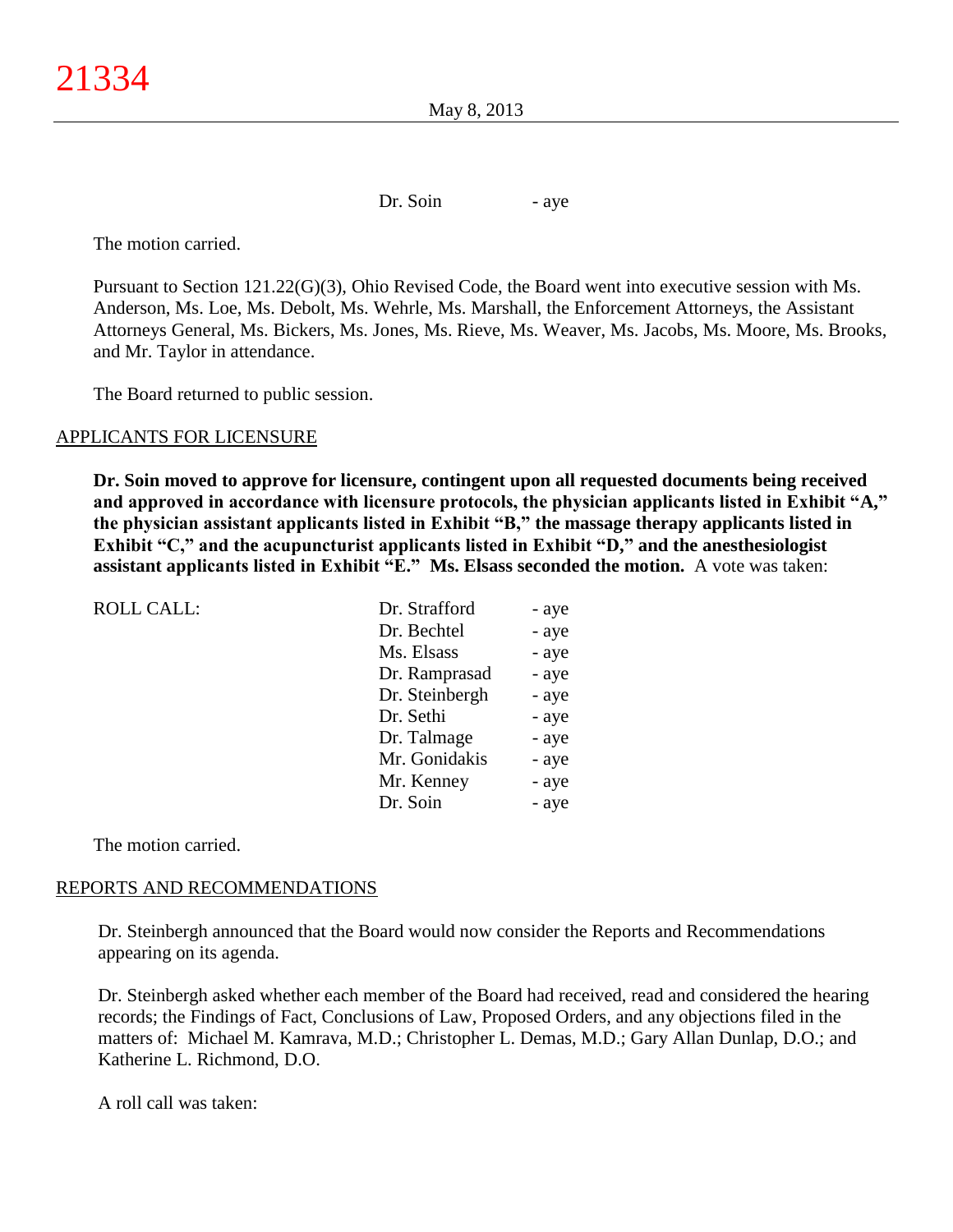May 8, 2013

Dr. Soin - aye

The motion carried.

Pursuant to Section 121.22(G)(3), Ohio Revised Code, the Board went into executive session with Ms. Anderson, Ms. Loe, Ms. Debolt, Ms. Wehrle, Ms. Marshall, the Enforcement Attorneys, the Assistant Attorneys General, Ms. Bickers, Ms. Jones, Ms. Rieve, Ms. Weaver, Ms. Jacobs, Ms. Moore, Ms. Brooks, and Mr. Taylor in attendance.

The Board returned to public session.

### APPLICANTS FOR LICENSURE

**Dr. Soin moved to approve for licensure, contingent upon all requested documents being received and approved in accordance with licensure protocols, the physician applicants listed in Exhibit "A," the physician assistant applicants listed in Exhibit "B," the massage therapy applicants listed in Exhibit "C," and the acupuncturist applicants listed in Exhibit "D," and the anesthesiologist assistant applicants listed in Exhibit "E." Ms. Elsass seconded the motion.** A vote was taken:

|                | - aye         |
|----------------|---------------|
| Dr. Bechtel    | - aye         |
| Ms. Elsass     | - aye         |
| Dr. Ramprasad  | - aye         |
| Dr. Steinbergh | - aye         |
| Dr. Sethi      | - aye         |
| Dr. Talmage    | - aye         |
| Mr. Gonidakis  | - aye         |
| Mr. Kenney     | - aye         |
| Dr. Soin       | - aye         |
|                | Dr. Strafford |

The motion carried.

# REPORTS AND RECOMMENDATIONS

Dr. Steinbergh announced that the Board would now consider the Reports and Recommendations appearing on its agenda.

Dr. Steinbergh asked whether each member of the Board had received, read and considered the hearing records; the Findings of Fact, Conclusions of Law, Proposed Orders, and any objections filed in the matters of: Michael M. Kamrava, M.D.; Christopher L. Demas, M.D.; Gary Allan Dunlap, D.O.; and Katherine L. Richmond, D.O.

A roll call was taken: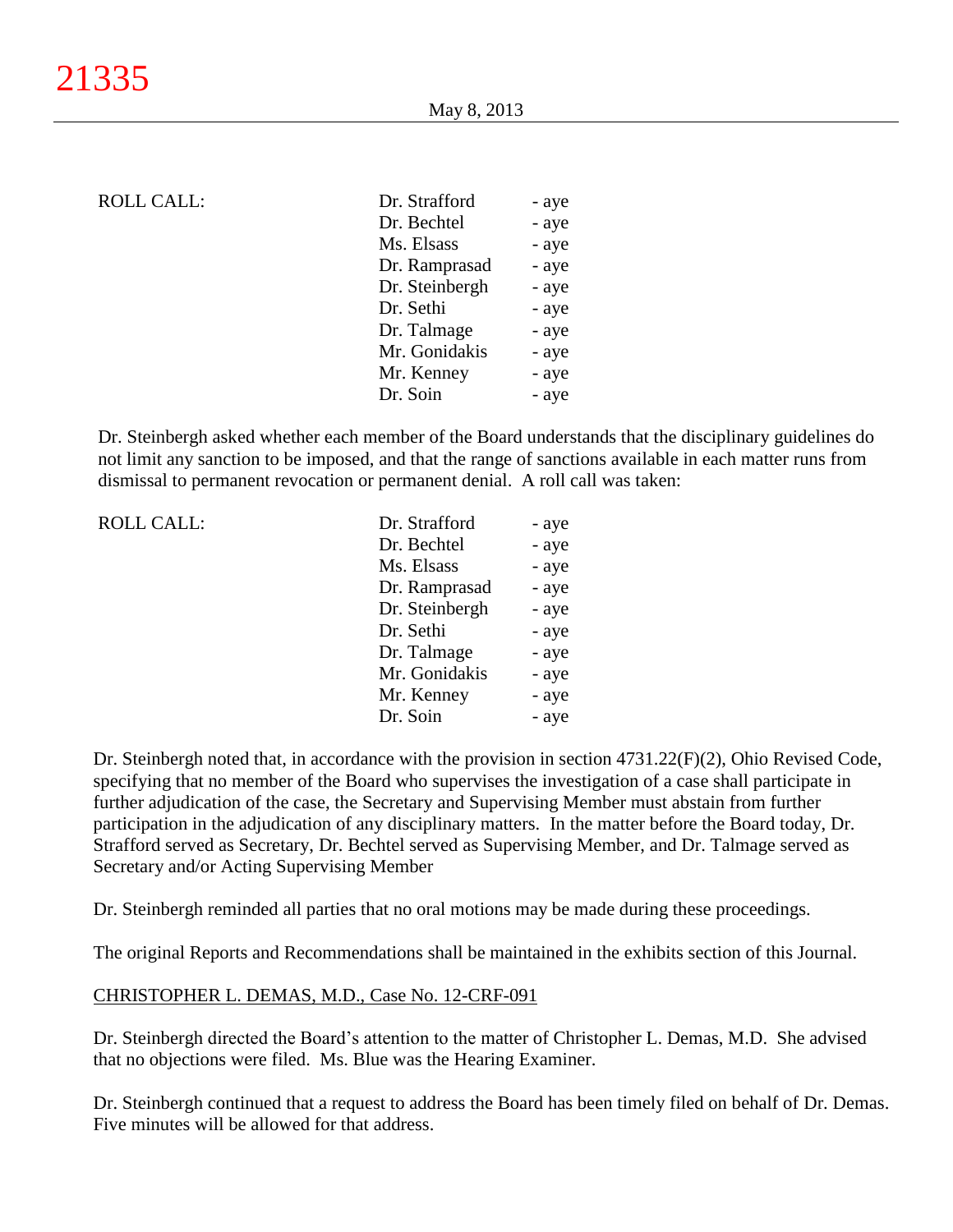| <b>ROLL CALL:</b> | Dr. Strafford  | - aye |
|-------------------|----------------|-------|
|                   | Dr. Bechtel    | - aye |
|                   | Ms. Elsass     | - aye |
|                   | Dr. Ramprasad  | - aye |
|                   | Dr. Steinbergh | - aye |
|                   | Dr. Sethi      | - aye |
|                   | Dr. Talmage    | - aye |
|                   | Mr. Gonidakis  | - aye |
|                   | Mr. Kenney     | - aye |
|                   | Dr. Soin       | - aye |
|                   |                |       |

Dr. Steinbergh asked whether each member of the Board understands that the disciplinary guidelines do not limit any sanction to be imposed, and that the range of sanctions available in each matter runs from dismissal to permanent revocation or permanent denial. A roll call was taken:

| <b>ROLL CALL:</b> | Dr. Strafford  | - aye |
|-------------------|----------------|-------|
|                   | Dr. Bechtel    | - aye |
|                   | Ms. Elsass     | - aye |
|                   | Dr. Ramprasad  | - aye |
|                   | Dr. Steinbergh | - aye |
|                   | Dr. Sethi      | - aye |
|                   | Dr. Talmage    | - aye |
|                   | Mr. Gonidakis  | - aye |
|                   | Mr. Kenney     | - aye |
|                   | Dr. Soin       | - aye |
|                   |                |       |

Dr. Steinbergh noted that, in accordance with the provision in section 4731.22(F)(2), Ohio Revised Code, specifying that no member of the Board who supervises the investigation of a case shall participate in further adjudication of the case, the Secretary and Supervising Member must abstain from further participation in the adjudication of any disciplinary matters. In the matter before the Board today, Dr. Strafford served as Secretary, Dr. Bechtel served as Supervising Member, and Dr. Talmage served as Secretary and/or Acting Supervising Member

Dr. Steinbergh reminded all parties that no oral motions may be made during these proceedings.

The original Reports and Recommendations shall be maintained in the exhibits section of this Journal.

## CHRISTOPHER L. DEMAS, M.D., Case No. 12-CRF-091

Dr. Steinbergh directed the Board's attention to the matter of Christopher L. Demas, M.D. She advised that no objections were filed. Ms. Blue was the Hearing Examiner.

Dr. Steinbergh continued that a request to address the Board has been timely filed on behalf of Dr. Demas. Five minutes will be allowed for that address.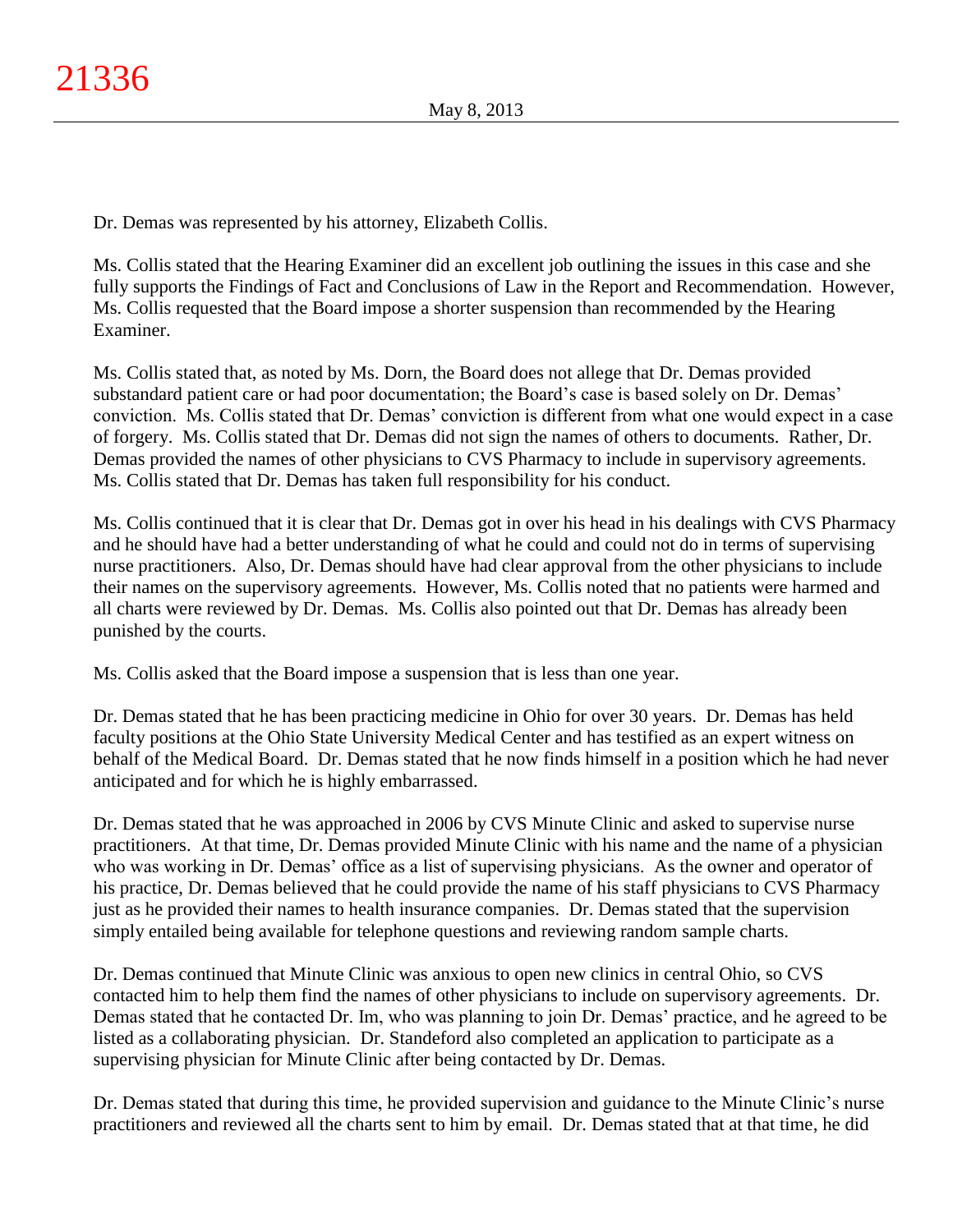Dr. Demas was represented by his attorney, Elizabeth Collis.

Ms. Collis stated that the Hearing Examiner did an excellent job outlining the issues in this case and she fully supports the Findings of Fact and Conclusions of Law in the Report and Recommendation. However, Ms. Collis requested that the Board impose a shorter suspension than recommended by the Hearing Examiner.

Ms. Collis stated that, as noted by Ms. Dorn, the Board does not allege that Dr. Demas provided substandard patient care or had poor documentation; the Board's case is based solely on Dr. Demas' conviction. Ms. Collis stated that Dr. Demas' conviction is different from what one would expect in a case of forgery. Ms. Collis stated that Dr. Demas did not sign the names of others to documents. Rather, Dr. Demas provided the names of other physicians to CVS Pharmacy to include in supervisory agreements. Ms. Collis stated that Dr. Demas has taken full responsibility for his conduct.

Ms. Collis continued that it is clear that Dr. Demas got in over his head in his dealings with CVS Pharmacy and he should have had a better understanding of what he could and could not do in terms of supervising nurse practitioners. Also, Dr. Demas should have had clear approval from the other physicians to include their names on the supervisory agreements. However, Ms. Collis noted that no patients were harmed and all charts were reviewed by Dr. Demas. Ms. Collis also pointed out that Dr. Demas has already been punished by the courts.

Ms. Collis asked that the Board impose a suspension that is less than one year.

Dr. Demas stated that he has been practicing medicine in Ohio for over 30 years. Dr. Demas has held faculty positions at the Ohio State University Medical Center and has testified as an expert witness on behalf of the Medical Board. Dr. Demas stated that he now finds himself in a position which he had never anticipated and for which he is highly embarrassed.

Dr. Demas stated that he was approached in 2006 by CVS Minute Clinic and asked to supervise nurse practitioners. At that time, Dr. Demas provided Minute Clinic with his name and the name of a physician who was working in Dr. Demas' office as a list of supervising physicians. As the owner and operator of his practice, Dr. Demas believed that he could provide the name of his staff physicians to CVS Pharmacy just as he provided their names to health insurance companies. Dr. Demas stated that the supervision simply entailed being available for telephone questions and reviewing random sample charts.

Dr. Demas continued that Minute Clinic was anxious to open new clinics in central Ohio, so CVS contacted him to help them find the names of other physicians to include on supervisory agreements. Dr. Demas stated that he contacted Dr. Im, who was planning to join Dr. Demas' practice, and he agreed to be listed as a collaborating physician. Dr. Standeford also completed an application to participate as a supervising physician for Minute Clinic after being contacted by Dr. Demas.

Dr. Demas stated that during this time, he provided supervision and guidance to the Minute Clinic's nurse practitioners and reviewed all the charts sent to him by email. Dr. Demas stated that at that time, he did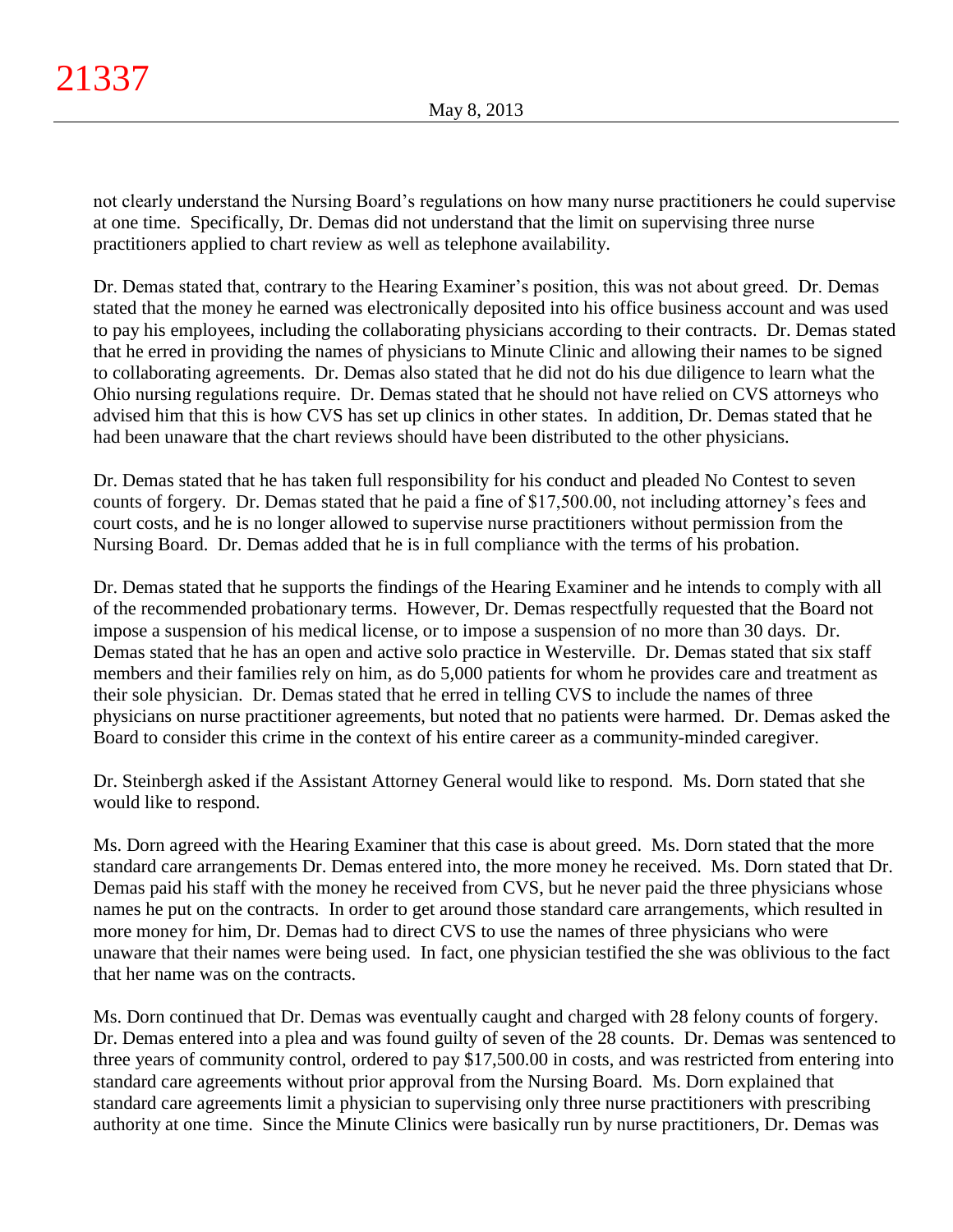not clearly understand the Nursing Board's regulations on how many nurse practitioners he could supervise at one time. Specifically, Dr. Demas did not understand that the limit on supervising three nurse practitioners applied to chart review as well as telephone availability.

Dr. Demas stated that, contrary to the Hearing Examiner's position, this was not about greed. Dr. Demas stated that the money he earned was electronically deposited into his office business account and was used to pay his employees, including the collaborating physicians according to their contracts. Dr. Demas stated that he erred in providing the names of physicians to Minute Clinic and allowing their names to be signed to collaborating agreements. Dr. Demas also stated that he did not do his due diligence to learn what the Ohio nursing regulations require. Dr. Demas stated that he should not have relied on CVS attorneys who advised him that this is how CVS has set up clinics in other states. In addition, Dr. Demas stated that he had been unaware that the chart reviews should have been distributed to the other physicians.

Dr. Demas stated that he has taken full responsibility for his conduct and pleaded No Contest to seven counts of forgery. Dr. Demas stated that he paid a fine of \$17,500.00, not including attorney's fees and court costs, and he is no longer allowed to supervise nurse practitioners without permission from the Nursing Board. Dr. Demas added that he is in full compliance with the terms of his probation.

Dr. Demas stated that he supports the findings of the Hearing Examiner and he intends to comply with all of the recommended probationary terms. However, Dr. Demas respectfully requested that the Board not impose a suspension of his medical license, or to impose a suspension of no more than 30 days. Dr. Demas stated that he has an open and active solo practice in Westerville. Dr. Demas stated that six staff members and their families rely on him, as do 5,000 patients for whom he provides care and treatment as their sole physician. Dr. Demas stated that he erred in telling CVS to include the names of three physicians on nurse practitioner agreements, but noted that no patients were harmed. Dr. Demas asked the Board to consider this crime in the context of his entire career as a community-minded caregiver.

Dr. Steinbergh asked if the Assistant Attorney General would like to respond. Ms. Dorn stated that she would like to respond.

Ms. Dorn agreed with the Hearing Examiner that this case is about greed. Ms. Dorn stated that the more standard care arrangements Dr. Demas entered into, the more money he received. Ms. Dorn stated that Dr. Demas paid his staff with the money he received from CVS, but he never paid the three physicians whose names he put on the contracts. In order to get around those standard care arrangements, which resulted in more money for him, Dr. Demas had to direct CVS to use the names of three physicians who were unaware that their names were being used. In fact, one physician testified the she was oblivious to the fact that her name was on the contracts.

Ms. Dorn continued that Dr. Demas was eventually caught and charged with 28 felony counts of forgery. Dr. Demas entered into a plea and was found guilty of seven of the 28 counts. Dr. Demas was sentenced to three years of community control, ordered to pay \$17,500.00 in costs, and was restricted from entering into standard care agreements without prior approval from the Nursing Board. Ms. Dorn explained that standard care agreements limit a physician to supervising only three nurse practitioners with prescribing authority at one time. Since the Minute Clinics were basically run by nurse practitioners, Dr. Demas was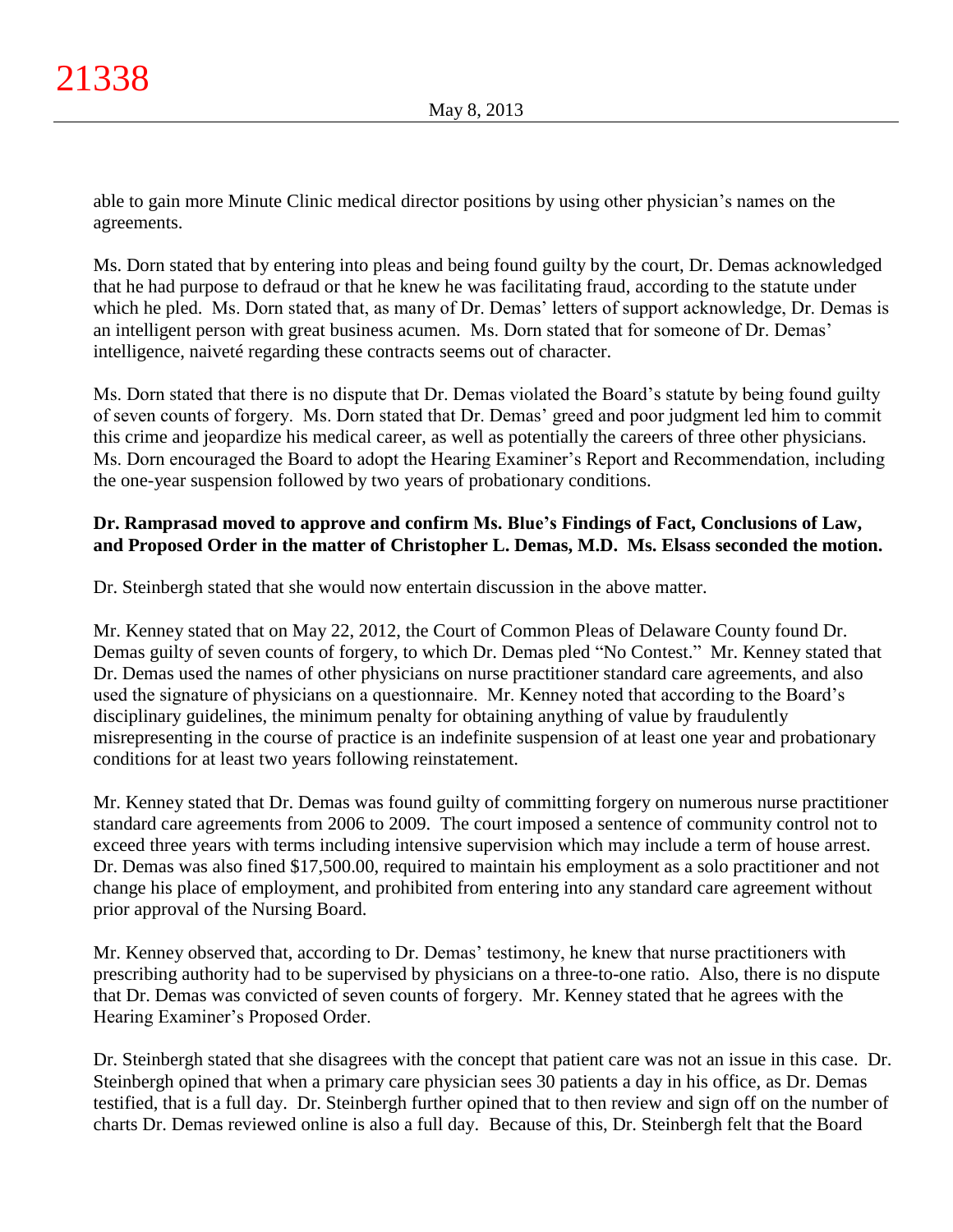able to gain more Minute Clinic medical director positions by using other physician's names on the agreements.

Ms. Dorn stated that by entering into pleas and being found guilty by the court, Dr. Demas acknowledged that he had purpose to defraud or that he knew he was facilitating fraud, according to the statute under which he pled. Ms. Dorn stated that, as many of Dr. Demas' letters of support acknowledge, Dr. Demas is an intelligent person with great business acumen. Ms. Dorn stated that for someone of Dr. Demas' intelligence, naiveté regarding these contracts seems out of character.

Ms. Dorn stated that there is no dispute that Dr. Demas violated the Board's statute by being found guilty of seven counts of forgery. Ms. Dorn stated that Dr. Demas' greed and poor judgment led him to commit this crime and jeopardize his medical career, as well as potentially the careers of three other physicians. Ms. Dorn encouraged the Board to adopt the Hearing Examiner's Report and Recommendation, including the one-year suspension followed by two years of probationary conditions.

# **Dr. Ramprasad moved to approve and confirm Ms. Blue's Findings of Fact, Conclusions of Law, and Proposed Order in the matter of Christopher L. Demas, M.D. Ms. Elsass seconded the motion.**

Dr. Steinbergh stated that she would now entertain discussion in the above matter.

Mr. Kenney stated that on May 22, 2012, the Court of Common Pleas of Delaware County found Dr. Demas guilty of seven counts of forgery, to which Dr. Demas pled "No Contest." Mr. Kenney stated that Dr. Demas used the names of other physicians on nurse practitioner standard care agreements, and also used the signature of physicians on a questionnaire. Mr. Kenney noted that according to the Board's disciplinary guidelines, the minimum penalty for obtaining anything of value by fraudulently misrepresenting in the course of practice is an indefinite suspension of at least one year and probationary conditions for at least two years following reinstatement.

Mr. Kenney stated that Dr. Demas was found guilty of committing forgery on numerous nurse practitioner standard care agreements from 2006 to 2009. The court imposed a sentence of community control not to exceed three years with terms including intensive supervision which may include a term of house arrest. Dr. Demas was also fined \$17,500.00, required to maintain his employment as a solo practitioner and not change his place of employment, and prohibited from entering into any standard care agreement without prior approval of the Nursing Board.

Mr. Kenney observed that, according to Dr. Demas' testimony, he knew that nurse practitioners with prescribing authority had to be supervised by physicians on a three-to-one ratio. Also, there is no dispute that Dr. Demas was convicted of seven counts of forgery. Mr. Kenney stated that he agrees with the Hearing Examiner's Proposed Order.

Dr. Steinbergh stated that she disagrees with the concept that patient care was not an issue in this case. Dr. Steinbergh opined that when a primary care physician sees 30 patients a day in his office, as Dr. Demas testified, that is a full day. Dr. Steinbergh further opined that to then review and sign off on the number of charts Dr. Demas reviewed online is also a full day. Because of this, Dr. Steinbergh felt that the Board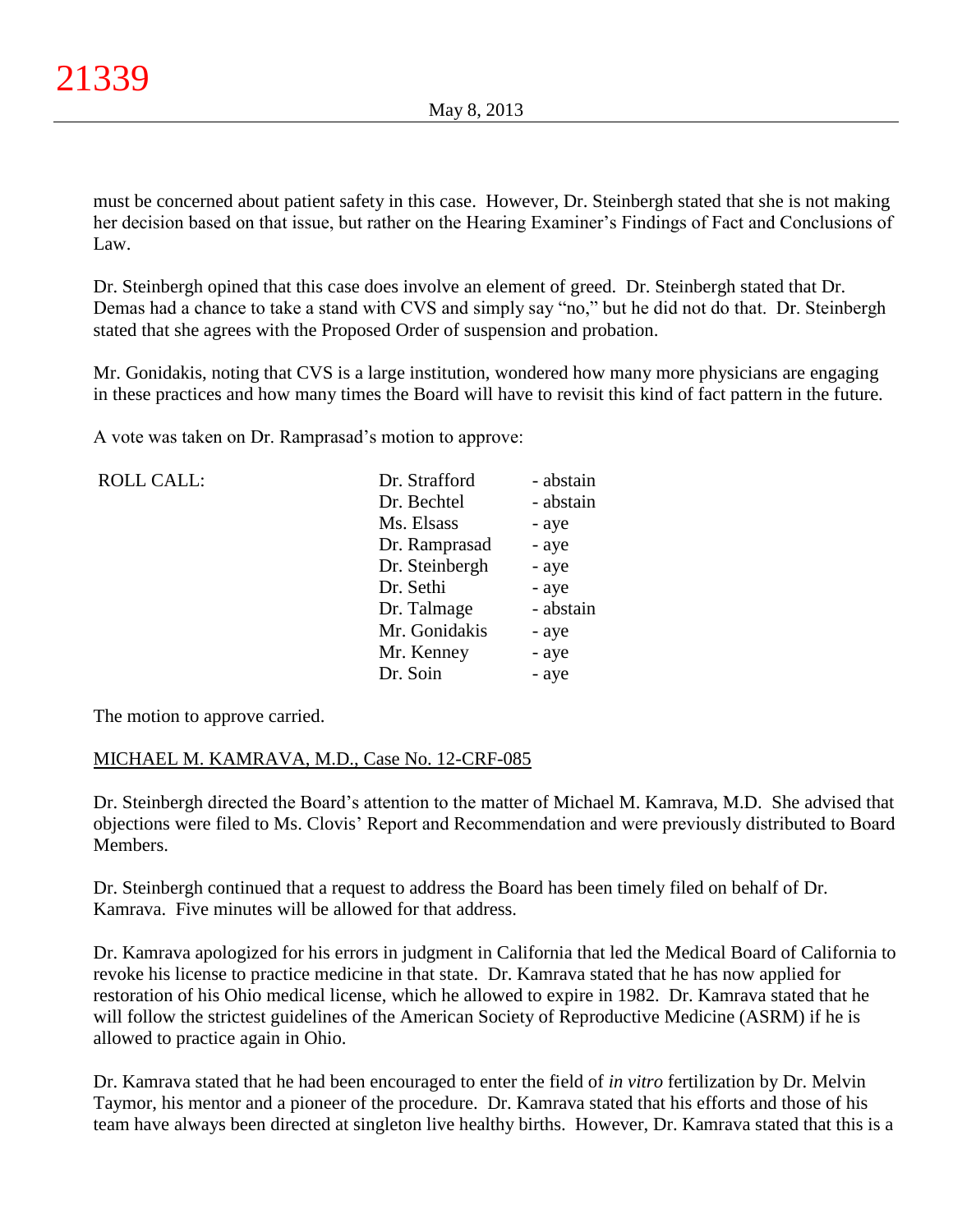must be concerned about patient safety in this case. However, Dr. Steinbergh stated that she is not making her decision based on that issue, but rather on the Hearing Examiner's Findings of Fact and Conclusions of Law.

Dr. Steinbergh opined that this case does involve an element of greed. Dr. Steinbergh stated that Dr. Demas had a chance to take a stand with CVS and simply say "no," but he did not do that. Dr. Steinbergh stated that she agrees with the Proposed Order of suspension and probation.

Mr. Gonidakis, noting that CVS is a large institution, wondered how many more physicians are engaging in these practices and how many times the Board will have to revisit this kind of fact pattern in the future.

A vote was taken on Dr. Ramprasad's motion to approve:

| <b>ROLL CALL:</b> | Dr. Strafford  | - abstain |
|-------------------|----------------|-----------|
|                   | Dr. Bechtel    | - abstain |
|                   | Ms. Elsass     | - aye     |
|                   | Dr. Ramprasad  | - aye     |
|                   | Dr. Steinbergh | - aye     |
|                   | Dr. Sethi      | - aye     |
|                   | Dr. Talmage    | - abstain |
|                   | Mr. Gonidakis  | - aye     |
|                   | Mr. Kenney     | - aye     |
|                   | Dr. Soin       | - aye     |
|                   |                |           |

The motion to approve carried.

# MICHAEL M. KAMRAVA, M.D., Case No. 12-CRF-085

Dr. Steinbergh directed the Board's attention to the matter of Michael M. Kamrava, M.D. She advised that objections were filed to Ms. Clovis' Report and Recommendation and were previously distributed to Board Members.

Dr. Steinbergh continued that a request to address the Board has been timely filed on behalf of Dr. Kamrava. Five minutes will be allowed for that address.

Dr. Kamrava apologized for his errors in judgment in California that led the Medical Board of California to revoke his license to practice medicine in that state. Dr. Kamrava stated that he has now applied for restoration of his Ohio medical license, which he allowed to expire in 1982. Dr. Kamrava stated that he will follow the strictest guidelines of the American Society of Reproductive Medicine (ASRM) if he is allowed to practice again in Ohio.

Dr. Kamrava stated that he had been encouraged to enter the field of *in vitro* fertilization by Dr. Melvin Taymor, his mentor and a pioneer of the procedure. Dr. Kamrava stated that his efforts and those of his team have always been directed at singleton live healthy births. However, Dr. Kamrava stated that this is a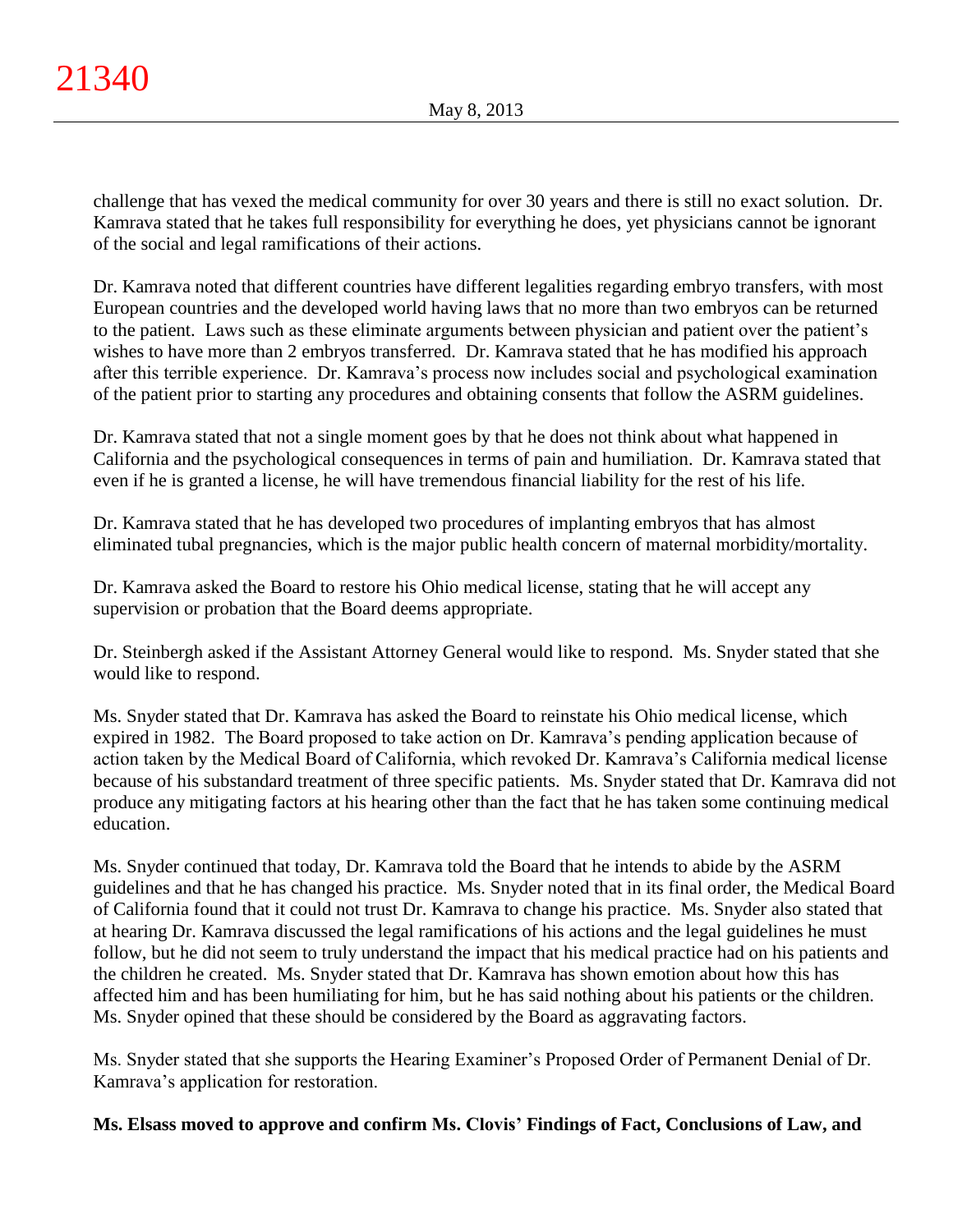challenge that has vexed the medical community for over 30 years and there is still no exact solution. Dr. Kamrava stated that he takes full responsibility for everything he does, yet physicians cannot be ignorant of the social and legal ramifications of their actions.

Dr. Kamrava noted that different countries have different legalities regarding embryo transfers, with most European countries and the developed world having laws that no more than two embryos can be returned to the patient. Laws such as these eliminate arguments between physician and patient over the patient's wishes to have more than 2 embryos transferred. Dr. Kamrava stated that he has modified his approach after this terrible experience. Dr. Kamrava's process now includes social and psychological examination of the patient prior to starting any procedures and obtaining consents that follow the ASRM guidelines.

Dr. Kamrava stated that not a single moment goes by that he does not think about what happened in California and the psychological consequences in terms of pain and humiliation. Dr. Kamrava stated that even if he is granted a license, he will have tremendous financial liability for the rest of his life.

Dr. Kamrava stated that he has developed two procedures of implanting embryos that has almost eliminated tubal pregnancies, which is the major public health concern of maternal morbidity/mortality.

Dr. Kamrava asked the Board to restore his Ohio medical license, stating that he will accept any supervision or probation that the Board deems appropriate.

Dr. Steinbergh asked if the Assistant Attorney General would like to respond. Ms. Snyder stated that she would like to respond.

Ms. Snyder stated that Dr. Kamrava has asked the Board to reinstate his Ohio medical license, which expired in 1982. The Board proposed to take action on Dr. Kamrava's pending application because of action taken by the Medical Board of California, which revoked Dr. Kamrava's California medical license because of his substandard treatment of three specific patients. Ms. Snyder stated that Dr. Kamrava did not produce any mitigating factors at his hearing other than the fact that he has taken some continuing medical education.

Ms. Snyder continued that today, Dr. Kamrava told the Board that he intends to abide by the ASRM guidelines and that he has changed his practice. Ms. Snyder noted that in its final order, the Medical Board of California found that it could not trust Dr. Kamrava to change his practice. Ms. Snyder also stated that at hearing Dr. Kamrava discussed the legal ramifications of his actions and the legal guidelines he must follow, but he did not seem to truly understand the impact that his medical practice had on his patients and the children he created. Ms. Snyder stated that Dr. Kamrava has shown emotion about how this has affected him and has been humiliating for him, but he has said nothing about his patients or the children. Ms. Snyder opined that these should be considered by the Board as aggravating factors.

Ms. Snyder stated that she supports the Hearing Examiner's Proposed Order of Permanent Denial of Dr. Kamrava's application for restoration.

# **Ms. Elsass moved to approve and confirm Ms. Clovis' Findings of Fact, Conclusions of Law, and**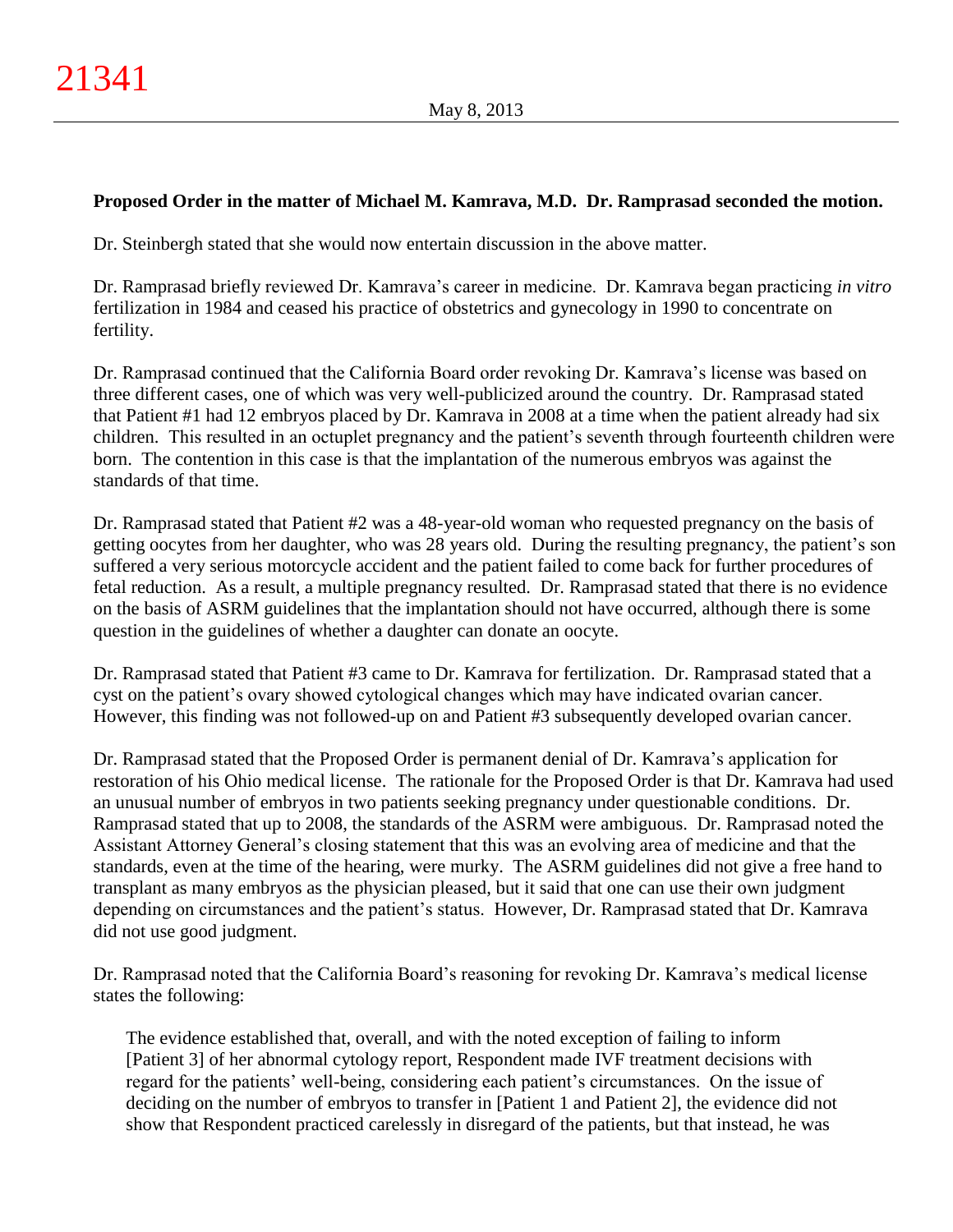# **Proposed Order in the matter of Michael M. Kamrava, M.D. Dr. Ramprasad seconded the motion.**

Dr. Steinbergh stated that she would now entertain discussion in the above matter.

Dr. Ramprasad briefly reviewed Dr. Kamrava's career in medicine. Dr. Kamrava began practicing *in vitro* fertilization in 1984 and ceased his practice of obstetrics and gynecology in 1990 to concentrate on fertility.

Dr. Ramprasad continued that the California Board order revoking Dr. Kamrava's license was based on three different cases, one of which was very well-publicized around the country. Dr. Ramprasad stated that Patient #1 had 12 embryos placed by Dr. Kamrava in 2008 at a time when the patient already had six children. This resulted in an octuplet pregnancy and the patient's seventh through fourteenth children were born. The contention in this case is that the implantation of the numerous embryos was against the standards of that time.

Dr. Ramprasad stated that Patient #2 was a 48-year-old woman who requested pregnancy on the basis of getting oocytes from her daughter, who was 28 years old. During the resulting pregnancy, the patient's son suffered a very serious motorcycle accident and the patient failed to come back for further procedures of fetal reduction. As a result, a multiple pregnancy resulted. Dr. Ramprasad stated that there is no evidence on the basis of ASRM guidelines that the implantation should not have occurred, although there is some question in the guidelines of whether a daughter can donate an oocyte.

Dr. Ramprasad stated that Patient #3 came to Dr. Kamrava for fertilization. Dr. Ramprasad stated that a cyst on the patient's ovary showed cytological changes which may have indicated ovarian cancer. However, this finding was not followed-up on and Patient #3 subsequently developed ovarian cancer.

Dr. Ramprasad stated that the Proposed Order is permanent denial of Dr. Kamrava's application for restoration of his Ohio medical license. The rationale for the Proposed Order is that Dr. Kamrava had used an unusual number of embryos in two patients seeking pregnancy under questionable conditions. Dr. Ramprasad stated that up to 2008, the standards of the ASRM were ambiguous. Dr. Ramprasad noted the Assistant Attorney General's closing statement that this was an evolving area of medicine and that the standards, even at the time of the hearing, were murky. The ASRM guidelines did not give a free hand to transplant as many embryos as the physician pleased, but it said that one can use their own judgment depending on circumstances and the patient's status. However, Dr. Ramprasad stated that Dr. Kamrava did not use good judgment.

Dr. Ramprasad noted that the California Board's reasoning for revoking Dr. Kamrava's medical license states the following:

The evidence established that, overall, and with the noted exception of failing to inform [Patient 3] of her abnormal cytology report, Respondent made IVF treatment decisions with regard for the patients' well-being, considering each patient's circumstances. On the issue of deciding on the number of embryos to transfer in [Patient 1 and Patient 2], the evidence did not show that Respondent practiced carelessly in disregard of the patients, but that instead, he was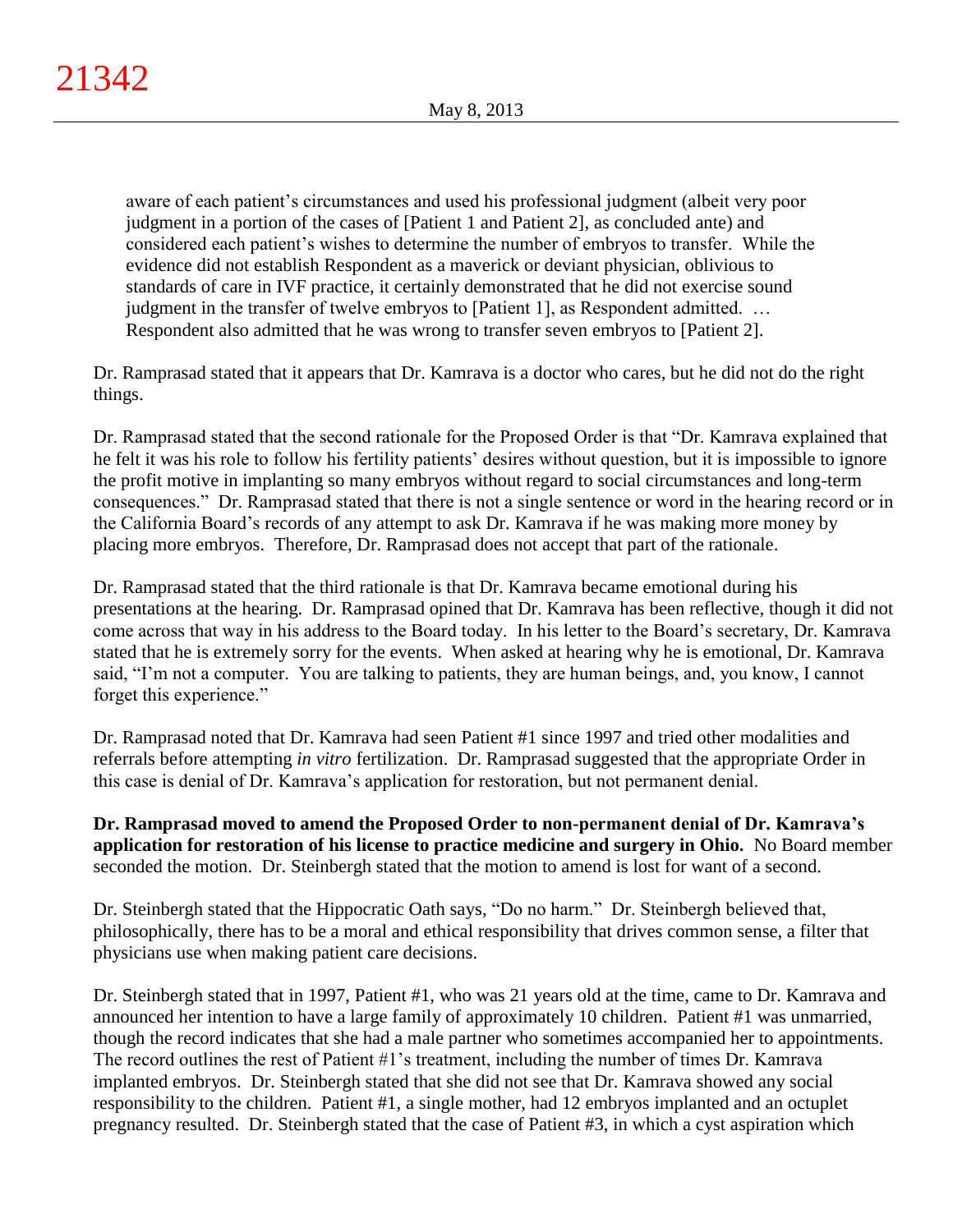aware of each patient's circumstances and used his professional judgment (albeit very poor judgment in a portion of the cases of [Patient 1 and Patient 2], as concluded ante) and considered each patient's wishes to determine the number of embryos to transfer. While the evidence did not establish Respondent as a maverick or deviant physician, oblivious to standards of care in IVF practice, it certainly demonstrated that he did not exercise sound judgment in the transfer of twelve embryos to [Patient 1], as Respondent admitted. … Respondent also admitted that he was wrong to transfer seven embryos to [Patient 2].

Dr. Ramprasad stated that it appears that Dr. Kamrava is a doctor who cares, but he did not do the right things.

Dr. Ramprasad stated that the second rationale for the Proposed Order is that "Dr. Kamrava explained that he felt it was his role to follow his fertility patients' desires without question, but it is impossible to ignore the profit motive in implanting so many embryos without regard to social circumstances and long-term consequences." Dr. Ramprasad stated that there is not a single sentence or word in the hearing record or in the California Board's records of any attempt to ask Dr. Kamrava if he was making more money by placing more embryos. Therefore, Dr. Ramprasad does not accept that part of the rationale.

Dr. Ramprasad stated that the third rationale is that Dr. Kamrava became emotional during his presentations at the hearing. Dr. Ramprasad opined that Dr. Kamrava has been reflective, though it did not come across that way in his address to the Board today. In his letter to the Board's secretary, Dr. Kamrava stated that he is extremely sorry for the events. When asked at hearing why he is emotional, Dr. Kamrava said, "I'm not a computer. You are talking to patients, they are human beings, and, you know, I cannot forget this experience."

Dr. Ramprasad noted that Dr. Kamrava had seen Patient #1 since 1997 and tried other modalities and referrals before attempting *in vitro* fertilization. Dr. Ramprasad suggested that the appropriate Order in this case is denial of Dr. Kamrava's application for restoration, but not permanent denial.

**Dr. Ramprasad moved to amend the Proposed Order to non-permanent denial of Dr. Kamrava's application for restoration of his license to practice medicine and surgery in Ohio.** No Board member seconded the motion. Dr. Steinbergh stated that the motion to amend is lost for want of a second.

Dr. Steinbergh stated that the Hippocratic Oath says, "Do no harm." Dr. Steinbergh believed that, philosophically, there has to be a moral and ethical responsibility that drives common sense, a filter that physicians use when making patient care decisions.

Dr. Steinbergh stated that in 1997, Patient #1, who was 21 years old at the time, came to Dr. Kamrava and announced her intention to have a large family of approximately 10 children. Patient #1 was unmarried, though the record indicates that she had a male partner who sometimes accompanied her to appointments. The record outlines the rest of Patient #1's treatment, including the number of times Dr. Kamrava implanted embryos. Dr. Steinbergh stated that she did not see that Dr. Kamrava showed any social responsibility to the children. Patient #1, a single mother, had 12 embryos implanted and an octuplet pregnancy resulted. Dr. Steinbergh stated that the case of Patient #3, in which a cyst aspiration which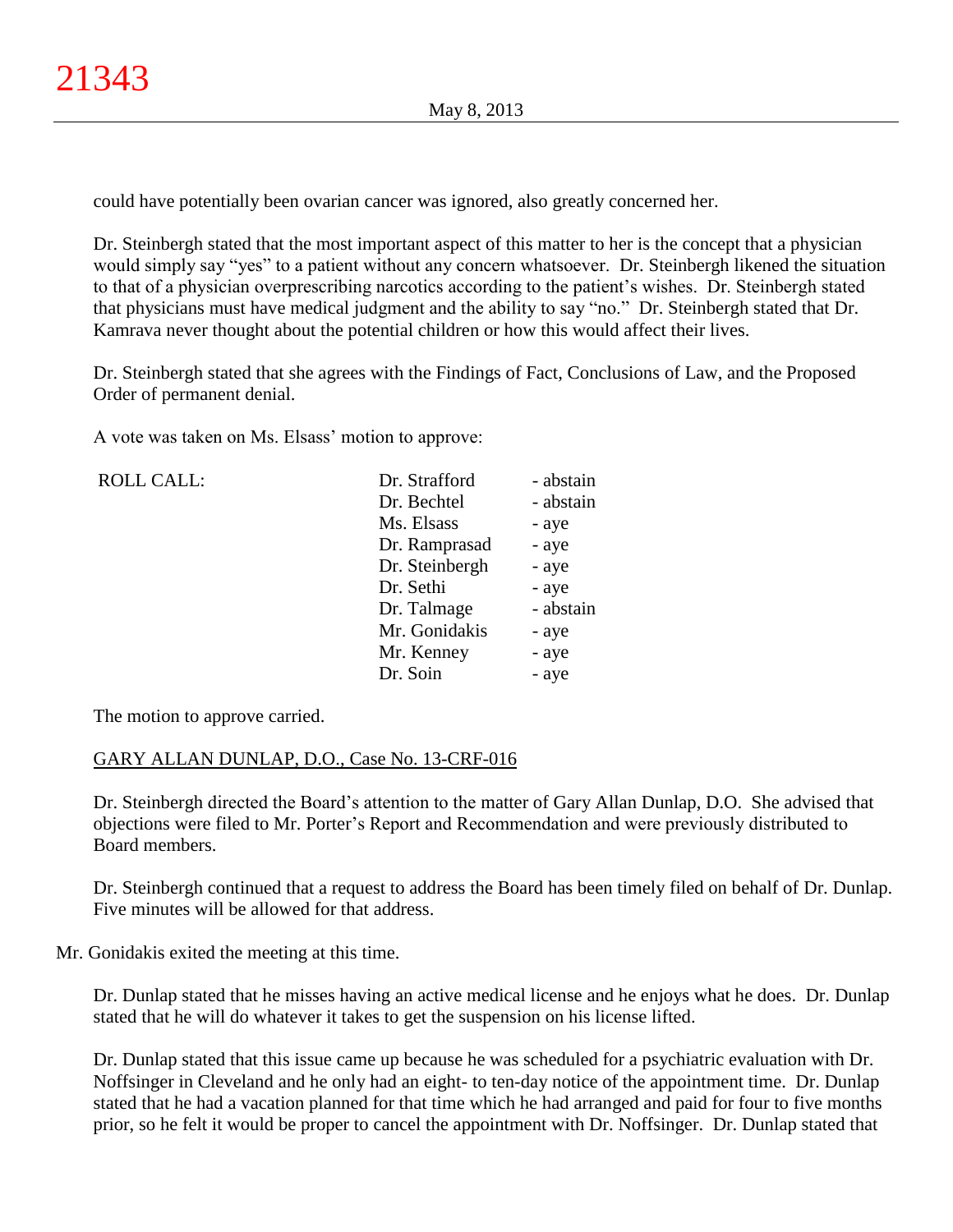could have potentially been ovarian cancer was ignored, also greatly concerned her.

Dr. Steinbergh stated that the most important aspect of this matter to her is the concept that a physician would simply say "yes" to a patient without any concern whatsoever. Dr. Steinbergh likened the situation to that of a physician overprescribing narcotics according to the patient's wishes. Dr. Steinbergh stated that physicians must have medical judgment and the ability to say "no." Dr. Steinbergh stated that Dr. Kamrava never thought about the potential children or how this would affect their lives.

Dr. Steinbergh stated that she agrees with the Findings of Fact, Conclusions of Law, and the Proposed Order of permanent denial.

A vote was taken on Ms. Elsass' motion to approve:

| <b>ROLL CALL:</b> | Dr. Strafford  | - abstain |
|-------------------|----------------|-----------|
|                   | Dr. Bechtel    | - abstain |
|                   | Ms. Elsass     | - aye     |
|                   | Dr. Ramprasad  | - aye     |
|                   | Dr. Steinbergh | - aye     |
|                   | Dr. Sethi      | - aye     |
|                   | Dr. Talmage    | - abstain |
|                   | Mr. Gonidakis  | - aye     |
|                   | Mr. Kenney     | - aye     |
|                   | Dr. Soin       | - aye     |
|                   |                |           |

The motion to approve carried.

# GARY ALLAN DUNLAP, D.O., Case No. 13-CRF-016

Dr. Steinbergh directed the Board's attention to the matter of Gary Allan Dunlap, D.O. She advised that objections were filed to Mr. Porter's Report and Recommendation and were previously distributed to Board members.

Dr. Steinbergh continued that a request to address the Board has been timely filed on behalf of Dr. Dunlap. Five minutes will be allowed for that address.

Mr. Gonidakis exited the meeting at this time.

Dr. Dunlap stated that he misses having an active medical license and he enjoys what he does. Dr. Dunlap stated that he will do whatever it takes to get the suspension on his license lifted.

Dr. Dunlap stated that this issue came up because he was scheduled for a psychiatric evaluation with Dr. Noffsinger in Cleveland and he only had an eight- to ten-day notice of the appointment time. Dr. Dunlap stated that he had a vacation planned for that time which he had arranged and paid for four to five months prior, so he felt it would be proper to cancel the appointment with Dr. Noffsinger. Dr. Dunlap stated that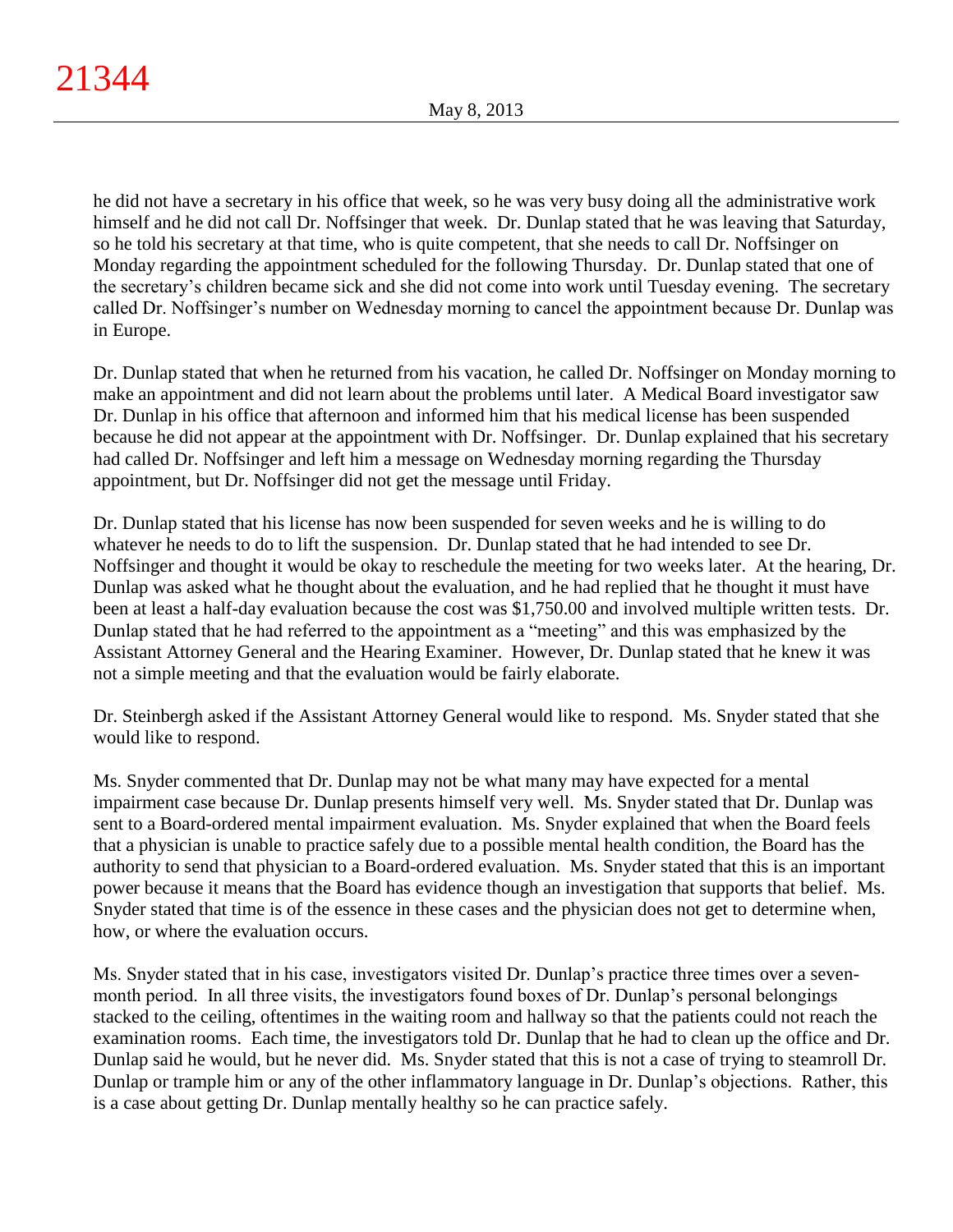he did not have a secretary in his office that week, so he was very busy doing all the administrative work himself and he did not call Dr. Noffsinger that week. Dr. Dunlap stated that he was leaving that Saturday, so he told his secretary at that time, who is quite competent, that she needs to call Dr. Noffsinger on Monday regarding the appointment scheduled for the following Thursday. Dr. Dunlap stated that one of the secretary's children became sick and she did not come into work until Tuesday evening. The secretary called Dr. Noffsinger's number on Wednesday morning to cancel the appointment because Dr. Dunlap was in Europe.

Dr. Dunlap stated that when he returned from his vacation, he called Dr. Noffsinger on Monday morning to make an appointment and did not learn about the problems until later. A Medical Board investigator saw Dr. Dunlap in his office that afternoon and informed him that his medical license has been suspended because he did not appear at the appointment with Dr. Noffsinger. Dr. Dunlap explained that his secretary had called Dr. Noffsinger and left him a message on Wednesday morning regarding the Thursday appointment, but Dr. Noffsinger did not get the message until Friday.

Dr. Dunlap stated that his license has now been suspended for seven weeks and he is willing to do whatever he needs to do to lift the suspension. Dr. Dunlap stated that he had intended to see Dr. Noffsinger and thought it would be okay to reschedule the meeting for two weeks later. At the hearing, Dr. Dunlap was asked what he thought about the evaluation, and he had replied that he thought it must have been at least a half-day evaluation because the cost was \$1,750.00 and involved multiple written tests. Dr. Dunlap stated that he had referred to the appointment as a "meeting" and this was emphasized by the Assistant Attorney General and the Hearing Examiner. However, Dr. Dunlap stated that he knew it was not a simple meeting and that the evaluation would be fairly elaborate.

Dr. Steinbergh asked if the Assistant Attorney General would like to respond. Ms. Snyder stated that she would like to respond.

Ms. Snyder commented that Dr. Dunlap may not be what many may have expected for a mental impairment case because Dr. Dunlap presents himself very well. Ms. Snyder stated that Dr. Dunlap was sent to a Board-ordered mental impairment evaluation. Ms. Snyder explained that when the Board feels that a physician is unable to practice safely due to a possible mental health condition, the Board has the authority to send that physician to a Board-ordered evaluation. Ms. Snyder stated that this is an important power because it means that the Board has evidence though an investigation that supports that belief. Ms. Snyder stated that time is of the essence in these cases and the physician does not get to determine when, how, or where the evaluation occurs.

Ms. Snyder stated that in his case, investigators visited Dr. Dunlap's practice three times over a sevenmonth period. In all three visits, the investigators found boxes of Dr. Dunlap's personal belongings stacked to the ceiling, oftentimes in the waiting room and hallway so that the patients could not reach the examination rooms. Each time, the investigators told Dr. Dunlap that he had to clean up the office and Dr. Dunlap said he would, but he never did. Ms. Snyder stated that this is not a case of trying to steamroll Dr. Dunlap or trample him or any of the other inflammatory language in Dr. Dunlap's objections. Rather, this is a case about getting Dr. Dunlap mentally healthy so he can practice safely.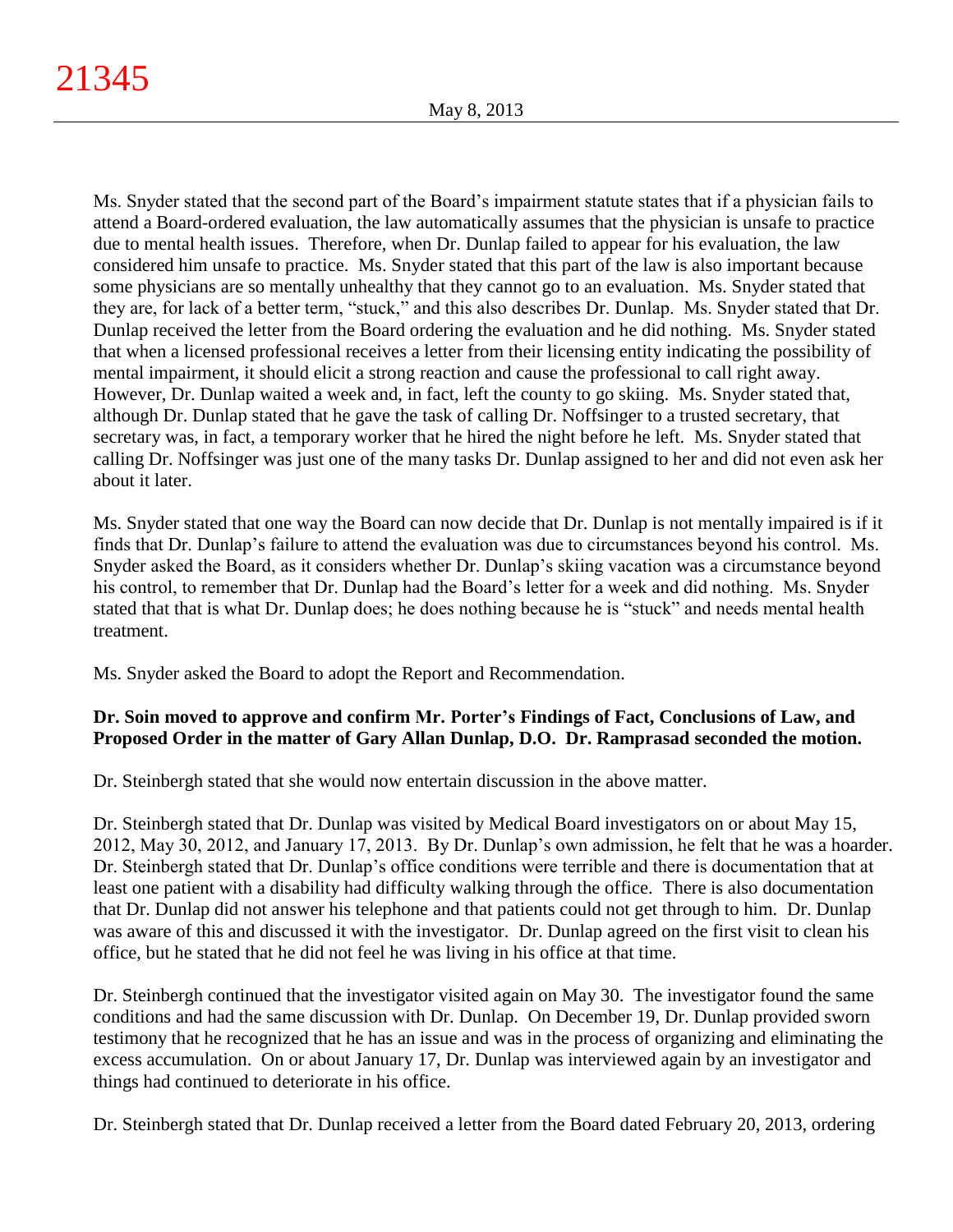Ms. Snyder stated that the second part of the Board's impairment statute states that if a physician fails to attend a Board-ordered evaluation, the law automatically assumes that the physician is unsafe to practice due to mental health issues. Therefore, when Dr. Dunlap failed to appear for his evaluation, the law considered him unsafe to practice. Ms. Snyder stated that this part of the law is also important because some physicians are so mentally unhealthy that they cannot go to an evaluation. Ms. Snyder stated that they are, for lack of a better term, "stuck," and this also describes Dr. Dunlap. Ms. Snyder stated that Dr. Dunlap received the letter from the Board ordering the evaluation and he did nothing. Ms. Snyder stated that when a licensed professional receives a letter from their licensing entity indicating the possibility of mental impairment, it should elicit a strong reaction and cause the professional to call right away. However, Dr. Dunlap waited a week and, in fact, left the county to go skiing. Ms. Snyder stated that, although Dr. Dunlap stated that he gave the task of calling Dr. Noffsinger to a trusted secretary, that secretary was, in fact, a temporary worker that he hired the night before he left. Ms. Snyder stated that calling Dr. Noffsinger was just one of the many tasks Dr. Dunlap assigned to her and did not even ask her about it later.

Ms. Snyder stated that one way the Board can now decide that Dr. Dunlap is not mentally impaired is if it finds that Dr. Dunlap's failure to attend the evaluation was due to circumstances beyond his control. Ms. Snyder asked the Board, as it considers whether Dr. Dunlap's skiing vacation was a circumstance beyond his control, to remember that Dr. Dunlap had the Board's letter for a week and did nothing. Ms. Snyder stated that that is what Dr. Dunlap does; he does nothing because he is "stuck" and needs mental health treatment.

Ms. Snyder asked the Board to adopt the Report and Recommendation.

# **Dr. Soin moved to approve and confirm Mr. Porter's Findings of Fact, Conclusions of Law, and Proposed Order in the matter of Gary Allan Dunlap, D.O. Dr. Ramprasad seconded the motion.**

Dr. Steinbergh stated that she would now entertain discussion in the above matter.

Dr. Steinbergh stated that Dr. Dunlap was visited by Medical Board investigators on or about May 15, 2012, May 30, 2012, and January 17, 2013. By Dr. Dunlap's own admission, he felt that he was a hoarder. Dr. Steinbergh stated that Dr. Dunlap's office conditions were terrible and there is documentation that at least one patient with a disability had difficulty walking through the office. There is also documentation that Dr. Dunlap did not answer his telephone and that patients could not get through to him. Dr. Dunlap was aware of this and discussed it with the investigator. Dr. Dunlap agreed on the first visit to clean his office, but he stated that he did not feel he was living in his office at that time.

Dr. Steinbergh continued that the investigator visited again on May 30. The investigator found the same conditions and had the same discussion with Dr. Dunlap. On December 19, Dr. Dunlap provided sworn testimony that he recognized that he has an issue and was in the process of organizing and eliminating the excess accumulation. On or about January 17, Dr. Dunlap was interviewed again by an investigator and things had continued to deteriorate in his office.

Dr. Steinbergh stated that Dr. Dunlap received a letter from the Board dated February 20, 2013, ordering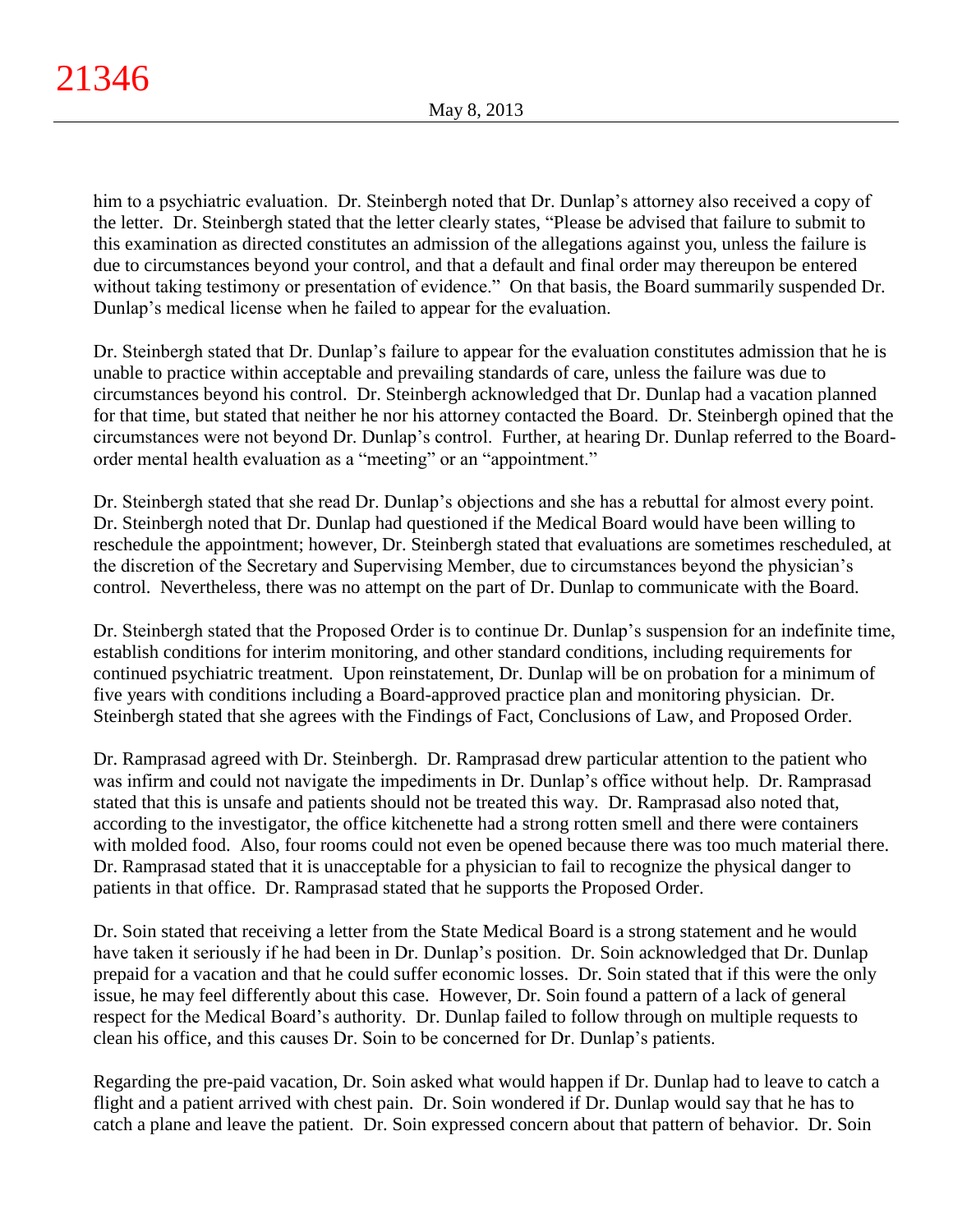him to a psychiatric evaluation. Dr. Steinbergh noted that Dr. Dunlap's attorney also received a copy of the letter. Dr. Steinbergh stated that the letter clearly states, "Please be advised that failure to submit to this examination as directed constitutes an admission of the allegations against you, unless the failure is due to circumstances beyond your control, and that a default and final order may thereupon be entered without taking testimony or presentation of evidence." On that basis, the Board summarily suspended Dr. Dunlap's medical license when he failed to appear for the evaluation.

Dr. Steinbergh stated that Dr. Dunlap's failure to appear for the evaluation constitutes admission that he is unable to practice within acceptable and prevailing standards of care, unless the failure was due to circumstances beyond his control. Dr. Steinbergh acknowledged that Dr. Dunlap had a vacation planned for that time, but stated that neither he nor his attorney contacted the Board. Dr. Steinbergh opined that the circumstances were not beyond Dr. Dunlap's control. Further, at hearing Dr. Dunlap referred to the Boardorder mental health evaluation as a "meeting" or an "appointment."

Dr. Steinbergh stated that she read Dr. Dunlap's objections and she has a rebuttal for almost every point. Dr. Steinbergh noted that Dr. Dunlap had questioned if the Medical Board would have been willing to reschedule the appointment; however, Dr. Steinbergh stated that evaluations are sometimes rescheduled, at the discretion of the Secretary and Supervising Member, due to circumstances beyond the physician's control. Nevertheless, there was no attempt on the part of Dr. Dunlap to communicate with the Board.

Dr. Steinbergh stated that the Proposed Order is to continue Dr. Dunlap's suspension for an indefinite time, establish conditions for interim monitoring, and other standard conditions, including requirements for continued psychiatric treatment. Upon reinstatement, Dr. Dunlap will be on probation for a minimum of five years with conditions including a Board-approved practice plan and monitoring physician. Dr. Steinbergh stated that she agrees with the Findings of Fact, Conclusions of Law, and Proposed Order.

Dr. Ramprasad agreed with Dr. Steinbergh. Dr. Ramprasad drew particular attention to the patient who was infirm and could not navigate the impediments in Dr. Dunlap's office without help. Dr. Ramprasad stated that this is unsafe and patients should not be treated this way. Dr. Ramprasad also noted that, according to the investigator, the office kitchenette had a strong rotten smell and there were containers with molded food. Also, four rooms could not even be opened because there was too much material there. Dr. Ramprasad stated that it is unacceptable for a physician to fail to recognize the physical danger to patients in that office. Dr. Ramprasad stated that he supports the Proposed Order.

Dr. Soin stated that receiving a letter from the State Medical Board is a strong statement and he would have taken it seriously if he had been in Dr. Dunlap's position. Dr. Soin acknowledged that Dr. Dunlap prepaid for a vacation and that he could suffer economic losses. Dr. Soin stated that if this were the only issue, he may feel differently about this case. However, Dr. Soin found a pattern of a lack of general respect for the Medical Board's authority. Dr. Dunlap failed to follow through on multiple requests to clean his office, and this causes Dr. Soin to be concerned for Dr. Dunlap's patients.

Regarding the pre-paid vacation, Dr. Soin asked what would happen if Dr. Dunlap had to leave to catch a flight and a patient arrived with chest pain. Dr. Soin wondered if Dr. Dunlap would say that he has to catch a plane and leave the patient. Dr. Soin expressed concern about that pattern of behavior. Dr. Soin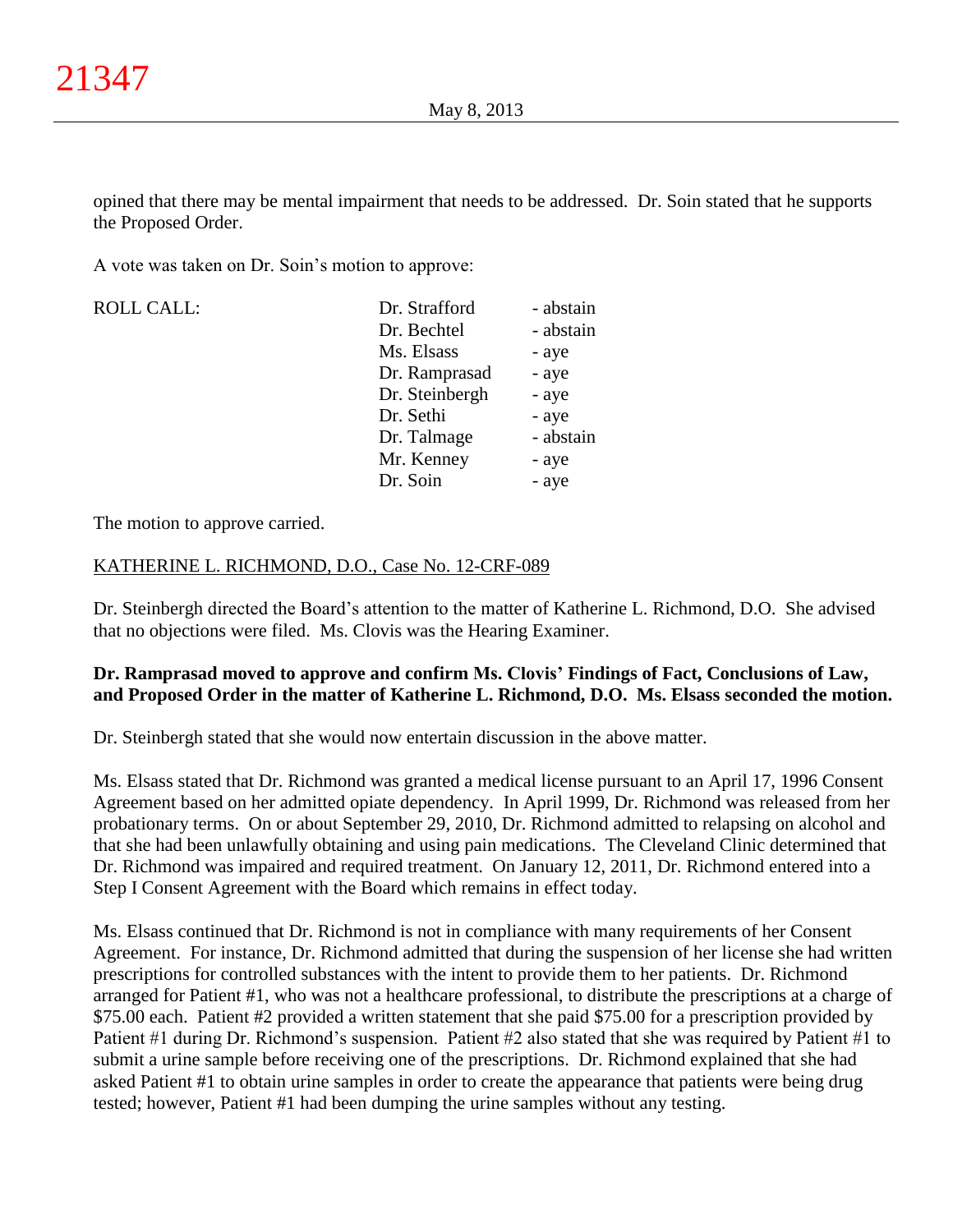opined that there may be mental impairment that needs to be addressed. Dr. Soin stated that he supports the Proposed Order.

A vote was taken on Dr. Soin's motion to approve:

| <b>ROLL CALL:</b> | Dr. Strafford  | - abstain |
|-------------------|----------------|-----------|
|                   | Dr. Bechtel    | - abstain |
|                   | Ms. Elsass     | - aye     |
|                   | Dr. Ramprasad  | - aye     |
|                   | Dr. Steinbergh | - aye     |
|                   | Dr. Sethi      | - aye     |
|                   | Dr. Talmage    | - abstain |
|                   | Mr. Kenney     | - aye     |
|                   | Dr. Soin       | - aye     |

The motion to approve carried.

# KATHERINE L. RICHMOND, D.O., Case No. 12-CRF-089

Dr. Steinbergh directed the Board's attention to the matter of Katherine L. Richmond, D.O. She advised that no objections were filed. Ms. Clovis was the Hearing Examiner.

# **Dr. Ramprasad moved to approve and confirm Ms. Clovis' Findings of Fact, Conclusions of Law, and Proposed Order in the matter of Katherine L. Richmond, D.O. Ms. Elsass seconded the motion.**

Dr. Steinbergh stated that she would now entertain discussion in the above matter.

Ms. Elsass stated that Dr. Richmond was granted a medical license pursuant to an April 17, 1996 Consent Agreement based on her admitted opiate dependency. In April 1999, Dr. Richmond was released from her probationary terms. On or about September 29, 2010, Dr. Richmond admitted to relapsing on alcohol and that she had been unlawfully obtaining and using pain medications. The Cleveland Clinic determined that Dr. Richmond was impaired and required treatment. On January 12, 2011, Dr. Richmond entered into a Step I Consent Agreement with the Board which remains in effect today.

Ms. Elsass continued that Dr. Richmond is not in compliance with many requirements of her Consent Agreement. For instance, Dr. Richmond admitted that during the suspension of her license she had written prescriptions for controlled substances with the intent to provide them to her patients. Dr. Richmond arranged for Patient #1, who was not a healthcare professional, to distribute the prescriptions at a charge of \$75.00 each. Patient #2 provided a written statement that she paid \$75.00 for a prescription provided by Patient #1 during Dr. Richmond's suspension. Patient #2 also stated that she was required by Patient #1 to submit a urine sample before receiving one of the prescriptions. Dr. Richmond explained that she had asked Patient #1 to obtain urine samples in order to create the appearance that patients were being drug tested; however, Patient #1 had been dumping the urine samples without any testing.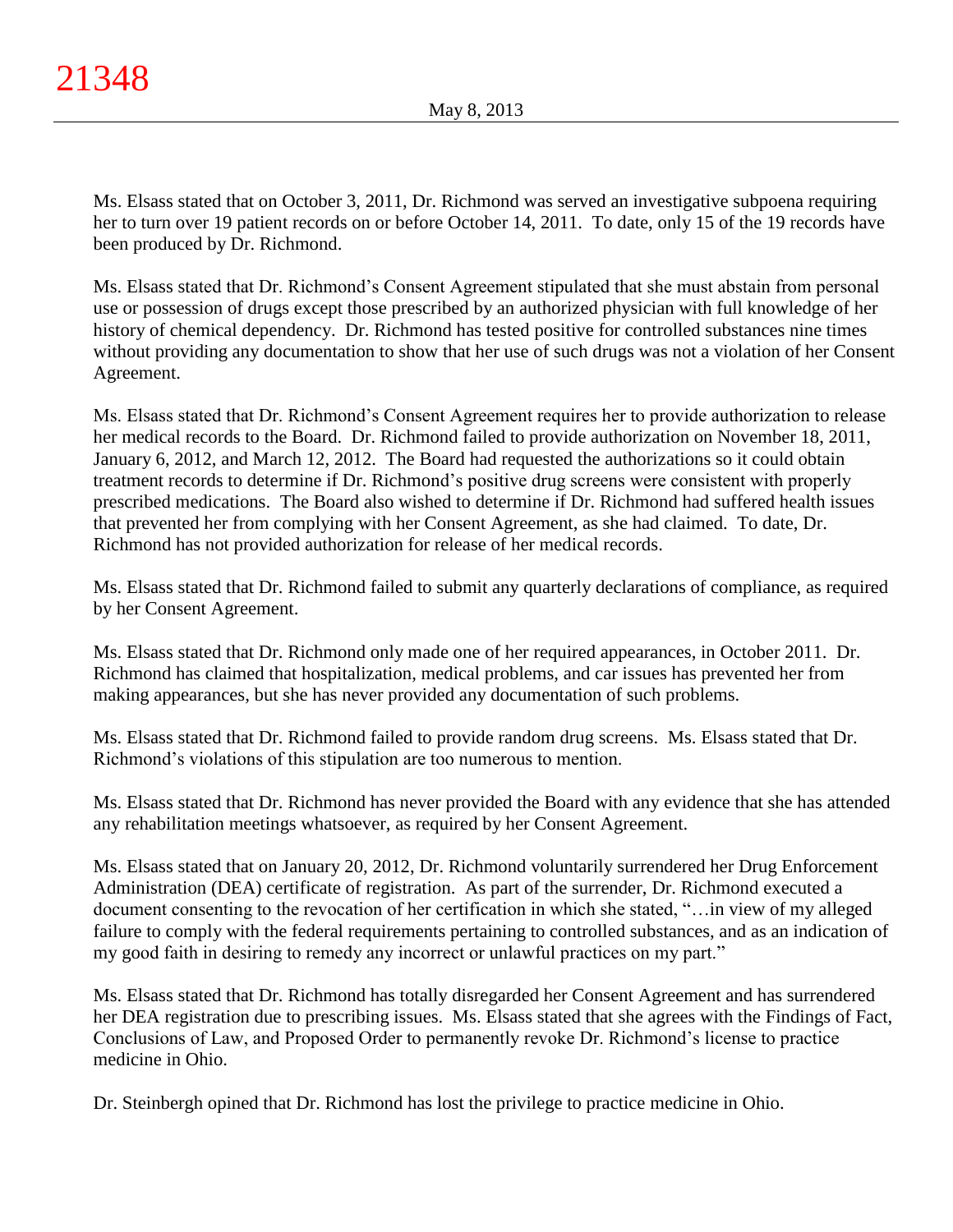Ms. Elsass stated that on October 3, 2011, Dr. Richmond was served an investigative subpoena requiring her to turn over 19 patient records on or before October 14, 2011. To date, only 15 of the 19 records have been produced by Dr. Richmond.

Ms. Elsass stated that Dr. Richmond's Consent Agreement stipulated that she must abstain from personal use or possession of drugs except those prescribed by an authorized physician with full knowledge of her history of chemical dependency. Dr. Richmond has tested positive for controlled substances nine times without providing any documentation to show that her use of such drugs was not a violation of her Consent Agreement.

Ms. Elsass stated that Dr. Richmond's Consent Agreement requires her to provide authorization to release her medical records to the Board. Dr. Richmond failed to provide authorization on November 18, 2011, January 6, 2012, and March 12, 2012. The Board had requested the authorizations so it could obtain treatment records to determine if Dr. Richmond's positive drug screens were consistent with properly prescribed medications. The Board also wished to determine if Dr. Richmond had suffered health issues that prevented her from complying with her Consent Agreement, as she had claimed. To date, Dr. Richmond has not provided authorization for release of her medical records.

Ms. Elsass stated that Dr. Richmond failed to submit any quarterly declarations of compliance, as required by her Consent Agreement.

Ms. Elsass stated that Dr. Richmond only made one of her required appearances, in October 2011. Dr. Richmond has claimed that hospitalization, medical problems, and car issues has prevented her from making appearances, but she has never provided any documentation of such problems.

Ms. Elsass stated that Dr. Richmond failed to provide random drug screens. Ms. Elsass stated that Dr. Richmond's violations of this stipulation are too numerous to mention.

Ms. Elsass stated that Dr. Richmond has never provided the Board with any evidence that she has attended any rehabilitation meetings whatsoever, as required by her Consent Agreement.

Ms. Elsass stated that on January 20, 2012, Dr. Richmond voluntarily surrendered her Drug Enforcement Administration (DEA) certificate of registration. As part of the surrender, Dr. Richmond executed a document consenting to the revocation of her certification in which she stated, "…in view of my alleged failure to comply with the federal requirements pertaining to controlled substances, and as an indication of my good faith in desiring to remedy any incorrect or unlawful practices on my part."

Ms. Elsass stated that Dr. Richmond has totally disregarded her Consent Agreement and has surrendered her DEA registration due to prescribing issues. Ms. Elsass stated that she agrees with the Findings of Fact, Conclusions of Law, and Proposed Order to permanently revoke Dr. Richmond's license to practice medicine in Ohio.

Dr. Steinbergh opined that Dr. Richmond has lost the privilege to practice medicine in Ohio.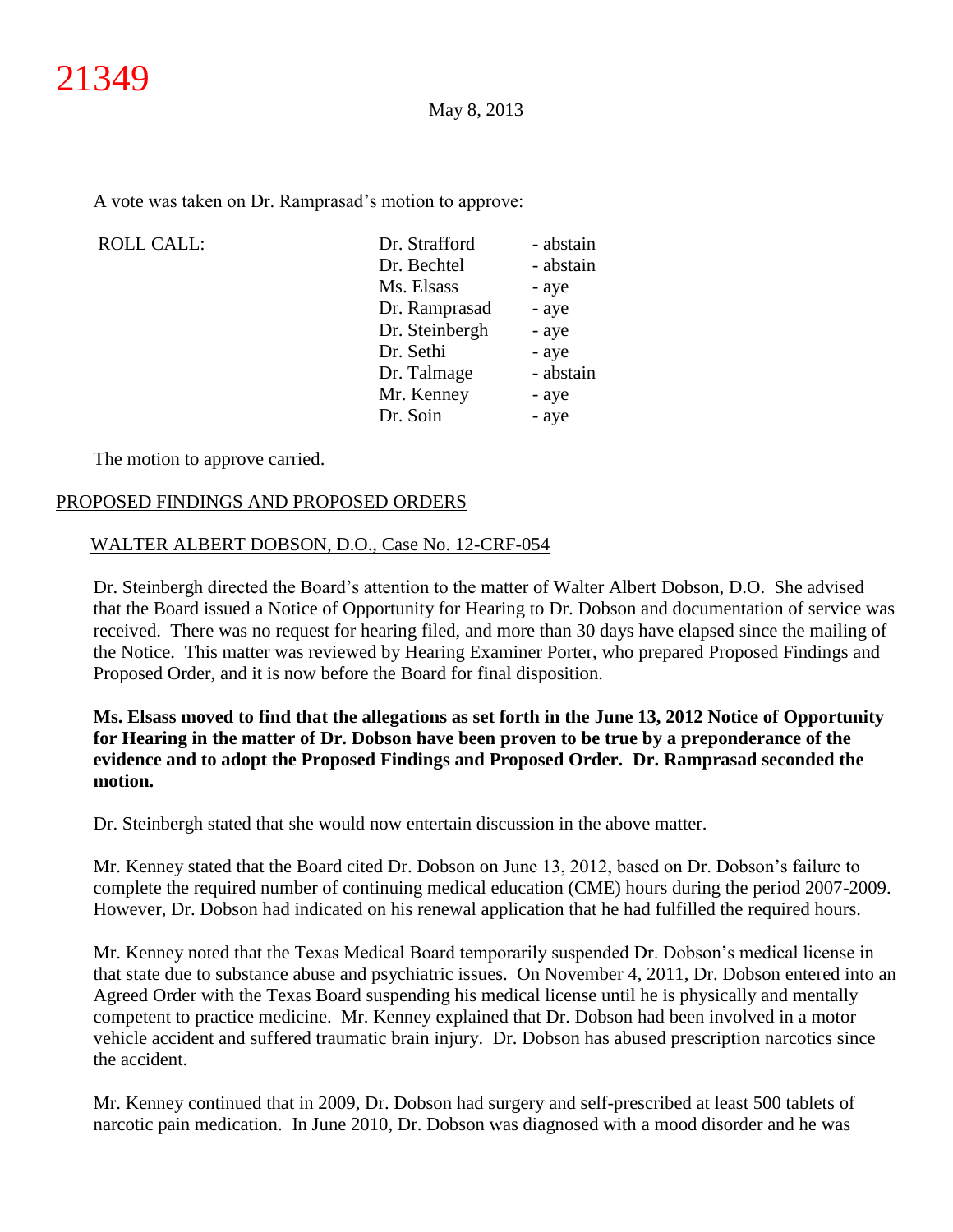A vote was taken on Dr. Ramprasad's motion to approve:

| <b>ROLL CALL:</b> | Dr. Strafford  | - abstain |
|-------------------|----------------|-----------|
|                   | Dr. Bechtel    | - abstain |
|                   | Ms. Elsass     | - aye     |
|                   | Dr. Ramprasad  | - aye     |
|                   | Dr. Steinbergh | - aye     |
|                   | Dr. Sethi      | - aye     |
|                   | Dr. Talmage    | - abstain |
|                   | Mr. Kenney     | - aye     |
|                   | Dr. Soin       | - aye     |
|                   |                |           |

The motion to approve carried.

# PROPOSED FINDINGS AND PROPOSED ORDERS

# WALTER ALBERT DOBSON, D.O., Case No. 12-CRF-054

Dr. Steinbergh directed the Board's attention to the matter of Walter Albert Dobson, D.O. She advised that the Board issued a Notice of Opportunity for Hearing to Dr. Dobson and documentation of service was received. There was no request for hearing filed, and more than 30 days have elapsed since the mailing of the Notice. This matter was reviewed by Hearing Examiner Porter, who prepared Proposed Findings and Proposed Order, and it is now before the Board for final disposition.

**Ms. Elsass moved to find that the allegations as set forth in the June 13, 2012 Notice of Opportunity for Hearing in the matter of Dr. Dobson have been proven to be true by a preponderance of the evidence and to adopt the Proposed Findings and Proposed Order. Dr. Ramprasad seconded the motion.**

Dr. Steinbergh stated that she would now entertain discussion in the above matter.

Mr. Kenney stated that the Board cited Dr. Dobson on June 13, 2012, based on Dr. Dobson's failure to complete the required number of continuing medical education (CME) hours during the period 2007-2009. However, Dr. Dobson had indicated on his renewal application that he had fulfilled the required hours.

Mr. Kenney noted that the Texas Medical Board temporarily suspended Dr. Dobson's medical license in that state due to substance abuse and psychiatric issues. On November 4, 2011, Dr. Dobson entered into an Agreed Order with the Texas Board suspending his medical license until he is physically and mentally competent to practice medicine. Mr. Kenney explained that Dr. Dobson had been involved in a motor vehicle accident and suffered traumatic brain injury. Dr. Dobson has abused prescription narcotics since the accident.

Mr. Kenney continued that in 2009, Dr. Dobson had surgery and self-prescribed at least 500 tablets of narcotic pain medication. In June 2010, Dr. Dobson was diagnosed with a mood disorder and he was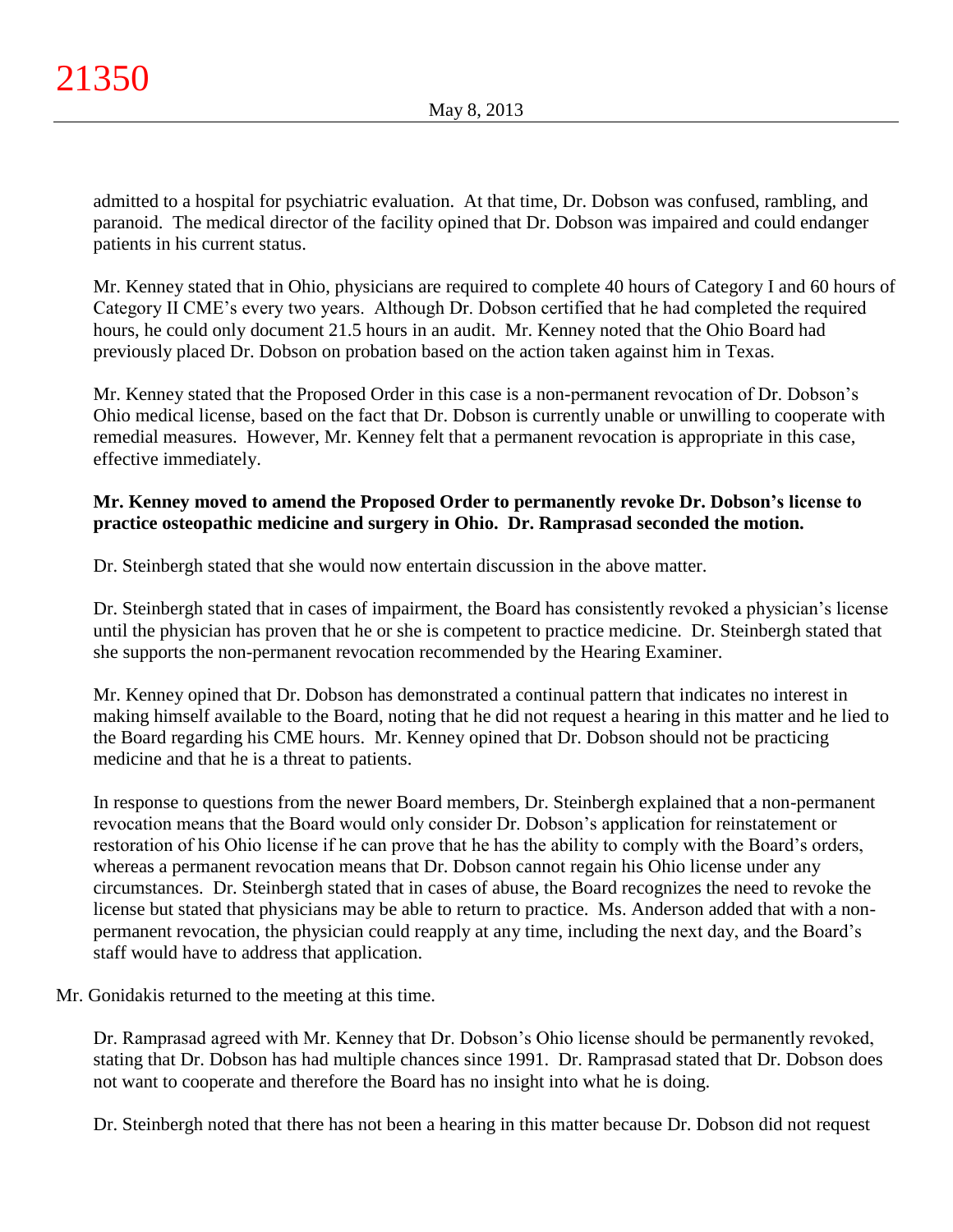admitted to a hospital for psychiatric evaluation. At that time, Dr. Dobson was confused, rambling, and paranoid. The medical director of the facility opined that Dr. Dobson was impaired and could endanger patients in his current status.

Mr. Kenney stated that in Ohio, physicians are required to complete 40 hours of Category I and 60 hours of Category II CME's every two years. Although Dr. Dobson certified that he had completed the required hours, he could only document 21.5 hours in an audit. Mr. Kenney noted that the Ohio Board had previously placed Dr. Dobson on probation based on the action taken against him in Texas.

Mr. Kenney stated that the Proposed Order in this case is a non-permanent revocation of Dr. Dobson's Ohio medical license, based on the fact that Dr. Dobson is currently unable or unwilling to cooperate with remedial measures. However, Mr. Kenney felt that a permanent revocation is appropriate in this case, effective immediately.

# **Mr. Kenney moved to amend the Proposed Order to permanently revoke Dr. Dobson's license to practice osteopathic medicine and surgery in Ohio. Dr. Ramprasad seconded the motion.**

Dr. Steinbergh stated that she would now entertain discussion in the above matter.

Dr. Steinbergh stated that in cases of impairment, the Board has consistently revoked a physician's license until the physician has proven that he or she is competent to practice medicine. Dr. Steinbergh stated that she supports the non-permanent revocation recommended by the Hearing Examiner.

Mr. Kenney opined that Dr. Dobson has demonstrated a continual pattern that indicates no interest in making himself available to the Board, noting that he did not request a hearing in this matter and he lied to the Board regarding his CME hours. Mr. Kenney opined that Dr. Dobson should not be practicing medicine and that he is a threat to patients.

In response to questions from the newer Board members, Dr. Steinbergh explained that a non-permanent revocation means that the Board would only consider Dr. Dobson's application for reinstatement or restoration of his Ohio license if he can prove that he has the ability to comply with the Board's orders, whereas a permanent revocation means that Dr. Dobson cannot regain his Ohio license under any circumstances. Dr. Steinbergh stated that in cases of abuse, the Board recognizes the need to revoke the license but stated that physicians may be able to return to practice. Ms. Anderson added that with a nonpermanent revocation, the physician could reapply at any time, including the next day, and the Board's staff would have to address that application.

Mr. Gonidakis returned to the meeting at this time.

Dr. Ramprasad agreed with Mr. Kenney that Dr. Dobson's Ohio license should be permanently revoked, stating that Dr. Dobson has had multiple chances since 1991. Dr. Ramprasad stated that Dr. Dobson does not want to cooperate and therefore the Board has no insight into what he is doing.

Dr. Steinbergh noted that there has not been a hearing in this matter because Dr. Dobson did not request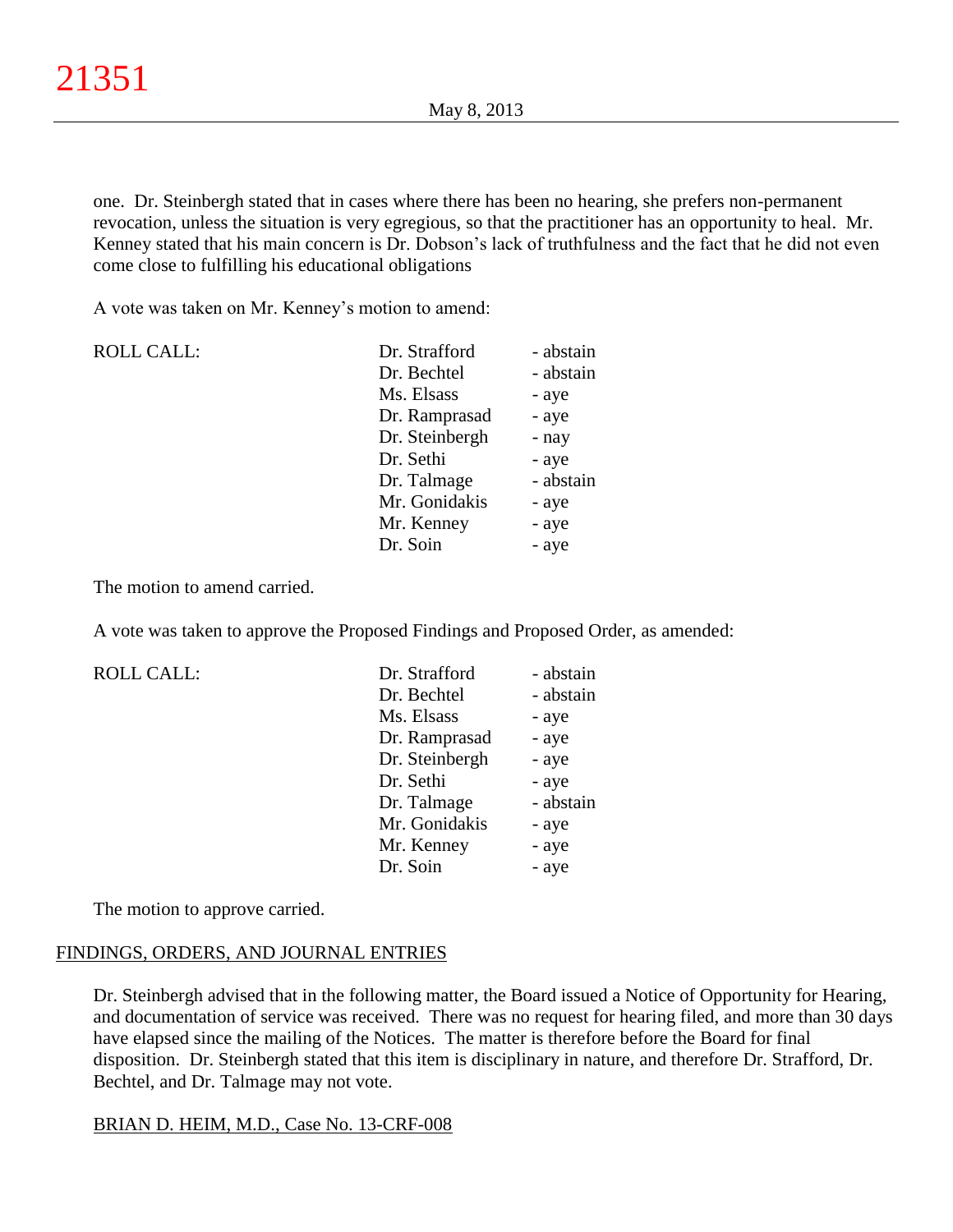one. Dr. Steinbergh stated that in cases where there has been no hearing, she prefers non-permanent revocation, unless the situation is very egregious, so that the practitioner has an opportunity to heal. Mr. Kenney stated that his main concern is Dr. Dobson's lack of truthfulness and the fact that he did not even come close to fulfilling his educational obligations

A vote was taken on Mr. Kenney's motion to amend:

| <b>ROLL CALL:</b> | Dr. Strafford  | - abstain |
|-------------------|----------------|-----------|
|                   | Dr. Bechtel    | - abstain |
|                   | Ms. Elsass     | - aye     |
|                   | Dr. Ramprasad  | - aye     |
|                   | Dr. Steinbergh | - nay     |
|                   | Dr. Sethi      | - aye     |
|                   | Dr. Talmage    | - abstain |
|                   | Mr. Gonidakis  | - aye     |
|                   | Mr. Kenney     | - aye     |
|                   | Dr. Soin       | - aye     |

The motion to amend carried.

A vote was taken to approve the Proposed Findings and Proposed Order, as amended:

ROLL CALL:

| Dr. Strafford  | - abstain |
|----------------|-----------|
| Dr. Bechtel    | - abstain |
| Ms. Elsass     | - aye     |
| Dr. Ramprasad  | - aye     |
| Dr. Steinbergh | - aye     |
| Dr. Sethi      | - aye     |
| Dr. Talmage    | - abstain |
| Mr. Gonidakis  | - aye     |
| Mr. Kenney     | - aye     |
| Dr. Soin       | - aye     |

The motion to approve carried.

#### FINDINGS, ORDERS, AND JOURNAL ENTRIES

Dr. Steinbergh advised that in the following matter, the Board issued a Notice of Opportunity for Hearing, and documentation of service was received. There was no request for hearing filed, and more than 30 days have elapsed since the mailing of the Notices.The matter is therefore before the Board for final disposition. Dr. Steinbergh stated that this item is disciplinary in nature, and therefore Dr. Strafford, Dr. Bechtel, and Dr. Talmage may not vote.

#### BRIAN D. HEIM, M.D., Case No. 13-CRF-008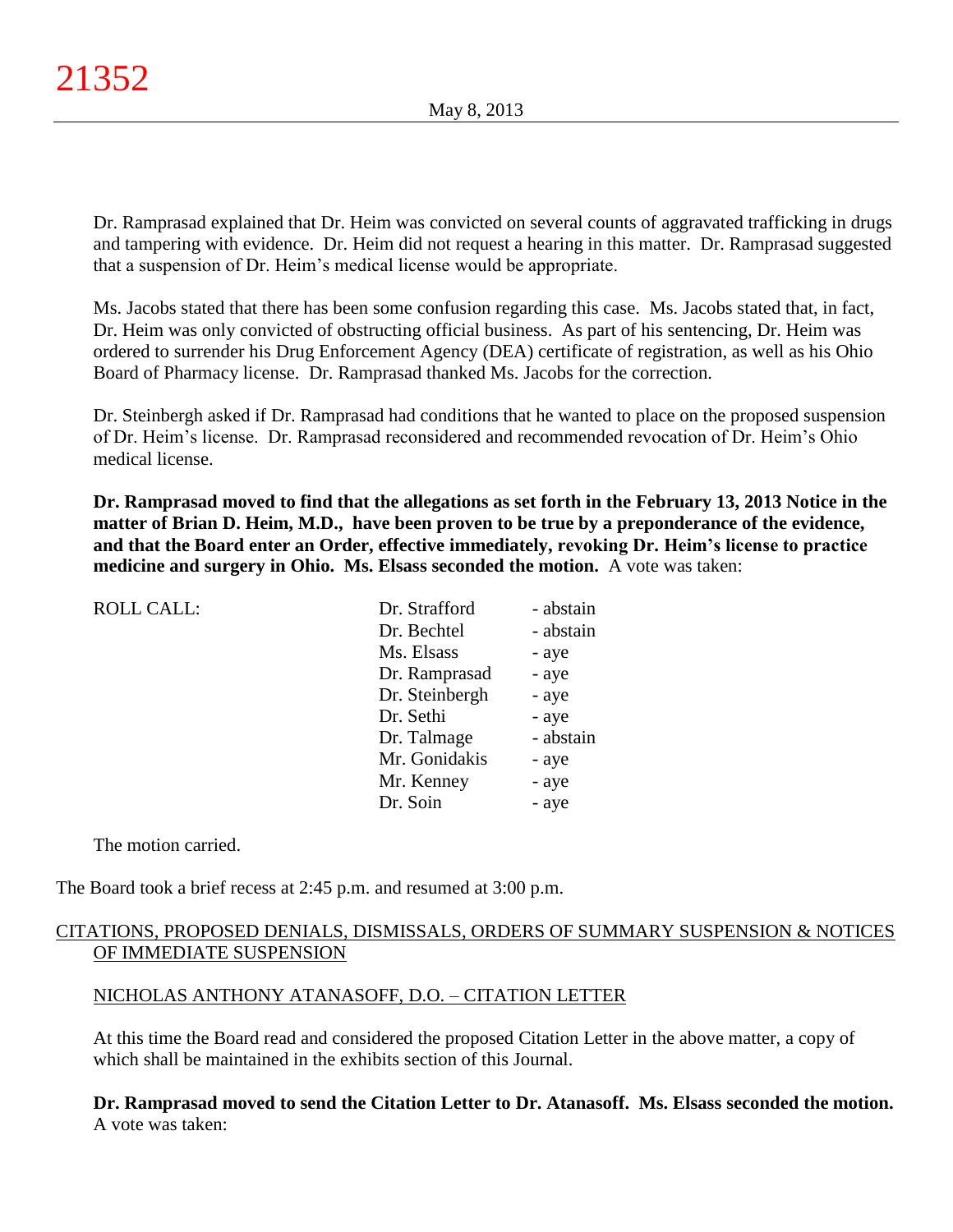Dr. Ramprasad explained that Dr. Heim was convicted on several counts of aggravated trafficking in drugs and tampering with evidence. Dr. Heim did not request a hearing in this matter. Dr. Ramprasad suggested that a suspension of Dr. Heim's medical license would be appropriate.

Ms. Jacobs stated that there has been some confusion regarding this case. Ms. Jacobs stated that, in fact, Dr. Heim was only convicted of obstructing official business. As part of his sentencing, Dr. Heim was ordered to surrender his Drug Enforcement Agency (DEA) certificate of registration, as well as his Ohio Board of Pharmacy license. Dr. Ramprasad thanked Ms. Jacobs for the correction.

Dr. Steinbergh asked if Dr. Ramprasad had conditions that he wanted to place on the proposed suspension of Dr. Heim's license. Dr. Ramprasad reconsidered and recommended revocation of Dr. Heim's Ohio medical license.

**Dr. Ramprasad moved to find that the allegations as set forth in the February 13, 2013 Notice in the matter of Brian D. Heim, M.D., have been proven to be true by a preponderance of the evidence, and that the Board enter an Order, effective immediately, revoking Dr. Heim's license to practice medicine and surgery in Ohio. Ms. Elsass seconded the motion.** A vote was taken:

| <b>ROLL CALL:</b> | Dr. Strafford  | - abstain |
|-------------------|----------------|-----------|
|                   | Dr. Bechtel    | - abstain |
|                   | Ms. Elsass     | - aye     |
|                   | Dr. Ramprasad  | - aye     |
|                   | Dr. Steinbergh | - aye     |
|                   | Dr. Sethi      | - aye     |
|                   | Dr. Talmage    | - abstain |
|                   | Mr. Gonidakis  | - aye     |
|                   | Mr. Kenney     | - aye     |
|                   | Dr. Soin       | - aye     |
|                   |                |           |

The motion carried.

The Board took a brief recess at 2:45 p.m. and resumed at 3:00 p.m.

# CITATIONS, PROPOSED DENIALS, DISMISSALS, ORDERS OF SUMMARY SUSPENSION & NOTICES OF IMMEDIATE SUSPENSION

# NICHOLAS ANTHONY ATANASOFF, D.O. – CITATION LETTER

At this time the Board read and considered the proposed Citation Letter in the above matter, a copy of which shall be maintained in the exhibits section of this Journal.

**Dr. Ramprasad moved to send the Citation Letter to Dr. Atanasoff. Ms. Elsass seconded the motion.** A vote was taken: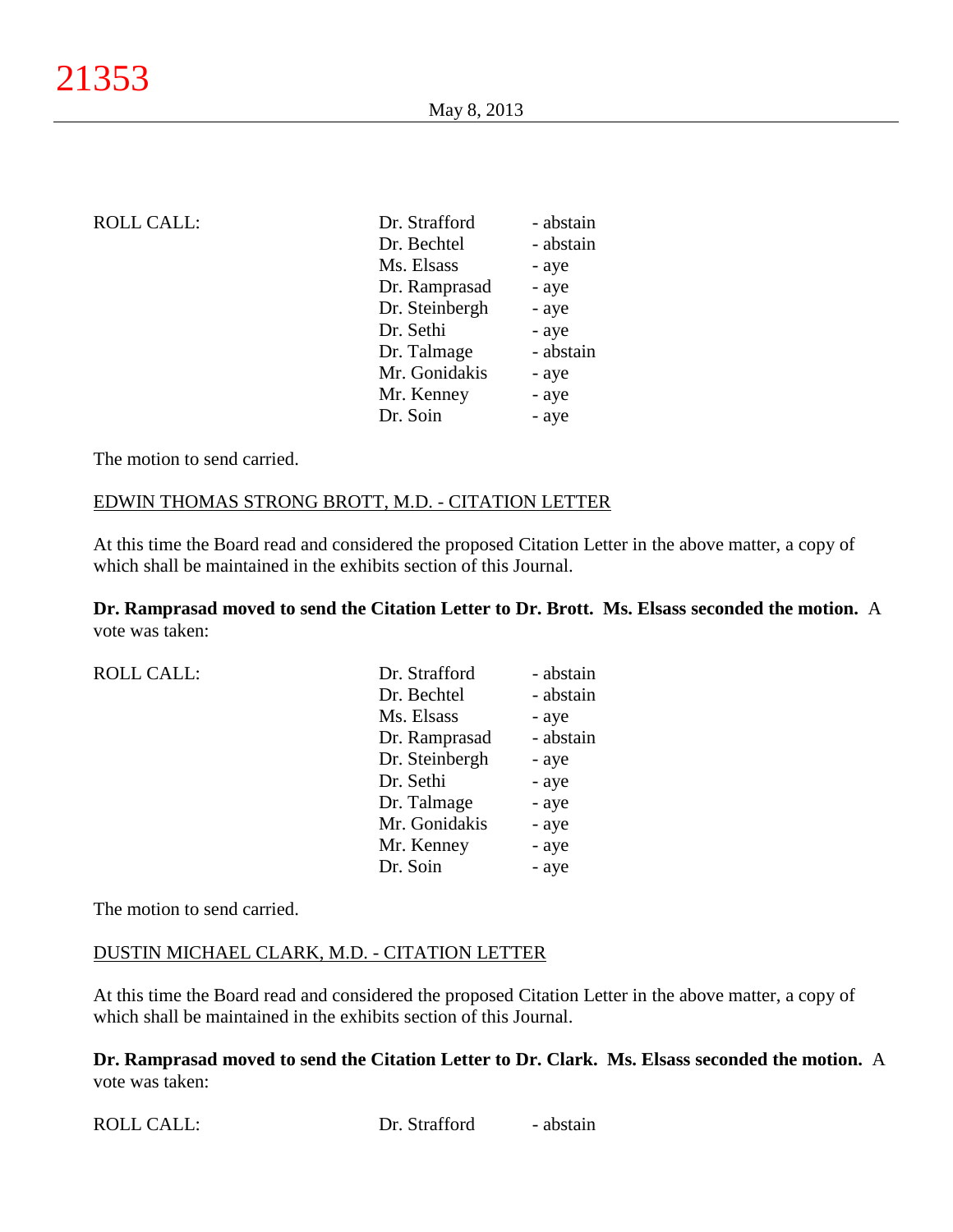| <b>ROLL CALL:</b> | Dr. Strafford  | - abstain |
|-------------------|----------------|-----------|
|                   | Dr. Bechtel    | - abstain |
|                   | Ms. Elsass     | - aye     |
|                   | Dr. Ramprasad  | - aye     |
|                   | Dr. Steinbergh | - aye     |
|                   | Dr. Sethi      | - aye     |
|                   | Dr. Talmage    | - abstain |
|                   | Mr. Gonidakis  | - aye     |
|                   | Mr. Kenney     | - aye     |
|                   | Dr. Soin       | - aye     |
|                   |                |           |

#### EDWIN THOMAS STRONG BROTT, M.D. - CITATION LETTER

At this time the Board read and considered the proposed Citation Letter in the above matter, a copy of which shall be maintained in the exhibits section of this Journal.

**Dr. Ramprasad moved to send the Citation Letter to Dr. Brott. Ms. Elsass seconded the motion.** A vote was taken:

| <b>ROLL CALL:</b> | Dr. Strafford  | - abstain |
|-------------------|----------------|-----------|
|                   | Dr. Bechtel    | - abstain |
|                   | Ms. Elsass     | - aye     |
|                   | Dr. Ramprasad  | - abstain |
|                   | Dr. Steinbergh | - aye     |
|                   | Dr. Sethi      | - aye     |
|                   | Dr. Talmage    | - aye     |
|                   | Mr. Gonidakis  | - aye     |
|                   | Mr. Kenney     | - aye     |
|                   | Dr. Soin       | - aye     |
|                   |                |           |

The motion to send carried.

#### DUSTIN MICHAEL CLARK, M.D. - CITATION LETTER

At this time the Board read and considered the proposed Citation Letter in the above matter, a copy of which shall be maintained in the exhibits section of this Journal.

**Dr. Ramprasad moved to send the Citation Letter to Dr. Clark. Ms. Elsass seconded the motion.** A vote was taken: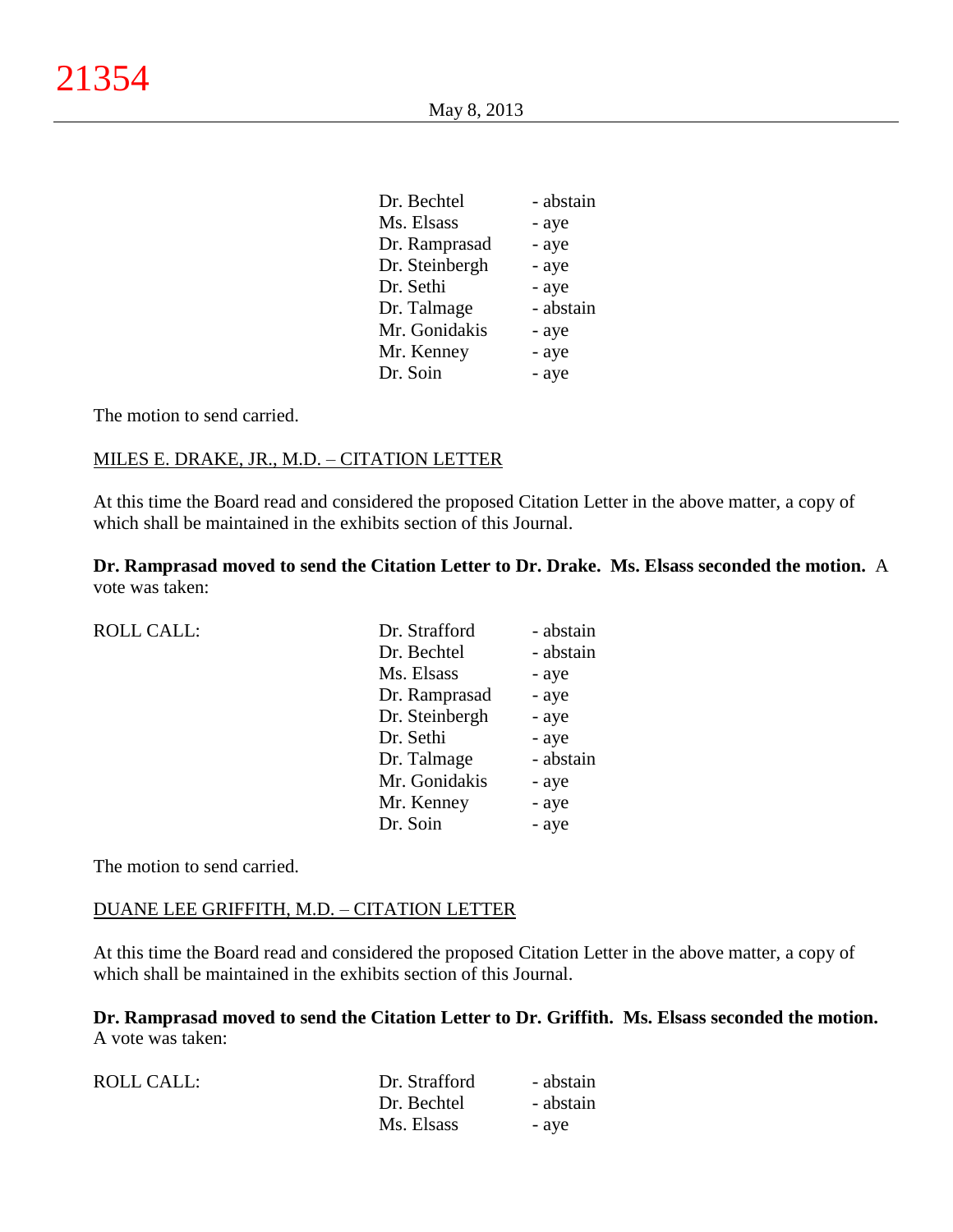| Dr. Bechtel    | - abstain |
|----------------|-----------|
| Ms. Elsass     | - aye     |
| Dr. Ramprasad  | - aye     |
| Dr. Steinbergh | - aye     |
| Dr. Sethi      | - aye     |
| Dr. Talmage    | - abstain |
| Mr. Gonidakis  | - aye     |
| Mr. Kenney     | - aye     |
| Dr. Soin       | - aye     |
|                |           |

# MILES E. DRAKE, JR., M.D. – CITATION LETTER

At this time the Board read and considered the proposed Citation Letter in the above matter, a copy of which shall be maintained in the exhibits section of this Journal.

**Dr. Ramprasad moved to send the Citation Letter to Dr. Drake. Ms. Elsass seconded the motion.** A vote was taken:

| <b>ROLL CALL:</b> | Dr. Strafford  | - abstain |
|-------------------|----------------|-----------|
|                   | Dr. Bechtel    | - abstain |
|                   | Ms. Elsass     | - aye     |
|                   | Dr. Ramprasad  | - aye     |
|                   | Dr. Steinbergh | - aye     |
|                   | Dr. Sethi      | - aye     |
|                   | Dr. Talmage    | - abstain |
|                   | Mr. Gonidakis  | - aye     |
|                   | Mr. Kenney     | - aye     |
|                   | Dr. Soin       | - aye     |

The motion to send carried.

# DUANE LEE GRIFFITH, M.D. – CITATION LETTER

At this time the Board read and considered the proposed Citation Letter in the above matter, a copy of which shall be maintained in the exhibits section of this Journal.

**Dr. Ramprasad moved to send the Citation Letter to Dr. Griffith. Ms. Elsass seconded the motion.** A vote was taken:

| ROLL CALL: | Dr. Strafford | - abstain |
|------------|---------------|-----------|
|            | Dr. Bechtel   | - abstain |
|            | Ms. Elsass    | - aye     |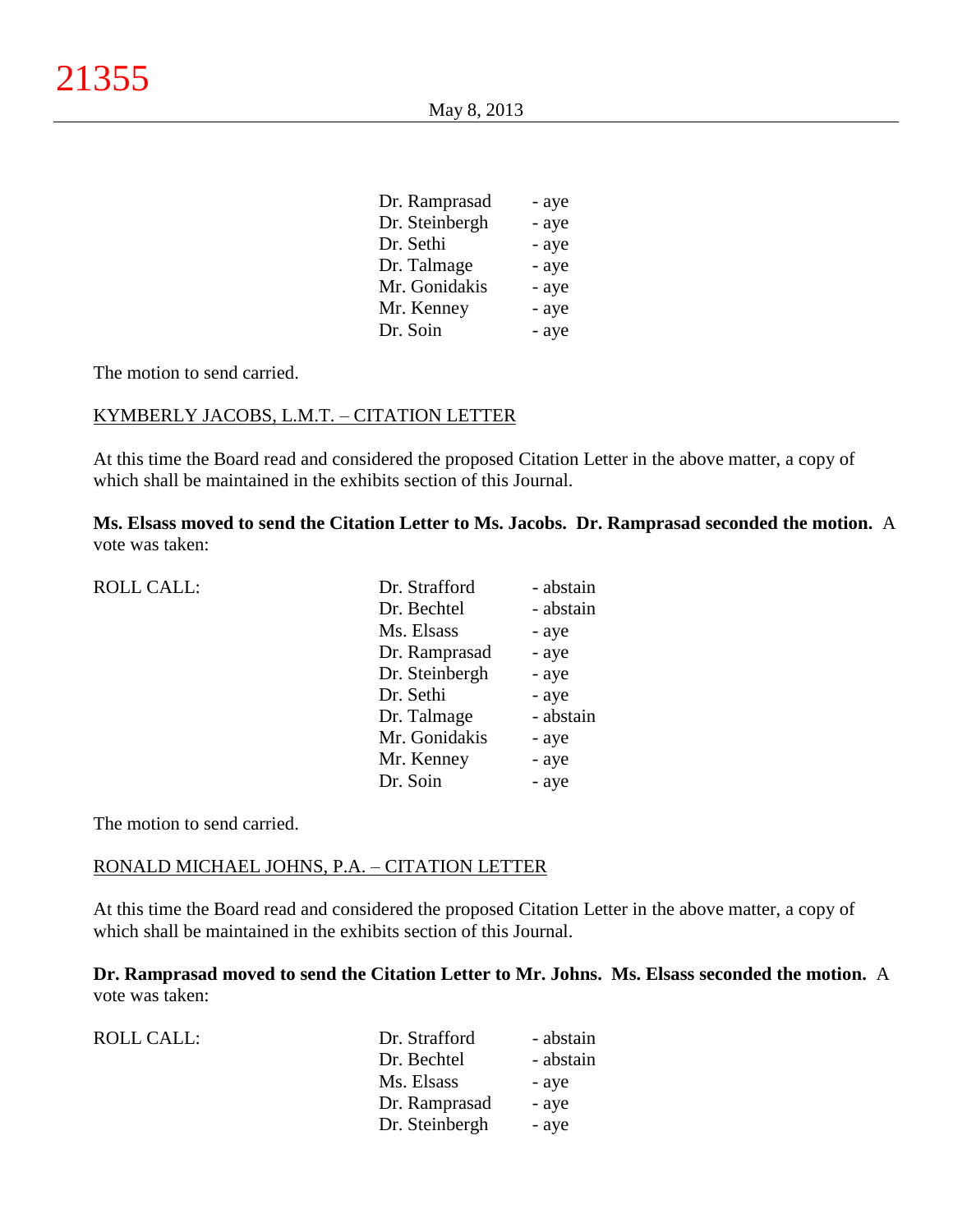| - aye |
|-------|
| - aye |
| - aye |
| - aye |
| - aye |
| - aye |
| - aye |
|       |

### KYMBERLY JACOBS, L.M.T. – CITATION LETTER

At this time the Board read and considered the proposed Citation Letter in the above matter, a copy of which shall be maintained in the exhibits section of this Journal.

**Ms. Elsass moved to send the Citation Letter to Ms. Jacobs. Dr. Ramprasad seconded the motion.** A vote was taken:

| <b>ROLL CALL:</b> | Dr. Strafford  | - abstain |
|-------------------|----------------|-----------|
|                   | Dr. Bechtel    | - abstain |
|                   | Ms. Elsass     | - aye     |
|                   | Dr. Ramprasad  | - aye     |
|                   | Dr. Steinbergh | - aye     |
|                   | Dr. Sethi      | - aye     |
|                   | Dr. Talmage    | - abstain |
|                   | Mr. Gonidakis  | - aye     |
|                   | Mr. Kenney     | - aye     |
|                   | Dr. Soin       | - aye     |
|                   |                |           |

The motion to send carried.

ROLL CALL:

## RONALD MICHAEL JOHNS, P.A. – CITATION LETTER

At this time the Board read and considered the proposed Citation Letter in the above matter, a copy of which shall be maintained in the exhibits section of this Journal.

**Dr. Ramprasad moved to send the Citation Letter to Mr. Johns. Ms. Elsass seconded the motion.** A vote was taken:

| Dr. Strafford | - abstain               |  |
|---------------|-------------------------|--|
| Dr. Bechtel   | - abstain               |  |
| Ms. Elsass    | - aye                   |  |
|               | Dr. Ramprasad<br>- aye  |  |
|               | Dr. Steinbergh<br>- aye |  |
|               |                         |  |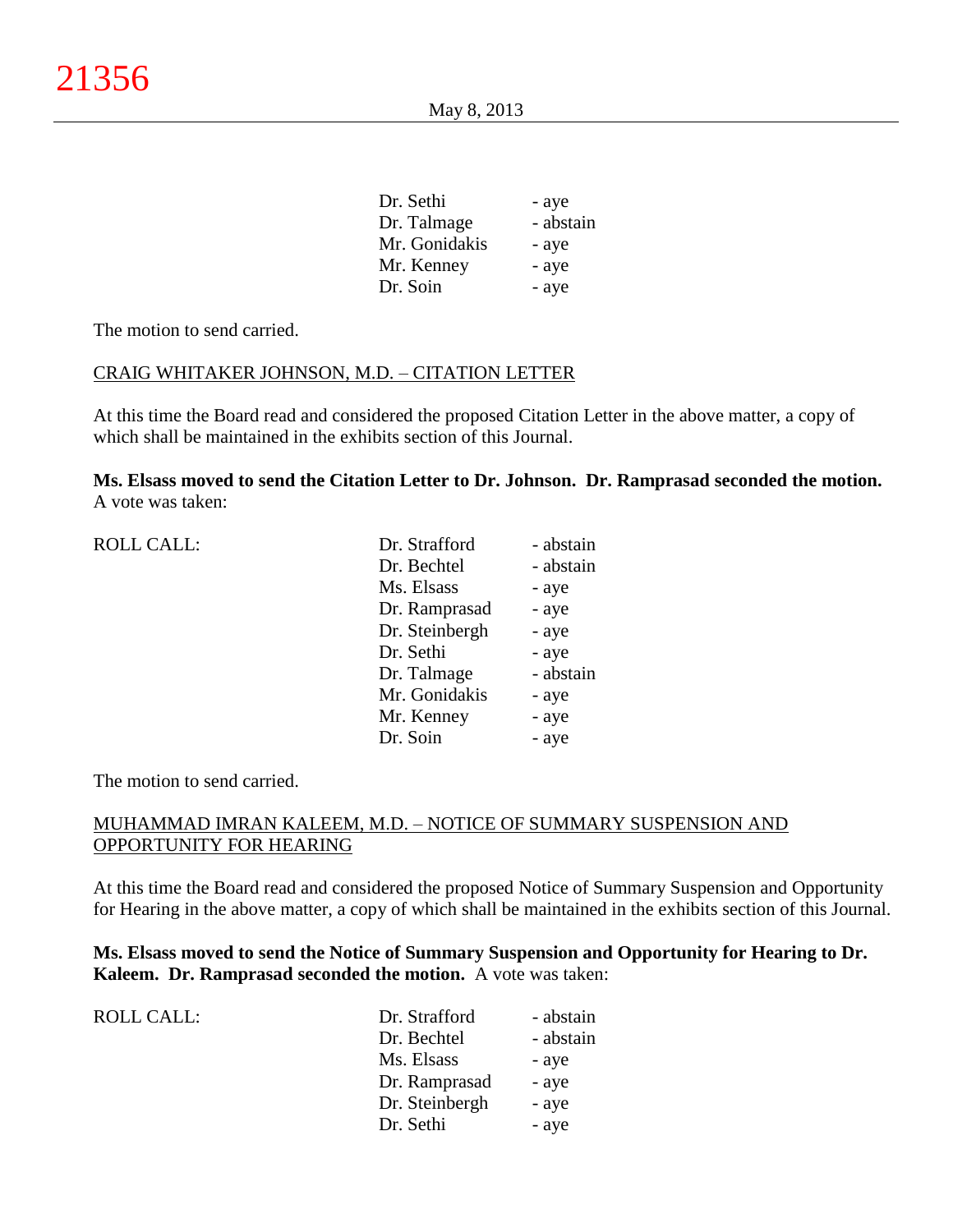| Dr. Sethi     | - aye     |
|---------------|-----------|
| Dr. Talmage   | - abstain |
| Mr. Gonidakis | - aye     |
| Mr. Kenney    | - aye     |
| Dr. Soin      | - aye     |
|               |           |

### CRAIG WHITAKER JOHNSON, M.D. – CITATION LETTER

At this time the Board read and considered the proposed Citation Letter in the above matter, a copy of which shall be maintained in the exhibits section of this Journal.

**Ms. Elsass moved to send the Citation Letter to Dr. Johnson. Dr. Ramprasad seconded the motion.** A vote was taken:

| <b>ROLL CALL:</b> | Dr. Strafford  | - abstain |
|-------------------|----------------|-----------|
|                   | Dr. Bechtel    | - abstain |
|                   | Ms. Elsass     | - aye     |
|                   | Dr. Ramprasad  | - aye     |
|                   | Dr. Steinbergh | - aye     |
|                   | Dr. Sethi      | - aye     |
|                   | Dr. Talmage    | - abstain |
|                   | Mr. Gonidakis  | - aye     |
|                   | Mr. Kenney     | - aye     |
|                   | Dr. Soin       | - aye     |
|                   |                |           |

The motion to send carried.

# MUHAMMAD IMRAN KALEEM, M.D. – NOTICE OF SUMMARY SUSPENSION AND OPPORTUNITY FOR HEARING

At this time the Board read and considered the proposed Notice of Summary Suspension and Opportunity for Hearing in the above matter, a copy of which shall be maintained in the exhibits section of this Journal.

**Ms. Elsass moved to send the Notice of Summary Suspension and Opportunity for Hearing to Dr. Kaleem. Dr. Ramprasad seconded the motion.** A vote was taken:

| ROLL CALL: | Dr. Strafford  | - abstain |
|------------|----------------|-----------|
|            | Dr. Bechtel    | - abstain |
|            | Ms. Elsass     | - aye     |
|            | Dr. Ramprasad  | - aye     |
|            | Dr. Steinbergh | - aye     |
|            | Dr. Sethi      | - aye     |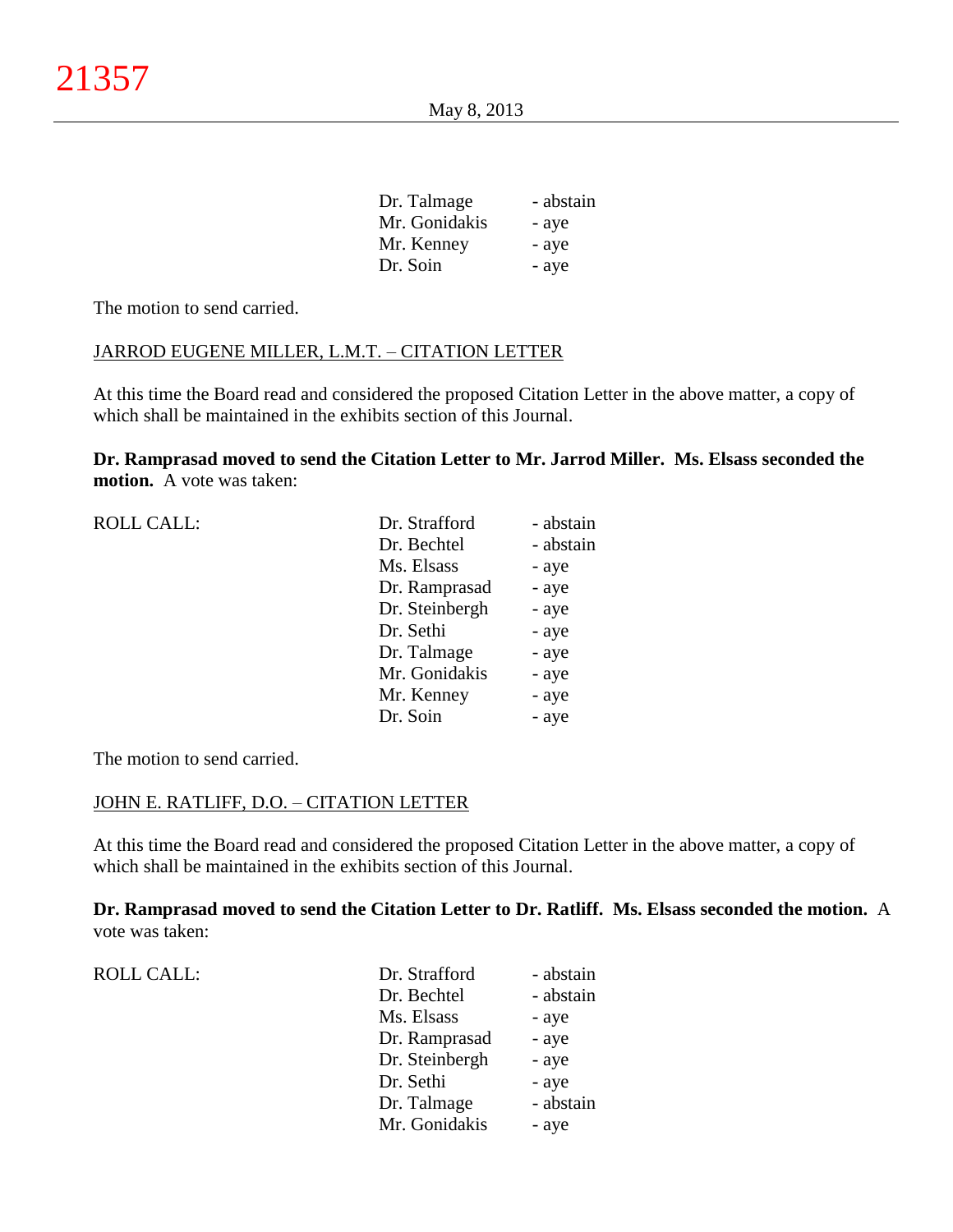| Dr. Talmage   | - abstain |
|---------------|-----------|
| Mr. Gonidakis | - aye     |
| Mr. Kenney    | - aye     |
| Dr. Soin      | - aye     |

ROLL CALL:

# JARROD EUGENE MILLER, L.M.T. – CITATION LETTER

At this time the Board read and considered the proposed Citation Letter in the above matter, a copy of which shall be maintained in the exhibits section of this Journal.

**Dr. Ramprasad moved to send the Citation Letter to Mr. Jarrod Miller. Ms. Elsass seconded the motion.** A vote was taken:

| Dr. Strafford  | - abstain |
|----------------|-----------|
| Dr. Bechtel    | - abstain |
| Ms. Elsass     | - aye     |
| Dr. Ramprasad  | - aye     |
| Dr. Steinbergh | - aye     |
| Dr. Sethi      | - aye     |
| Dr. Talmage    | - aye     |
| Mr. Gonidakis  | - aye     |
| Mr. Kenney     | - aye     |
| Dr. Soin       | - aye     |
|                |           |

The motion to send carried.

# JOHN E. RATLIFF, D.O. – CITATION LETTER

At this time the Board read and considered the proposed Citation Letter in the above matter, a copy of which shall be maintained in the exhibits section of this Journal.

**Dr. Ramprasad moved to send the Citation Letter to Dr. Ratliff. Ms. Elsass seconded the motion.** A vote was taken:

| ROLL CALL: | Dr. Strafford  | - abstain |
|------------|----------------|-----------|
|            | Dr. Bechtel    | - abstain |
|            | Ms. Elsass     | - aye     |
|            | Dr. Ramprasad  | - aye     |
|            | Dr. Steinbergh | - aye     |
|            | Dr. Sethi      | - aye     |
|            | Dr. Talmage    | - abstain |
|            | Mr. Gonidakis  | - aye     |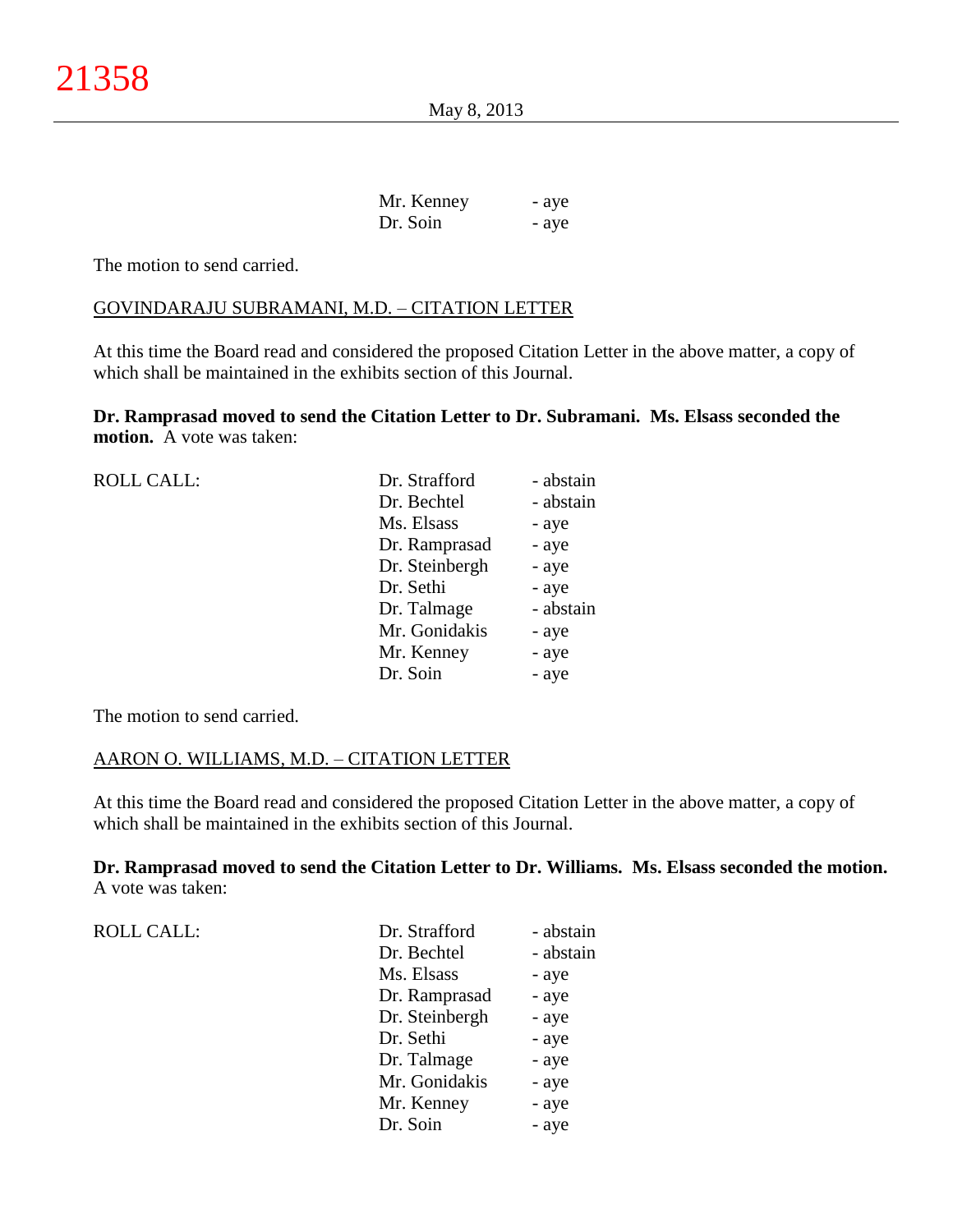| Mr. Kenney | - aye |
|------------|-------|
| Dr. Soin   | - aye |

#### GOVINDARAJU SUBRAMANI, M.D. – CITATION LETTER

At this time the Board read and considered the proposed Citation Letter in the above matter, a copy of which shall be maintained in the exhibits section of this Journal.

**Dr. Ramprasad moved to send the Citation Letter to Dr. Subramani. Ms. Elsass seconded the motion.** A vote was taken:

| <b>ROLL CALL:</b> | Dr. Strafford  | - abstain |
|-------------------|----------------|-----------|
|                   | Dr. Bechtel    | - abstain |
|                   | Ms. Elsass     | - aye     |
|                   | Dr. Ramprasad  | - aye     |
|                   | Dr. Steinbergh | - aye     |
|                   | Dr. Sethi      | - aye     |
|                   | Dr. Talmage    | - abstain |
|                   | Mr. Gonidakis  | - aye     |
|                   | Mr. Kenney     | - aye     |
|                   | Dr. Soin       | - aye     |
|                   |                |           |

The motion to send carried.

# AARON O. WILLIAMS, M.D. – CITATION LETTER

At this time the Board read and considered the proposed Citation Letter in the above matter, a copy of which shall be maintained in the exhibits section of this Journal.

**Dr. Ramprasad moved to send the Citation Letter to Dr. Williams. Ms. Elsass seconded the motion.** A vote was taken:

ROLL CALL:

| Dr. Strafford  | - abstain |
|----------------|-----------|
| Dr. Bechtel    | - abstain |
| Ms. Elsass     | - aye     |
| Dr. Ramprasad  | - aye     |
| Dr. Steinbergh | - aye     |
| Dr. Sethi      | - aye     |
| Dr. Talmage    | - aye     |
| Mr. Gonidakis  | - aye     |
| Mr. Kenney     | - aye     |
| Dr. Soin       | - aye     |
|                |           |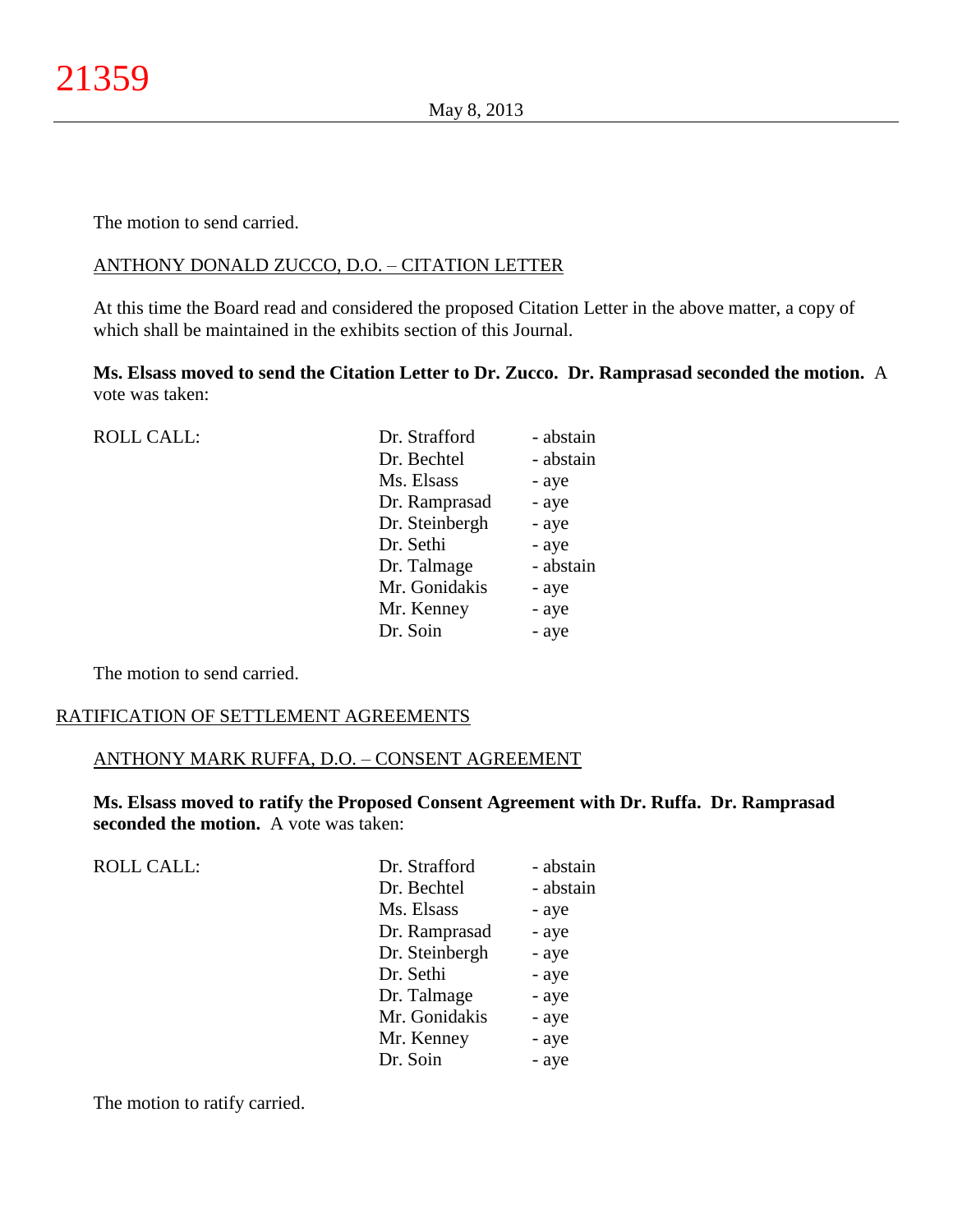# ANTHONY DONALD ZUCCO, D.O. – CITATION LETTER

At this time the Board read and considered the proposed Citation Letter in the above matter, a copy of which shall be maintained in the exhibits section of this Journal.

**Ms. Elsass moved to send the Citation Letter to Dr. Zucco. Dr. Ramprasad seconded the motion.** A vote was taken:

| <b>ROLL CALL:</b> | Dr. Strafford  | - abstain |
|-------------------|----------------|-----------|
|                   | Dr. Bechtel    | - abstain |
|                   | Ms. Elsass     | - aye     |
|                   | Dr. Ramprasad  | - aye     |
|                   | Dr. Steinbergh | - aye     |
|                   | Dr. Sethi      | - aye     |
|                   | Dr. Talmage    | - abstain |
|                   | Mr. Gonidakis  | - aye     |
|                   | Mr. Kenney     | - aye     |
|                   | Dr. Soin       | - aye     |
|                   |                |           |

The motion to send carried.

# RATIFICATION OF SETTLEMENT AGREEMENTS

# ANTHONY MARK RUFFA, D.O. – CONSENT AGREEMENT

**Ms. Elsass moved to ratify the Proposed Consent Agreement with Dr. Ruffa. Dr. Ramprasad seconded the motion.** A vote was taken:

| Dr. Strafford  | - abstain |
|----------------|-----------|
| Dr. Bechtel    | - abstain |
| Ms. Elsass     | - aye     |
| Dr. Ramprasad  | - aye     |
| Dr. Steinbergh | - aye     |
| Dr. Sethi      | - aye     |
| Dr. Talmage    | - aye     |
| Mr. Gonidakis  | - aye     |
| Mr. Kenney     | - aye     |
| Dr. Soin       | - aye     |
|                |           |

The motion to ratify carried.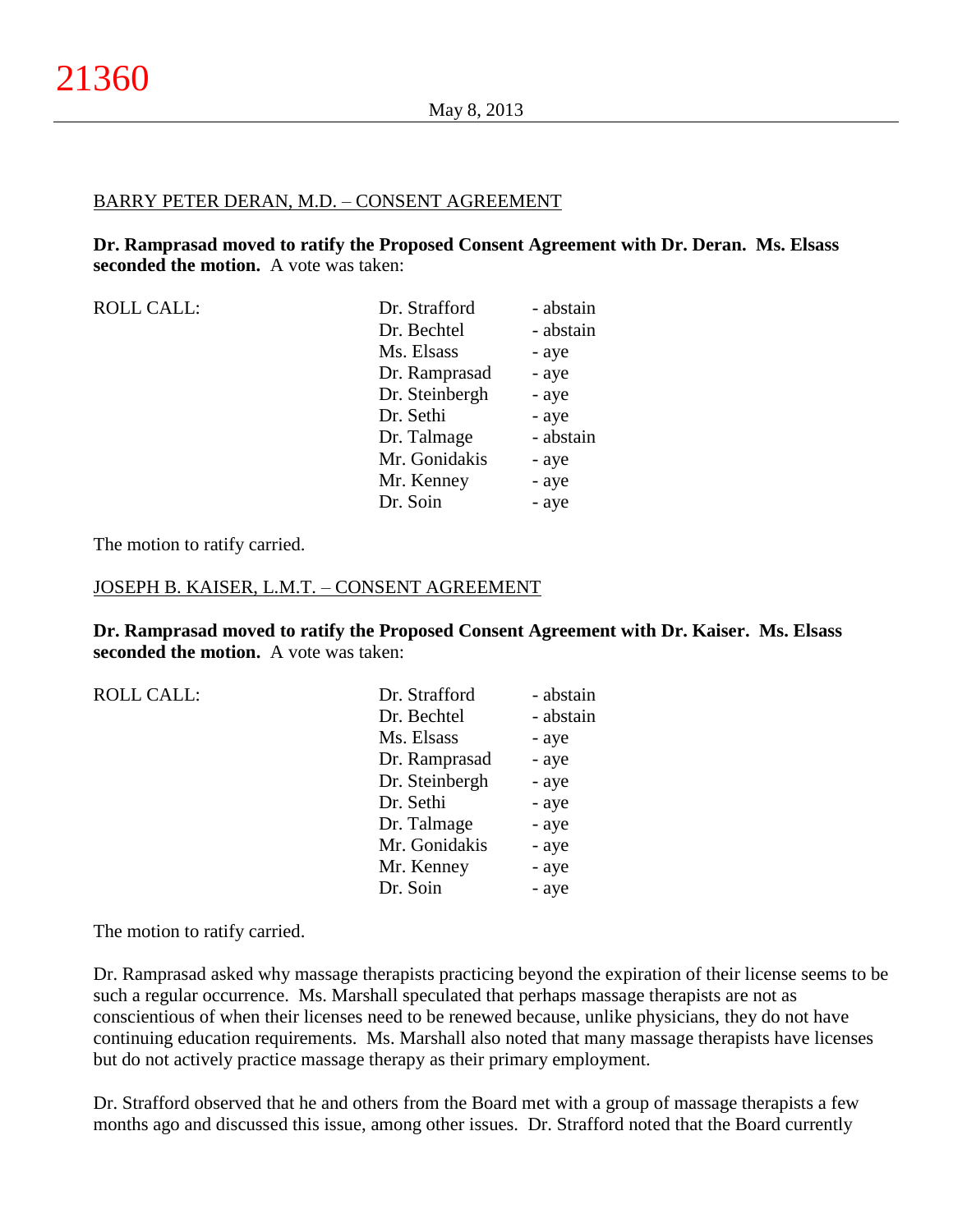#### BARRY PETER DERAN, M.D. – CONSENT AGREEMENT

**Dr. Ramprasad moved to ratify the Proposed Consent Agreement with Dr. Deran. Ms. Elsass seconded the motion.** A vote was taken:

| <b>ROLL CALL:</b> |  |
|-------------------|--|
|-------------------|--|

| <b>ROLL CALL:</b> | Dr. Strafford  | - abstain |
|-------------------|----------------|-----------|
|                   | Dr. Bechtel    | - abstain |
|                   | Ms. Elsass     | - aye     |
|                   | Dr. Ramprasad  | - aye     |
|                   | Dr. Steinbergh | - aye     |
|                   | Dr. Sethi      | - aye     |
|                   | Dr. Talmage    | - abstain |
|                   | Mr. Gonidakis  | - aye     |
|                   | Mr. Kenney     | - aye     |
|                   | Dr. Soin       | - aye     |
|                   |                |           |

The motion to ratify carried.

#### JOSEPH B. KAISER, L.M.T. – CONSENT AGREEMENT

**Dr. Ramprasad moved to ratify the Proposed Consent Agreement with Dr. Kaiser. Ms. Elsass seconded the motion.** A vote was taken:

| <b>ROLL CALL:</b> | Dr. Strafford  | - abstain |
|-------------------|----------------|-----------|
|                   | Dr. Bechtel    | - abstain |
|                   | Ms. Elsass     | - aye     |
|                   | Dr. Ramprasad  | - aye     |
|                   | Dr. Steinbergh | - aye     |
|                   | Dr. Sethi      | - aye     |
|                   | Dr. Talmage    | - aye     |
|                   | Mr. Gonidakis  | - aye     |
|                   | Mr. Kenney     | - aye     |
|                   | Dr. Soin       | - aye     |
|                   |                |           |

The motion to ratify carried.

Dr. Ramprasad asked why massage therapists practicing beyond the expiration of their license seems to be such a regular occurrence. Ms. Marshall speculated that perhaps massage therapists are not as conscientious of when their licenses need to be renewed because, unlike physicians, they do not have continuing education requirements. Ms. Marshall also noted that many massage therapists have licenses but do not actively practice massage therapy as their primary employment.

Dr. Strafford observed that he and others from the Board met with a group of massage therapists a few months ago and discussed this issue, among other issues. Dr. Strafford noted that the Board currently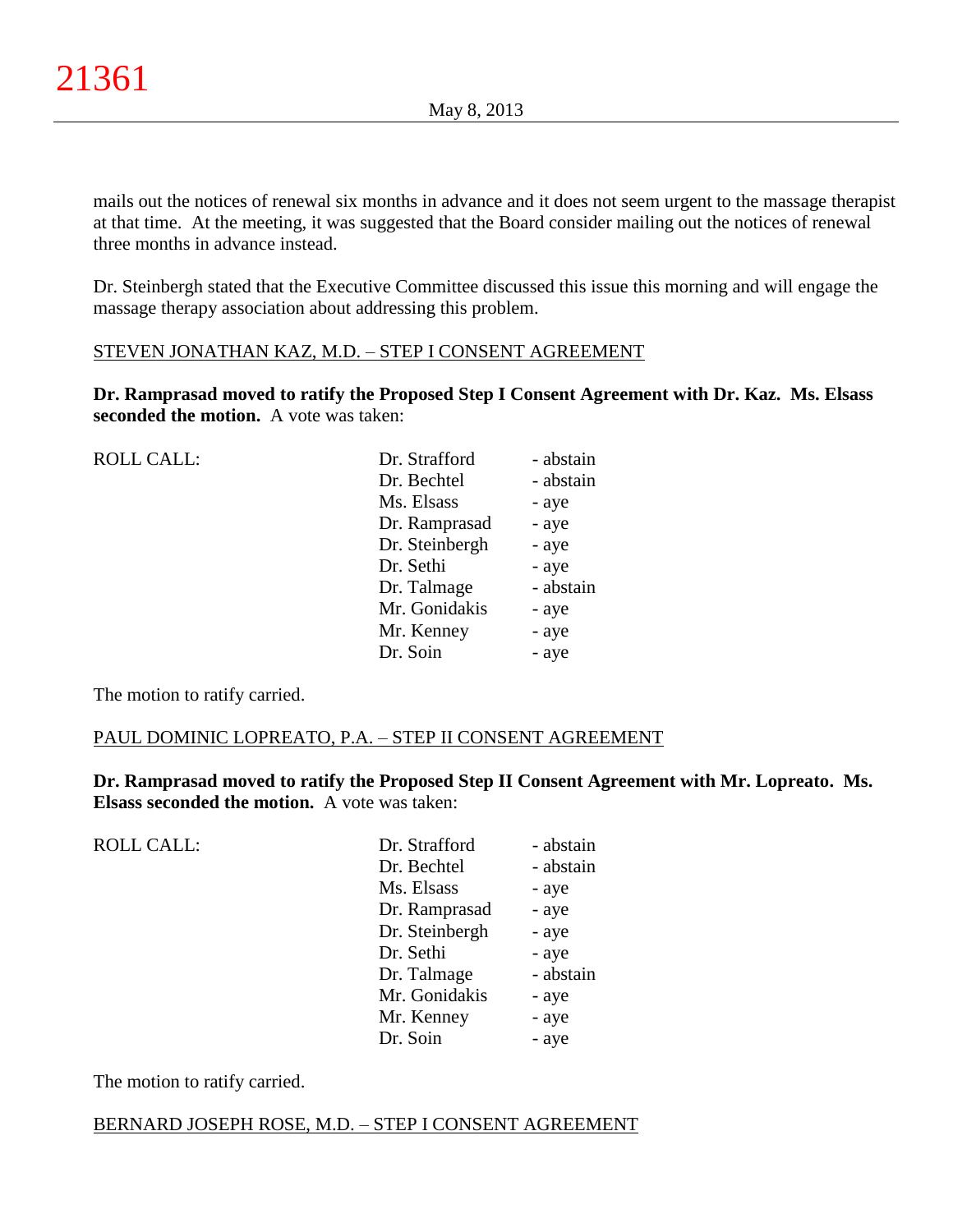mails out the notices of renewal six months in advance and it does not seem urgent to the massage therapist at that time. At the meeting, it was suggested that the Board consider mailing out the notices of renewal three months in advance instead.

Dr. Steinbergh stated that the Executive Committee discussed this issue this morning and will engage the massage therapy association about addressing this problem.

# STEVEN JONATHAN KAZ, M.D. – STEP I CONSENT AGREEMENT

**Dr. Ramprasad moved to ratify the Proposed Step I Consent Agreement with Dr. Kaz. Ms. Elsass seconded the motion.** A vote was taken:

| <b>ROLL CALL:</b> | Dr. Strafford  | - abstain |
|-------------------|----------------|-----------|
|                   | Dr. Bechtel    | - abstain |
|                   | Ms. Elsass     | - aye     |
|                   | Dr. Ramprasad  | - aye     |
|                   | Dr. Steinbergh | - aye     |
|                   | Dr. Sethi      | - aye     |
|                   | Dr. Talmage    | - abstain |
|                   | Mr. Gonidakis  | - aye     |
|                   | Mr. Kenney     | - aye     |
|                   | Dr. Soin       | - aye     |
|                   |                |           |

The motion to ratify carried.

# PAUL DOMINIC LOPREATO, P.A. – STEP II CONSENT AGREEMENT

**Dr. Ramprasad moved to ratify the Proposed Step II Consent Agreement with Mr. Lopreato. Ms. Elsass seconded the motion.** A vote was taken:

ROLL CALL: Dr. Strafford - abstain Dr. Bechtel - abstain Ms. Elsass - aye Dr. Ramprasad - aye Dr. Steinbergh - aye Dr. Sethi - aye Dr. Talmage - abstain Mr. Gonidakis - aye Mr. Kenney - aye Dr. Soin - aye

The motion to ratify carried.

# BERNARD JOSEPH ROSE, M.D. – STEP I CONSENT AGREEMENT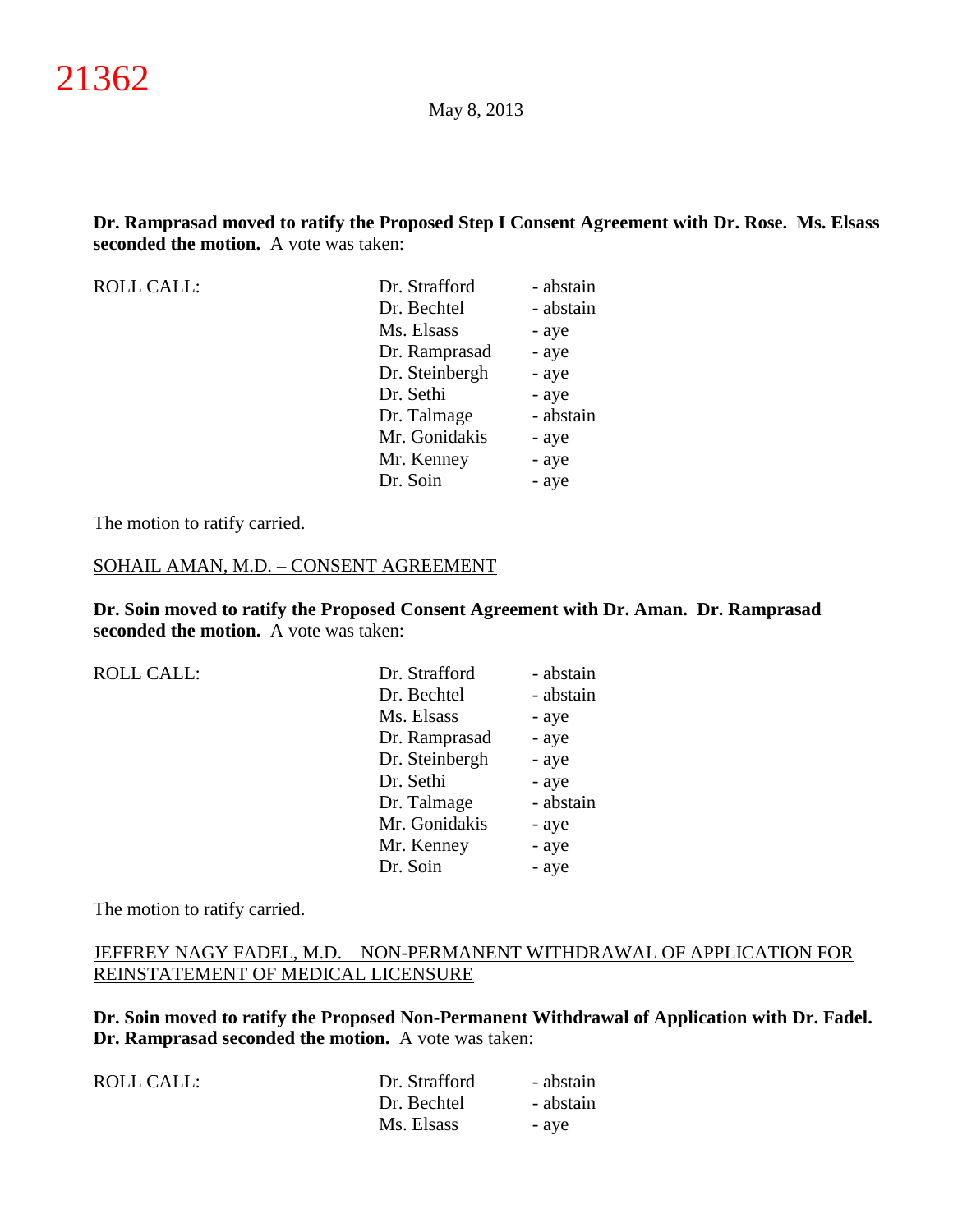**Dr. Ramprasad moved to ratify the Proposed Step I Consent Agreement with Dr. Rose. Ms. Elsass seconded the motion.** A vote was taken:

ROLL CALL:

| Dr. Strafford  | - abstain |
|----------------|-----------|
| Dr. Bechtel    | - abstain |
| Ms. Elsass     | - aye     |
| Dr. Ramprasad  | - aye     |
| Dr. Steinbergh | - aye     |
| Dr. Sethi      | - aye     |
| Dr. Talmage    | - abstain |
| Mr. Gonidakis  | - aye     |
| Mr. Kenney     | - aye     |
| Dr. Soin       | - aye     |
|                |           |

The motion to ratify carried.

#### SOHAIL AMAN, M.D. – CONSENT AGREEMENT

**Dr. Soin moved to ratify the Proposed Consent Agreement with Dr. Aman. Dr. Ramprasad seconded the motion.** A vote was taken:

|  |  | <b>ROLL CALL:</b> |
|--|--|-------------------|

| <b>ROLL CALL:</b> | Dr. Strafford  | - abstain |
|-------------------|----------------|-----------|
|                   | Dr. Bechtel    | - abstain |
|                   | Ms. Elsass     | - aye     |
|                   | Dr. Ramprasad  | - aye     |
|                   | Dr. Steinbergh | - aye     |
|                   | Dr. Sethi      | - aye     |
|                   | Dr. Talmage    | - abstain |
|                   | Mr. Gonidakis  | - aye     |
|                   | Mr. Kenney     | - aye     |
|                   | Dr. Soin       | - aye     |
|                   |                |           |

The motion to ratify carried.

# JEFFREY NAGY FADEL, M.D. – NON-PERMANENT WITHDRAWAL OF APPLICATION FOR REINSTATEMENT OF MEDICAL LICENSURE

**Dr. Soin moved to ratify the Proposed Non-Permanent Withdrawal of Application with Dr. Fadel. Dr. Ramprasad seconded the motion.** A vote was taken:

| Dr. Strafford | - abstain |
|---------------|-----------|
| Dr. Bechtel   | - abstain |
| Ms. Elsass    | - ave     |
|               |           |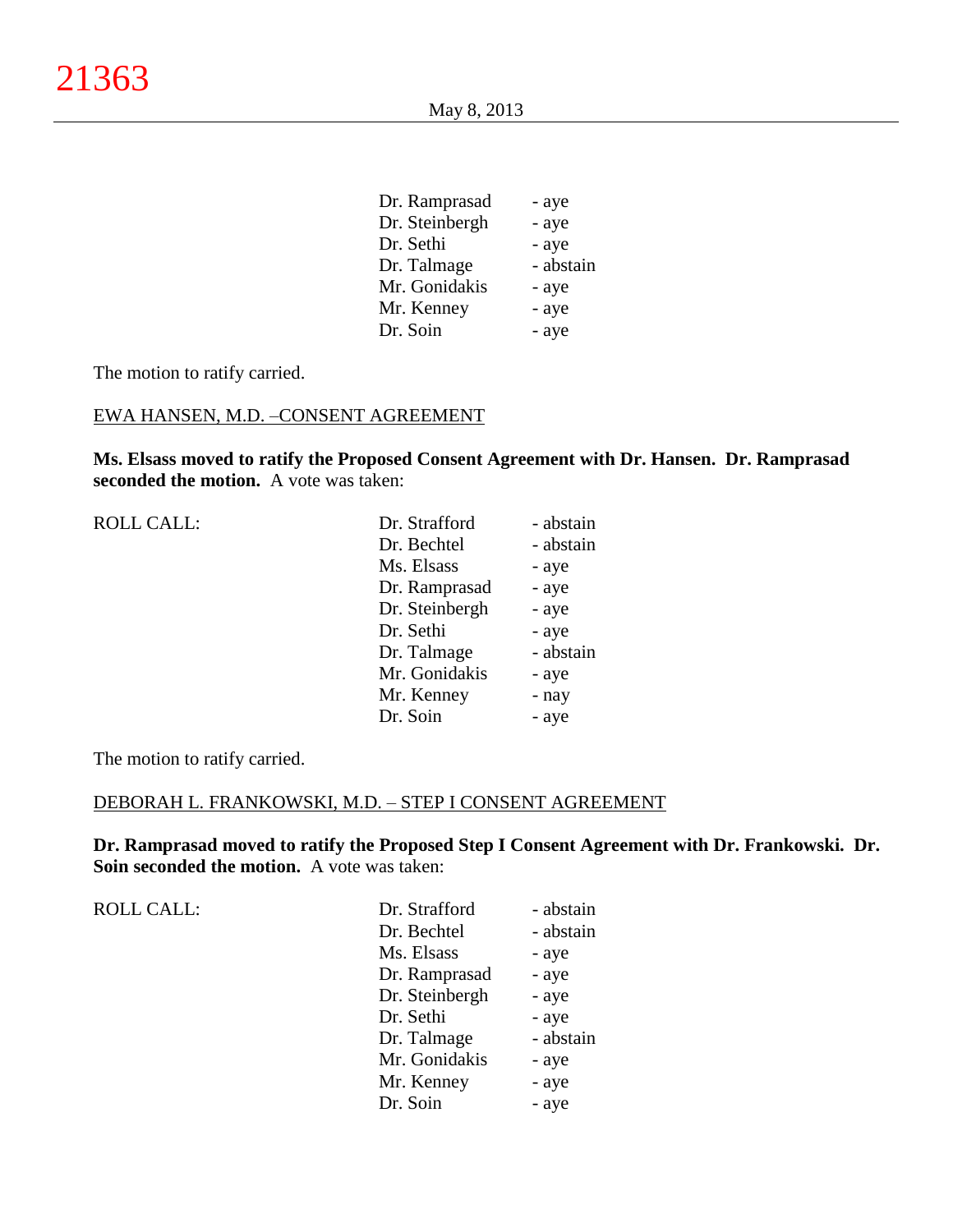| Dr. Ramprasad  | - aye     |
|----------------|-----------|
| Dr. Steinbergh | - aye     |
| Dr. Sethi      | - aye     |
| Dr. Talmage    | - abstain |
| Mr. Gonidakis  | - aye     |
| Mr. Kenney     | - aye     |
| Dr. Soin       | - aye     |
|                |           |

The motion to ratify carried.

#### EWA HANSEN, M.D. –CONSENT AGREEMENT

**Ms. Elsass moved to ratify the Proposed Consent Agreement with Dr. Hansen. Dr. Ramprasad seconded the motion.** A vote was taken:

ROLL CALL:

| Dr. Strafford  | - abstain |
|----------------|-----------|
| Dr. Bechtel    | - abstain |
| Ms. Elsass     | - aye     |
| Dr. Ramprasad  | - aye     |
| Dr. Steinbergh | - aye     |
| Dr. Sethi      | - aye     |
| Dr. Talmage    | - abstain |
| Mr. Gonidakis  | - aye     |
| Mr. Kenney     | - nay     |
| Dr. Soin       | - aye     |

The motion to ratify carried.

## DEBORAH L. FRANKOWSKI, M.D. – STEP I CONSENT AGREEMENT

**Dr. Ramprasad moved to ratify the Proposed Step I Consent Agreement with Dr. Frankowski. Dr. Soin seconded the motion.** A vote was taken:

| <b>ROLL CALL:</b> | Dr. Strafford  | - abstain |
|-------------------|----------------|-----------|
|                   | Dr. Bechtel    | - abstain |
|                   | Ms. Elsass     | - aye     |
|                   | Dr. Ramprasad  | - aye     |
|                   | Dr. Steinbergh | - aye     |
|                   | Dr. Sethi      | - aye     |
|                   | Dr. Talmage    | - abstain |
|                   | Mr. Gonidakis  | - aye     |
|                   | Mr. Kenney     | - aye     |
|                   | Dr. Soin       | - aye     |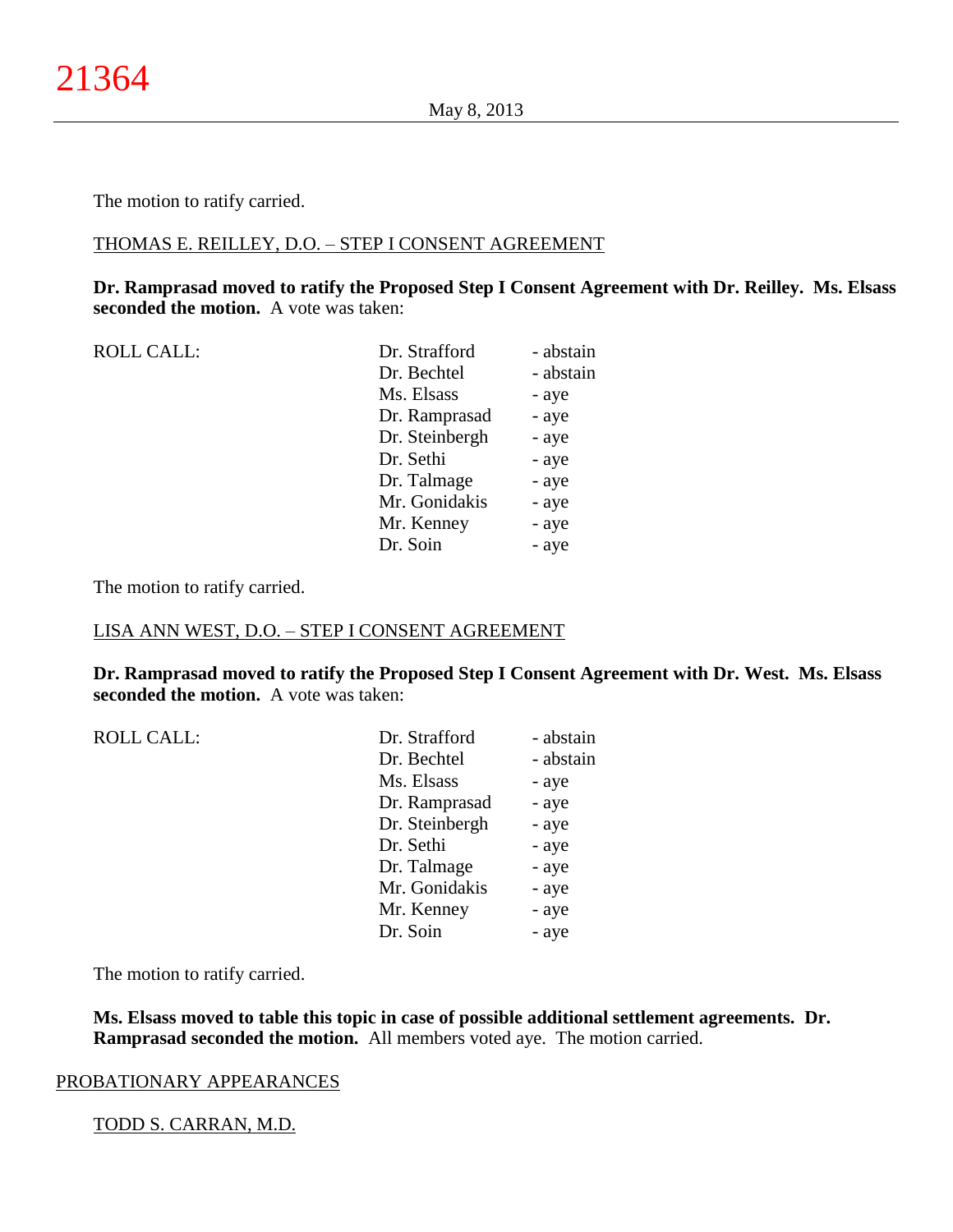The motion to ratify carried.

### THOMAS E. REILLEY, D.O. – STEP I CONSENT AGREEMENT

## **Dr. Ramprasad moved to ratify the Proposed Step I Consent Agreement with Dr. Reilley. Ms. Elsass seconded the motion.** A vote was taken:

| <b>ROLL CALL:</b> | Dr. Strafford  | - abstain |
|-------------------|----------------|-----------|
|                   | Dr. Bechtel    | - abstain |
|                   | Ms. Elsass     | - aye     |
|                   | Dr. Ramprasad  | - aye     |
|                   | Dr. Steinbergh | - aye     |
|                   | Dr. Sethi      | - aye     |
|                   | Dr. Talmage    | - aye     |
|                   | Mr. Gonidakis  | - aye     |
|                   | Mr. Kenney     | - aye     |
|                   | Dr. Soin       | - aye     |
|                   |                |           |

The motion to ratify carried.

## LISA ANN WEST, D.O. – STEP I CONSENT AGREEMENT

**Dr. Ramprasad moved to ratify the Proposed Step I Consent Agreement with Dr. West. Ms. Elsass seconded the motion.** A vote was taken:

| <b>ROLL CALL:</b> | Dr. Strafford  | - abstain |
|-------------------|----------------|-----------|
|                   | Dr. Bechtel    | - abstain |
|                   | Ms. Elsass     | - aye     |
|                   | Dr. Ramprasad  | - aye     |
|                   | Dr. Steinbergh | - aye     |
|                   | Dr. Sethi      | - aye     |
|                   | Dr. Talmage    | - aye     |
|                   | Mr. Gonidakis  | - aye     |
|                   | Mr. Kenney     | - aye     |
|                   | Dr. Soin       | - aye     |
|                   |                |           |

The motion to ratify carried.

**Ms. Elsass moved to table this topic in case of possible additional settlement agreements. Dr. Ramprasad seconded the motion.** All members voted aye. The motion carried.

#### PROBATIONARY APPEARANCES

#### TODD S. CARRAN, M.D.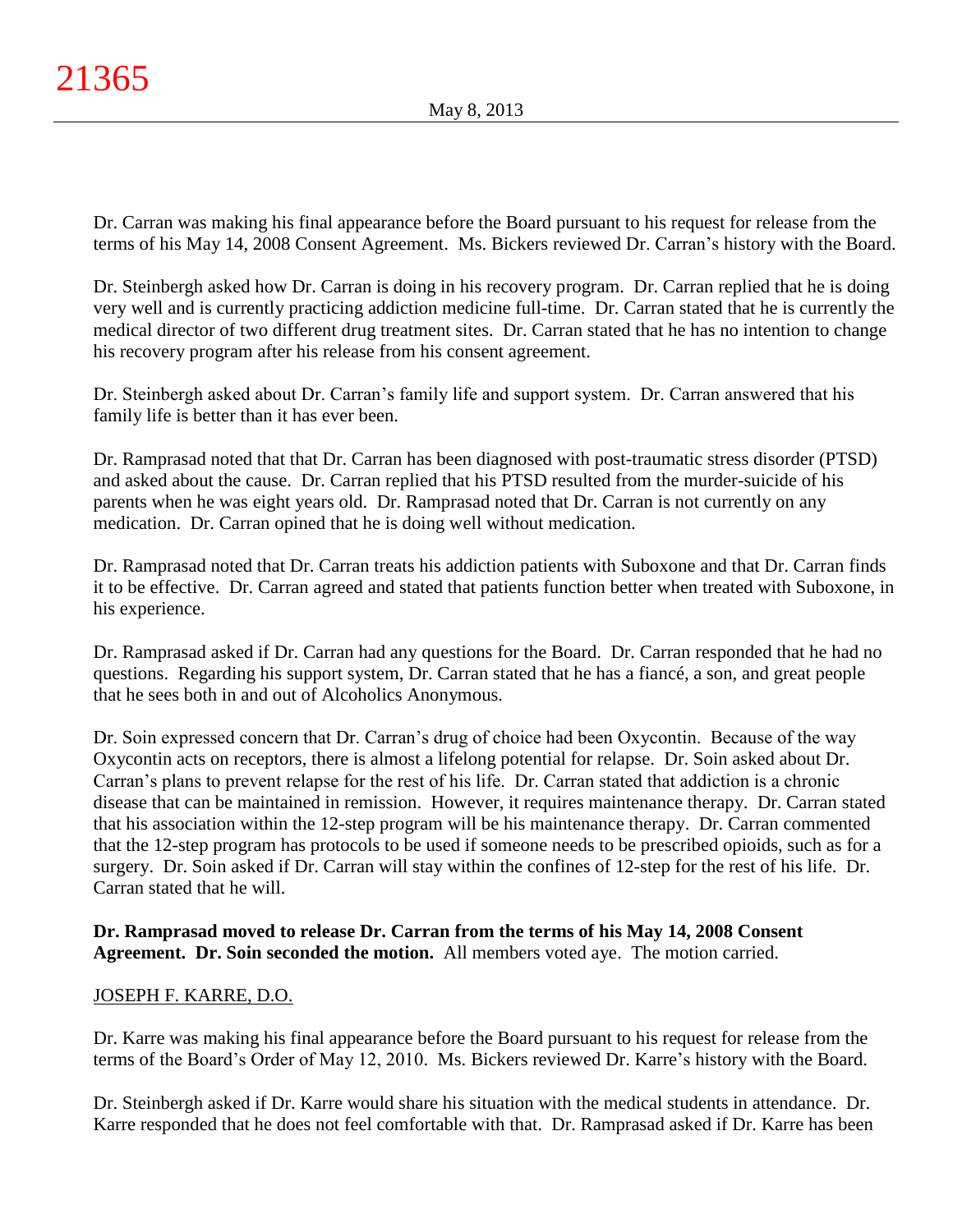Dr. Carran was making his final appearance before the Board pursuant to his request for release from the terms of his May 14, 2008 Consent Agreement. Ms. Bickers reviewed Dr. Carran's history with the Board.

Dr. Steinbergh asked how Dr. Carran is doing in his recovery program. Dr. Carran replied that he is doing very well and is currently practicing addiction medicine full-time. Dr. Carran stated that he is currently the medical director of two different drug treatment sites. Dr. Carran stated that he has no intention to change his recovery program after his release from his consent agreement.

Dr. Steinbergh asked about Dr. Carran's family life and support system. Dr. Carran answered that his family life is better than it has ever been.

Dr. Ramprasad noted that that Dr. Carran has been diagnosed with post-traumatic stress disorder (PTSD) and asked about the cause. Dr. Carran replied that his PTSD resulted from the murder-suicide of his parents when he was eight years old. Dr. Ramprasad noted that Dr. Carran is not currently on any medication. Dr. Carran opined that he is doing well without medication.

Dr. Ramprasad noted that Dr. Carran treats his addiction patients with Suboxone and that Dr. Carran finds it to be effective. Dr. Carran agreed and stated that patients function better when treated with Suboxone, in his experience.

Dr. Ramprasad asked if Dr. Carran had any questions for the Board. Dr. Carran responded that he had no questions. Regarding his support system, Dr. Carran stated that he has a fiancé, a son, and great people that he sees both in and out of Alcoholics Anonymous.

Dr. Soin expressed concern that Dr. Carran's drug of choice had been Oxycontin. Because of the way Oxycontin acts on receptors, there is almost a lifelong potential for relapse. Dr. Soin asked about Dr. Carran's plans to prevent relapse for the rest of his life. Dr. Carran stated that addiction is a chronic disease that can be maintained in remission. However, it requires maintenance therapy. Dr. Carran stated that his association within the 12-step program will be his maintenance therapy. Dr. Carran commented that the 12-step program has protocols to be used if someone needs to be prescribed opioids, such as for a surgery. Dr. Soin asked if Dr. Carran will stay within the confines of 12-step for the rest of his life. Dr. Carran stated that he will.

# **Dr. Ramprasad moved to release Dr. Carran from the terms of his May 14, 2008 Consent Agreement. Dr. Soin seconded the motion.** All members voted aye. The motion carried.

# JOSEPH F. KARRE, D.O.

Dr. Karre was making his final appearance before the Board pursuant to his request for release from the terms of the Board's Order of May 12, 2010. Ms. Bickers reviewed Dr. Karre's history with the Board.

Dr. Steinbergh asked if Dr. Karre would share his situation with the medical students in attendance. Dr. Karre responded that he does not feel comfortable with that. Dr. Ramprasad asked if Dr. Karre has been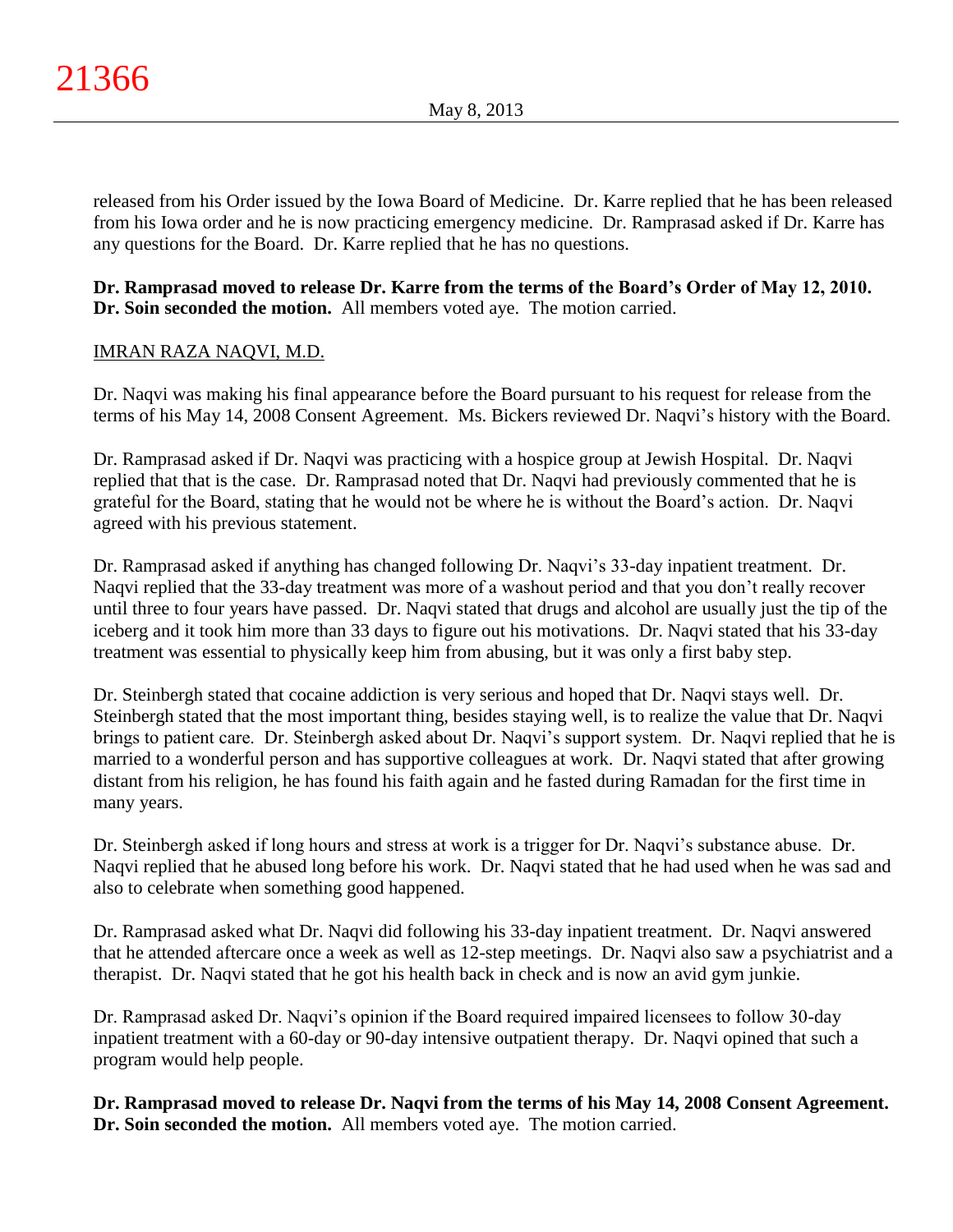released from his Order issued by the Iowa Board of Medicine. Dr. Karre replied that he has been released from his Iowa order and he is now practicing emergency medicine. Dr. Ramprasad asked if Dr. Karre has any questions for the Board. Dr. Karre replied that he has no questions.

# **Dr. Ramprasad moved to release Dr. Karre from the terms of the Board's Order of May 12, 2010. Dr. Soin seconded the motion.** All members voted aye. The motion carried.

# IMRAN RAZA NAQVI, M.D.

Dr. Naqvi was making his final appearance before the Board pursuant to his request for release from the terms of his May 14, 2008 Consent Agreement. Ms. Bickers reviewed Dr. Naqvi's history with the Board.

Dr. Ramprasad asked if Dr. Naqvi was practicing with a hospice group at Jewish Hospital. Dr. Naqvi replied that that is the case. Dr. Ramprasad noted that Dr. Naqvi had previously commented that he is grateful for the Board, stating that he would not be where he is without the Board's action. Dr. Naqvi agreed with his previous statement.

Dr. Ramprasad asked if anything has changed following Dr. Naqvi's 33-day inpatient treatment. Dr. Naqvi replied that the 33-day treatment was more of a washout period and that you don't really recover until three to four years have passed. Dr. Naqvi stated that drugs and alcohol are usually just the tip of the iceberg and it took him more than 33 days to figure out his motivations. Dr. Naqvi stated that his 33-day treatment was essential to physically keep him from abusing, but it was only a first baby step.

Dr. Steinbergh stated that cocaine addiction is very serious and hoped that Dr. Naqvi stays well. Dr. Steinbergh stated that the most important thing, besides staying well, is to realize the value that Dr. Naqvi brings to patient care. Dr. Steinbergh asked about Dr. Naqvi's support system. Dr. Naqvi replied that he is married to a wonderful person and has supportive colleagues at work. Dr. Naqvi stated that after growing distant from his religion, he has found his faith again and he fasted during Ramadan for the first time in many years.

Dr. Steinbergh asked if long hours and stress at work is a trigger for Dr. Naqvi's substance abuse. Dr. Naqvi replied that he abused long before his work. Dr. Naqvi stated that he had used when he was sad and also to celebrate when something good happened.

Dr. Ramprasad asked what Dr. Naqvi did following his 33-day inpatient treatment. Dr. Naqvi answered that he attended aftercare once a week as well as 12-step meetings. Dr. Naqvi also saw a psychiatrist and a therapist. Dr. Naqvi stated that he got his health back in check and is now an avid gym junkie.

Dr. Ramprasad asked Dr. Naqvi's opinion if the Board required impaired licensees to follow 30-day inpatient treatment with a 60-day or 90-day intensive outpatient therapy. Dr. Naqvi opined that such a program would help people.

**Dr. Ramprasad moved to release Dr. Naqvi from the terms of his May 14, 2008 Consent Agreement. Dr. Soin seconded the motion.** All members voted aye. The motion carried.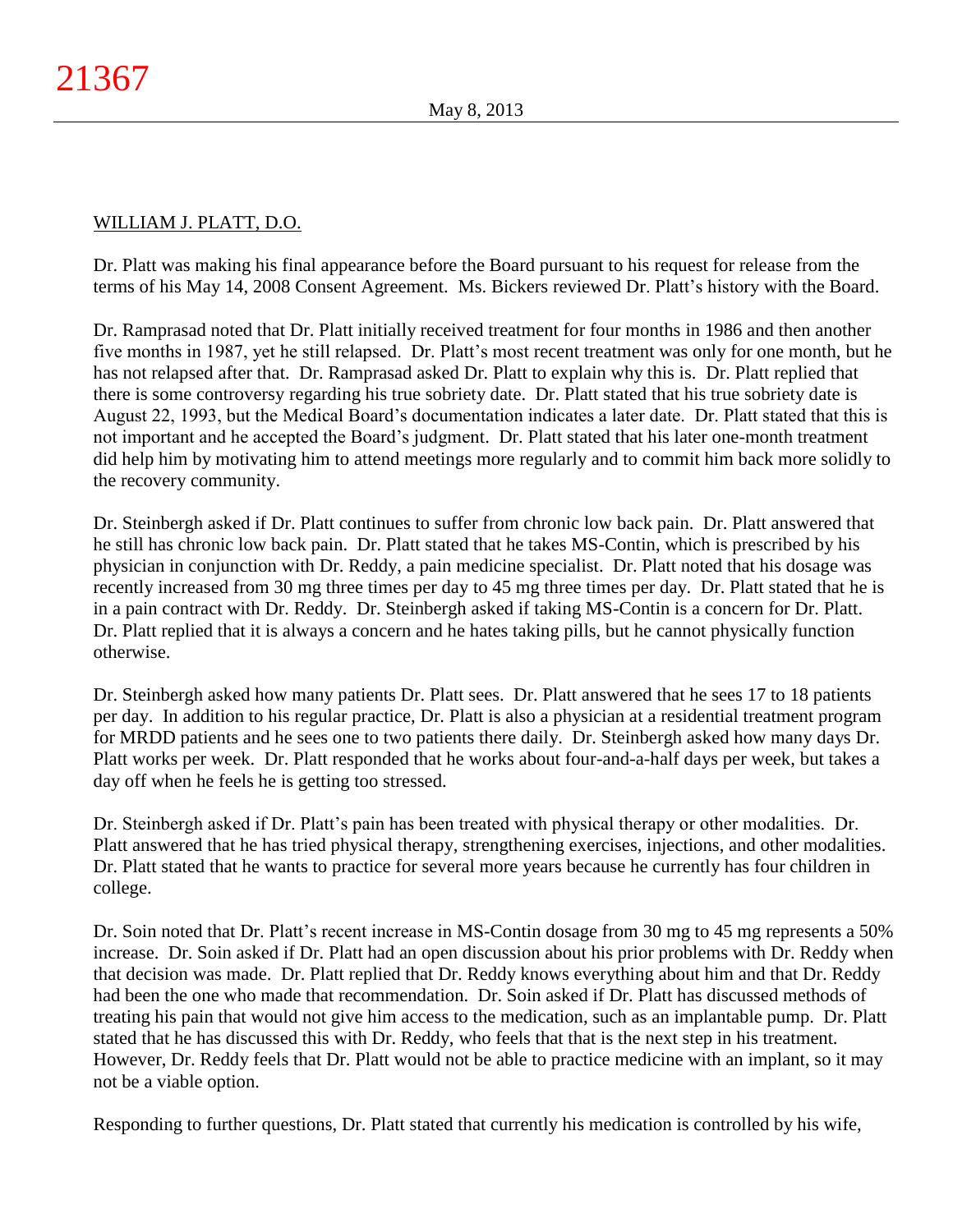# WILLIAM J. PLATT, D.O.

Dr. Platt was making his final appearance before the Board pursuant to his request for release from the terms of his May 14, 2008 Consent Agreement. Ms. Bickers reviewed Dr. Platt's history with the Board.

Dr. Ramprasad noted that Dr. Platt initially received treatment for four months in 1986 and then another five months in 1987, yet he still relapsed. Dr. Platt's most recent treatment was only for one month, but he has not relapsed after that. Dr. Ramprasad asked Dr. Platt to explain why this is. Dr. Platt replied that there is some controversy regarding his true sobriety date. Dr. Platt stated that his true sobriety date is August 22, 1993, but the Medical Board's documentation indicates a later date. Dr. Platt stated that this is not important and he accepted the Board's judgment. Dr. Platt stated that his later one-month treatment did help him by motivating him to attend meetings more regularly and to commit him back more solidly to the recovery community.

Dr. Steinbergh asked if Dr. Platt continues to suffer from chronic low back pain. Dr. Platt answered that he still has chronic low back pain. Dr. Platt stated that he takes MS-Contin, which is prescribed by his physician in conjunction with Dr. Reddy, a pain medicine specialist. Dr. Platt noted that his dosage was recently increased from 30 mg three times per day to 45 mg three times per day. Dr. Platt stated that he is in a pain contract with Dr. Reddy. Dr. Steinbergh asked if taking MS-Contin is a concern for Dr. Platt. Dr. Platt replied that it is always a concern and he hates taking pills, but he cannot physically function otherwise.

Dr. Steinbergh asked how many patients Dr. Platt sees. Dr. Platt answered that he sees 17 to 18 patients per day. In addition to his regular practice, Dr. Platt is also a physician at a residential treatment program for MRDD patients and he sees one to two patients there daily. Dr. Steinbergh asked how many days Dr. Platt works per week. Dr. Platt responded that he works about four-and-a-half days per week, but takes a day off when he feels he is getting too stressed.

Dr. Steinbergh asked if Dr. Platt's pain has been treated with physical therapy or other modalities. Dr. Platt answered that he has tried physical therapy, strengthening exercises, injections, and other modalities. Dr. Platt stated that he wants to practice for several more years because he currently has four children in college.

Dr. Soin noted that Dr. Platt's recent increase in MS-Contin dosage from 30 mg to 45 mg represents a 50% increase. Dr. Soin asked if Dr. Platt had an open discussion about his prior problems with Dr. Reddy when that decision was made. Dr. Platt replied that Dr. Reddy knows everything about him and that Dr. Reddy had been the one who made that recommendation. Dr. Soin asked if Dr. Platt has discussed methods of treating his pain that would not give him access to the medication, such as an implantable pump. Dr. Platt stated that he has discussed this with Dr. Reddy, who feels that that is the next step in his treatment. However, Dr. Reddy feels that Dr. Platt would not be able to practice medicine with an implant, so it may not be a viable option.

Responding to further questions, Dr. Platt stated that currently his medication is controlled by his wife,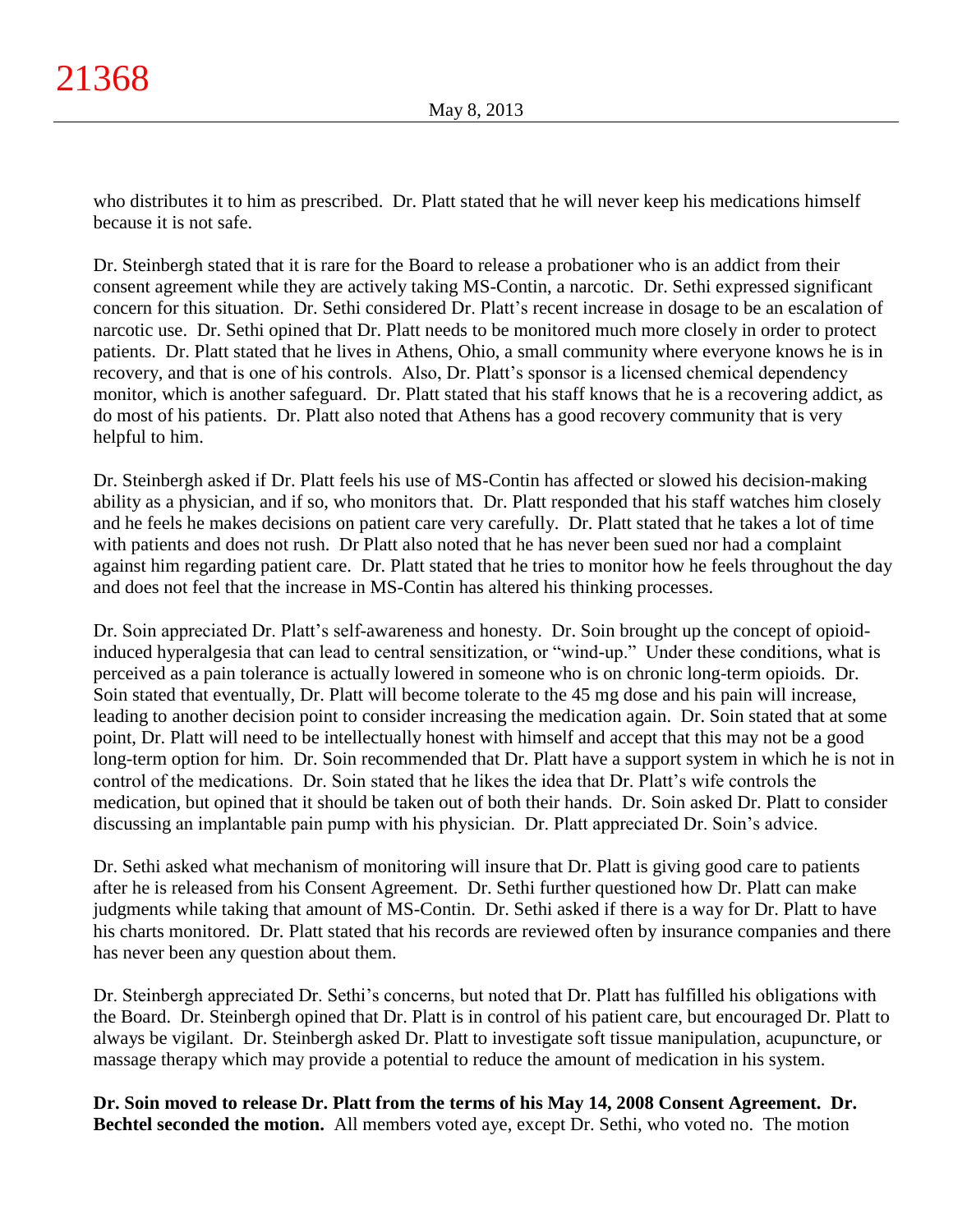who distributes it to him as prescribed. Dr. Platt stated that he will never keep his medications himself because it is not safe.

Dr. Steinbergh stated that it is rare for the Board to release a probationer who is an addict from their consent agreement while they are actively taking MS-Contin, a narcotic. Dr. Sethi expressed significant concern for this situation. Dr. Sethi considered Dr. Platt's recent increase in dosage to be an escalation of narcotic use. Dr. Sethi opined that Dr. Platt needs to be monitored much more closely in order to protect patients. Dr. Platt stated that he lives in Athens, Ohio, a small community where everyone knows he is in recovery, and that is one of his controls. Also, Dr. Platt's sponsor is a licensed chemical dependency monitor, which is another safeguard. Dr. Platt stated that his staff knows that he is a recovering addict, as do most of his patients. Dr. Platt also noted that Athens has a good recovery community that is very helpful to him.

Dr. Steinbergh asked if Dr. Platt feels his use of MS-Contin has affected or slowed his decision-making ability as a physician, and if so, who monitors that. Dr. Platt responded that his staff watches him closely and he feels he makes decisions on patient care very carefully. Dr. Platt stated that he takes a lot of time with patients and does not rush. Dr Platt also noted that he has never been sued nor had a complaint against him regarding patient care. Dr. Platt stated that he tries to monitor how he feels throughout the day and does not feel that the increase in MS-Contin has altered his thinking processes.

Dr. Soin appreciated Dr. Platt's self-awareness and honesty. Dr. Soin brought up the concept of opioidinduced hyperalgesia that can lead to central sensitization, or "wind-up." Under these conditions, what is perceived as a pain tolerance is actually lowered in someone who is on chronic long-term opioids. Dr. Soin stated that eventually, Dr. Platt will become tolerate to the 45 mg dose and his pain will increase, leading to another decision point to consider increasing the medication again. Dr. Soin stated that at some point, Dr. Platt will need to be intellectually honest with himself and accept that this may not be a good long-term option for him. Dr. Soin recommended that Dr. Platt have a support system in which he is not in control of the medications. Dr. Soin stated that he likes the idea that Dr. Platt's wife controls the medication, but opined that it should be taken out of both their hands. Dr. Soin asked Dr. Platt to consider discussing an implantable pain pump with his physician. Dr. Platt appreciated Dr. Soin's advice.

Dr. Sethi asked what mechanism of monitoring will insure that Dr. Platt is giving good care to patients after he is released from his Consent Agreement. Dr. Sethi further questioned how Dr. Platt can make judgments while taking that amount of MS-Contin. Dr. Sethi asked if there is a way for Dr. Platt to have his charts monitored. Dr. Platt stated that his records are reviewed often by insurance companies and there has never been any question about them.

Dr. Steinbergh appreciated Dr. Sethi's concerns, but noted that Dr. Platt has fulfilled his obligations with the Board. Dr. Steinbergh opined that Dr. Platt is in control of his patient care, but encouraged Dr. Platt to always be vigilant. Dr. Steinbergh asked Dr. Platt to investigate soft tissue manipulation, acupuncture, or massage therapy which may provide a potential to reduce the amount of medication in his system.

**Dr. Soin moved to release Dr. Platt from the terms of his May 14, 2008 Consent Agreement. Dr. Bechtel seconded the motion.** All members voted aye, except Dr. Sethi, who voted no. The motion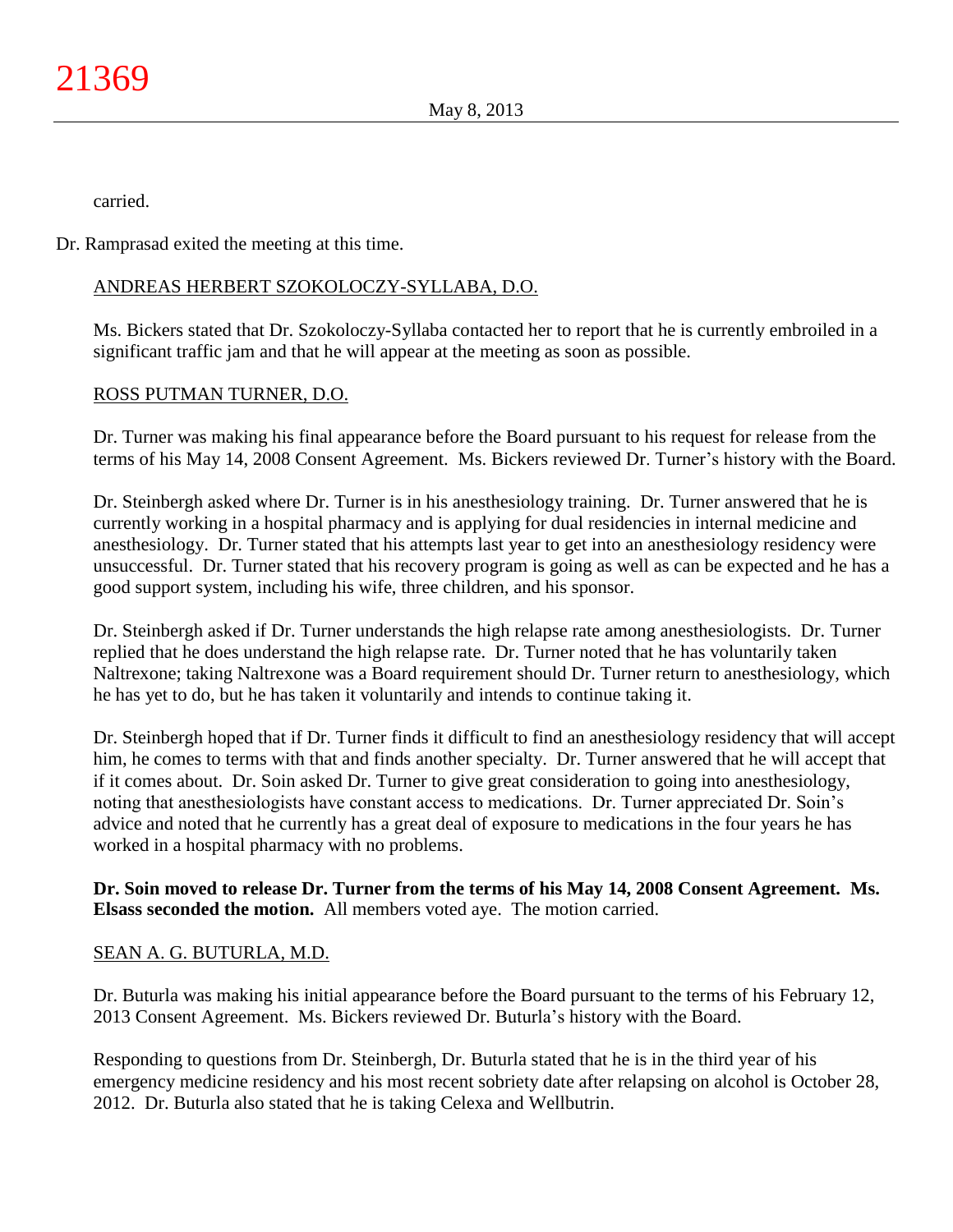carried.

Dr. Ramprasad exited the meeting at this time.

# ANDREAS HERBERT SZOKOLOCZY-SYLLABA, D.O.

Ms. Bickers stated that Dr. Szokoloczy-Syllaba contacted her to report that he is currently embroiled in a significant traffic jam and that he will appear at the meeting as soon as possible.

# ROSS PUTMAN TURNER, D.O.

Dr. Turner was making his final appearance before the Board pursuant to his request for release from the terms of his May 14, 2008 Consent Agreement. Ms. Bickers reviewed Dr. Turner's history with the Board.

Dr. Steinbergh asked where Dr. Turner is in his anesthesiology training. Dr. Turner answered that he is currently working in a hospital pharmacy and is applying for dual residencies in internal medicine and anesthesiology. Dr. Turner stated that his attempts last year to get into an anesthesiology residency were unsuccessful. Dr. Turner stated that his recovery program is going as well as can be expected and he has a good support system, including his wife, three children, and his sponsor.

Dr. Steinbergh asked if Dr. Turner understands the high relapse rate among anesthesiologists. Dr. Turner replied that he does understand the high relapse rate. Dr. Turner noted that he has voluntarily taken Naltrexone; taking Naltrexone was a Board requirement should Dr. Turner return to anesthesiology, which he has yet to do, but he has taken it voluntarily and intends to continue taking it.

Dr. Steinbergh hoped that if Dr. Turner finds it difficult to find an anesthesiology residency that will accept him, he comes to terms with that and finds another specialty. Dr. Turner answered that he will accept that if it comes about. Dr. Soin asked Dr. Turner to give great consideration to going into anesthesiology, noting that anesthesiologists have constant access to medications. Dr. Turner appreciated Dr. Soin's advice and noted that he currently has a great deal of exposure to medications in the four years he has worked in a hospital pharmacy with no problems.

**Dr. Soin moved to release Dr. Turner from the terms of his May 14, 2008 Consent Agreement. Ms. Elsass seconded the motion.** All members voted aye. The motion carried.

# SEAN A. G. BUTURLA, M.D.

Dr. Buturla was making his initial appearance before the Board pursuant to the terms of his February 12, 2013 Consent Agreement. Ms. Bickers reviewed Dr. Buturla's history with the Board.

Responding to questions from Dr. Steinbergh, Dr. Buturla stated that he is in the third year of his emergency medicine residency and his most recent sobriety date after relapsing on alcohol is October 28, 2012. Dr. Buturla also stated that he is taking Celexa and Wellbutrin.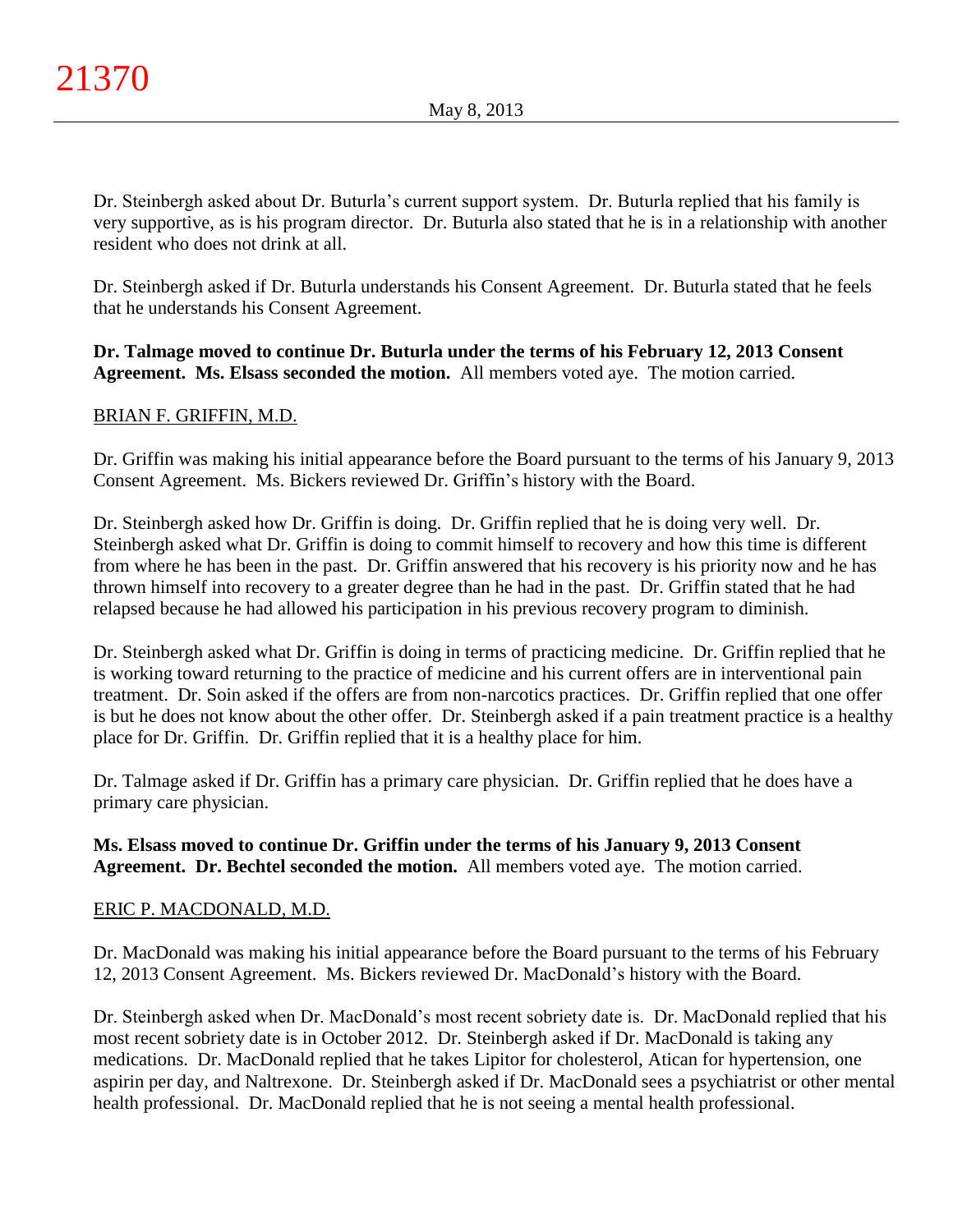Dr. Steinbergh asked about Dr. Buturla's current support system. Dr. Buturla replied that his family is very supportive, as is his program director. Dr. Buturla also stated that he is in a relationship with another resident who does not drink at all.

Dr. Steinbergh asked if Dr. Buturla understands his Consent Agreement. Dr. Buturla stated that he feels that he understands his Consent Agreement.

# **Dr. Talmage moved to continue Dr. Buturla under the terms of his February 12, 2013 Consent Agreement. Ms. Elsass seconded the motion.** All members voted aye. The motion carried.

# BRIAN F. GRIFFIN, M.D.

Dr. Griffin was making his initial appearance before the Board pursuant to the terms of his January 9, 2013 Consent Agreement. Ms. Bickers reviewed Dr. Griffin's history with the Board.

Dr. Steinbergh asked how Dr. Griffin is doing. Dr. Griffin replied that he is doing very well. Dr. Steinbergh asked what Dr. Griffin is doing to commit himself to recovery and how this time is different from where he has been in the past. Dr. Griffin answered that his recovery is his priority now and he has thrown himself into recovery to a greater degree than he had in the past. Dr. Griffin stated that he had relapsed because he had allowed his participation in his previous recovery program to diminish.

Dr. Steinbergh asked what Dr. Griffin is doing in terms of practicing medicine. Dr. Griffin replied that he is working toward returning to the practice of medicine and his current offers are in interventional pain treatment. Dr. Soin asked if the offers are from non-narcotics practices. Dr. Griffin replied that one offer is but he does not know about the other offer. Dr. Steinbergh asked if a pain treatment practice is a healthy place for Dr. Griffin. Dr. Griffin replied that it is a healthy place for him.

Dr. Talmage asked if Dr. Griffin has a primary care physician. Dr. Griffin replied that he does have a primary care physician.

# **Ms. Elsass moved to continue Dr. Griffin under the terms of his January 9, 2013 Consent Agreement. Dr. Bechtel seconded the motion.** All members voted aye. The motion carried.

# ERIC P. MACDONALD, M.D.

Dr. MacDonald was making his initial appearance before the Board pursuant to the terms of his February 12, 2013 Consent Agreement. Ms. Bickers reviewed Dr. MacDonald's history with the Board.

Dr. Steinbergh asked when Dr. MacDonald's most recent sobriety date is. Dr. MacDonald replied that his most recent sobriety date is in October 2012. Dr. Steinbergh asked if Dr. MacDonald is taking any medications. Dr. MacDonald replied that he takes Lipitor for cholesterol, Atican for hypertension, one aspirin per day, and Naltrexone. Dr. Steinbergh asked if Dr. MacDonald sees a psychiatrist or other mental health professional. Dr. MacDonald replied that he is not seeing a mental health professional.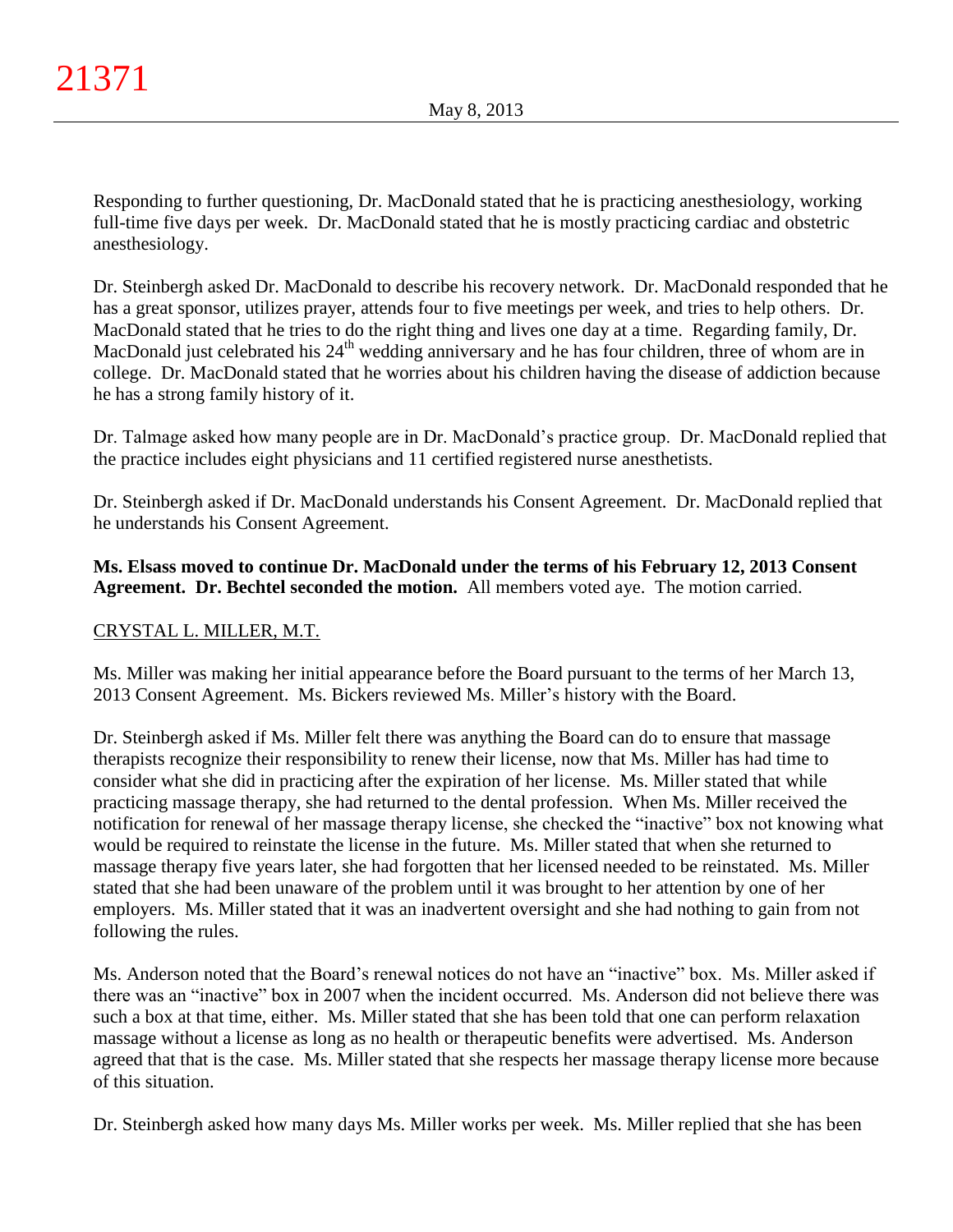Responding to further questioning, Dr. MacDonald stated that he is practicing anesthesiology, working full-time five days per week. Dr. MacDonald stated that he is mostly practicing cardiac and obstetric anesthesiology.

Dr. Steinbergh asked Dr. MacDonald to describe his recovery network. Dr. MacDonald responded that he has a great sponsor, utilizes prayer, attends four to five meetings per week, and tries to help others. Dr. MacDonald stated that he tries to do the right thing and lives one day at a time. Regarding family, Dr. MacDonald just celebrated his 24<sup>th</sup> wedding anniversary and he has four children, three of whom are in college. Dr. MacDonald stated that he worries about his children having the disease of addiction because he has a strong family history of it.

Dr. Talmage asked how many people are in Dr. MacDonald's practice group. Dr. MacDonald replied that the practice includes eight physicians and 11 certified registered nurse anesthetists.

Dr. Steinbergh asked if Dr. MacDonald understands his Consent Agreement. Dr. MacDonald replied that he understands his Consent Agreement.

**Ms. Elsass moved to continue Dr. MacDonald under the terms of his February 12, 2013 Consent Agreement. Dr. Bechtel seconded the motion.** All members voted aye. The motion carried.

# CRYSTAL L. MILLER, M.T.

Ms. Miller was making her initial appearance before the Board pursuant to the terms of her March 13, 2013 Consent Agreement. Ms. Bickers reviewed Ms. Miller's history with the Board.

Dr. Steinbergh asked if Ms. Miller felt there was anything the Board can do to ensure that massage therapists recognize their responsibility to renew their license, now that Ms. Miller has had time to consider what she did in practicing after the expiration of her license. Ms. Miller stated that while practicing massage therapy, she had returned to the dental profession. When Ms. Miller received the notification for renewal of her massage therapy license, she checked the "inactive" box not knowing what would be required to reinstate the license in the future. Ms. Miller stated that when she returned to massage therapy five years later, she had forgotten that her licensed needed to be reinstated. Ms. Miller stated that she had been unaware of the problem until it was brought to her attention by one of her employers. Ms. Miller stated that it was an inadvertent oversight and she had nothing to gain from not following the rules.

Ms. Anderson noted that the Board's renewal notices do not have an "inactive" box. Ms. Miller asked if there was an "inactive" box in 2007 when the incident occurred. Ms. Anderson did not believe there was such a box at that time, either. Ms. Miller stated that she has been told that one can perform relaxation massage without a license as long as no health or therapeutic benefits were advertised. Ms. Anderson agreed that that is the case. Ms. Miller stated that she respects her massage therapy license more because of this situation.

Dr. Steinbergh asked how many days Ms. Miller works per week. Ms. Miller replied that she has been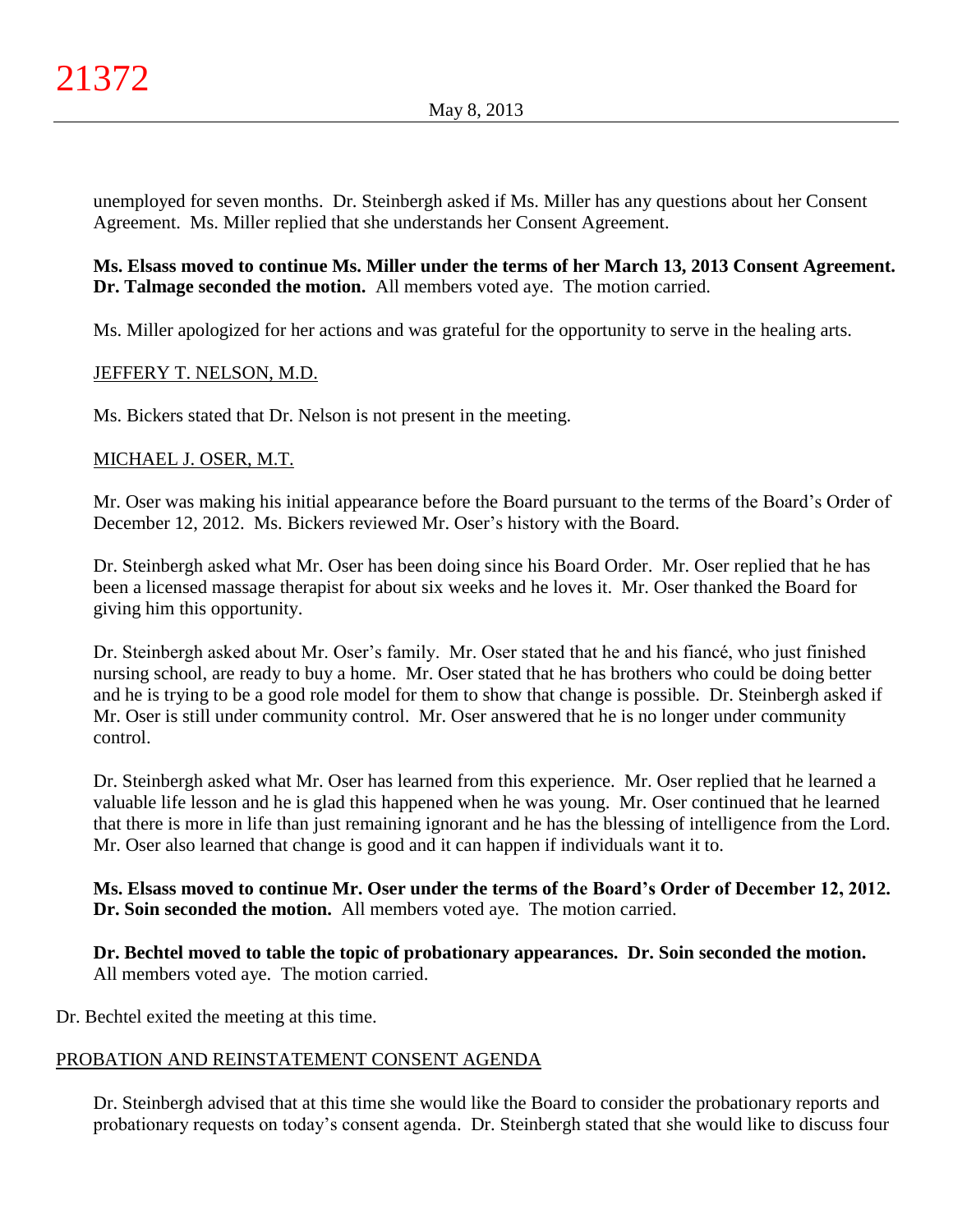unemployed for seven months. Dr. Steinbergh asked if Ms. Miller has any questions about her Consent Agreement. Ms. Miller replied that she understands her Consent Agreement.

**Ms. Elsass moved to continue Ms. Miller under the terms of her March 13, 2013 Consent Agreement. Dr. Talmage seconded the motion.** All members voted aye. The motion carried.

Ms. Miller apologized for her actions and was grateful for the opportunity to serve in the healing arts.

# JEFFERY T. NELSON, M.D.

Ms. Bickers stated that Dr. Nelson is not present in the meeting.

# MICHAEL J. OSER, M.T.

Mr. Oser was making his initial appearance before the Board pursuant to the terms of the Board's Order of December 12, 2012. Ms. Bickers reviewed Mr. Oser's history with the Board.

Dr. Steinbergh asked what Mr. Oser has been doing since his Board Order. Mr. Oser replied that he has been a licensed massage therapist for about six weeks and he loves it. Mr. Oser thanked the Board for giving him this opportunity.

Dr. Steinbergh asked about Mr. Oser's family. Mr. Oser stated that he and his fiancé, who just finished nursing school, are ready to buy a home. Mr. Oser stated that he has brothers who could be doing better and he is trying to be a good role model for them to show that change is possible. Dr. Steinbergh asked if Mr. Oser is still under community control. Mr. Oser answered that he is no longer under community control.

Dr. Steinbergh asked what Mr. Oser has learned from this experience. Mr. Oser replied that he learned a valuable life lesson and he is glad this happened when he was young. Mr. Oser continued that he learned that there is more in life than just remaining ignorant and he has the blessing of intelligence from the Lord. Mr. Oser also learned that change is good and it can happen if individuals want it to.

**Ms. Elsass moved to continue Mr. Oser under the terms of the Board's Order of December 12, 2012. Dr. Soin seconded the motion.** All members voted aye. The motion carried.

**Dr. Bechtel moved to table the topic of probationary appearances. Dr. Soin seconded the motion.** All members voted aye. The motion carried.

Dr. Bechtel exited the meeting at this time.

# PROBATION AND REINSTATEMENT CONSENT AGENDA

Dr. Steinbergh advised that at this time she would like the Board to consider the probationary reports and probationary requests on today's consent agenda. Dr. Steinbergh stated that she would like to discuss four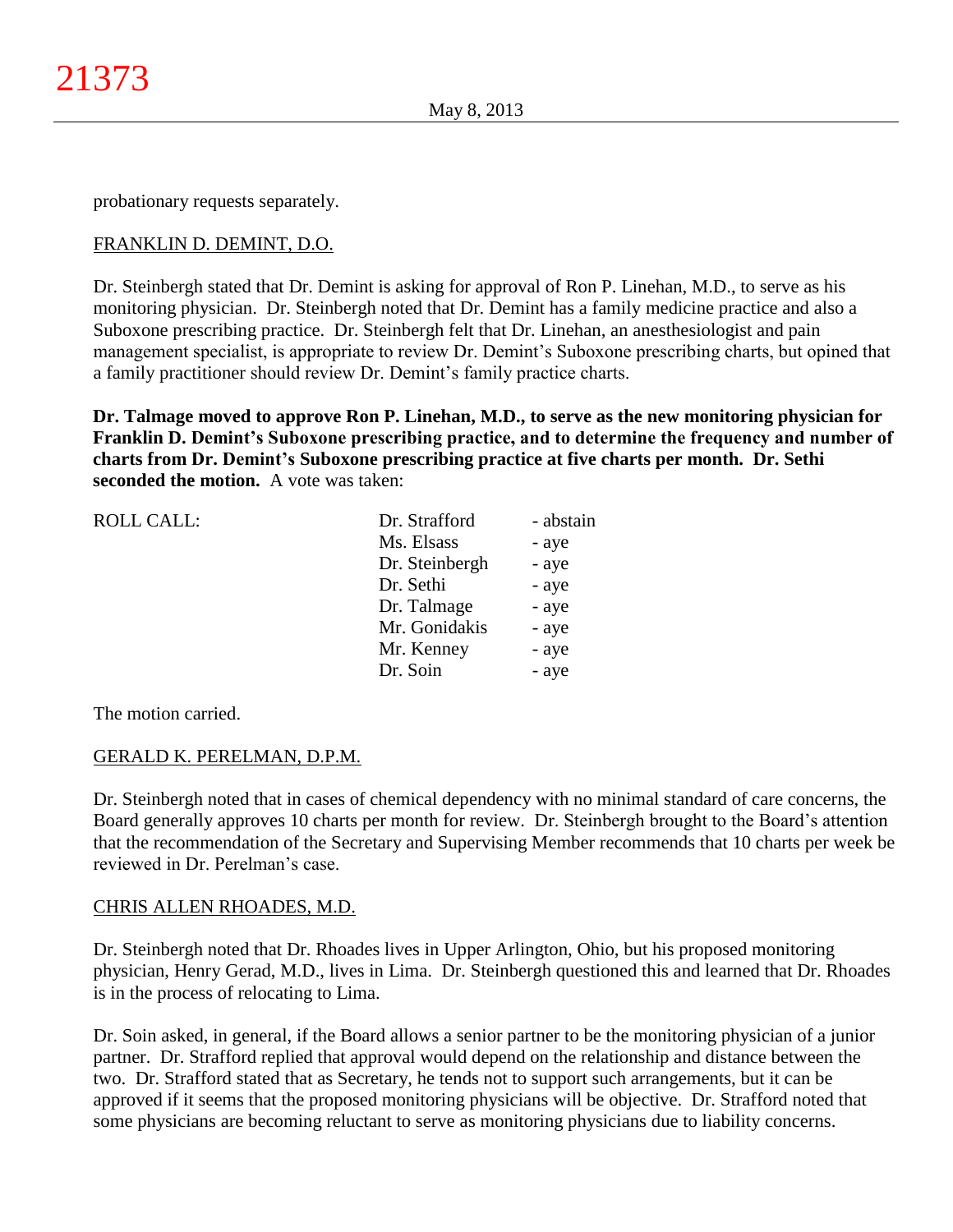probationary requests separately.

# FRANKLIN D. DEMINT, D.O.

Dr. Steinbergh stated that Dr. Demint is asking for approval of Ron P. Linehan, M.D., to serve as his monitoring physician. Dr. Steinbergh noted that Dr. Demint has a family medicine practice and also a Suboxone prescribing practice. Dr. Steinbergh felt that Dr. Linehan, an anesthesiologist and pain management specialist, is appropriate to review Dr. Demint's Suboxone prescribing charts, but opined that a family practitioner should review Dr. Demint's family practice charts.

**Dr. Talmage moved to approve Ron P. Linehan, M.D., to serve as the new monitoring physician for Franklin D. Demint's Suboxone prescribing practice, and to determine the frequency and number of charts from Dr. Demint's Suboxone prescribing practice at five charts per month. Dr. Sethi seconded the motion.** A vote was taken:

| <b>ROLL CALL:</b> | Dr. Strafford  | - abstain |
|-------------------|----------------|-----------|
|                   | Ms. Elsass     | - aye     |
|                   | Dr. Steinbergh | - aye     |
|                   | Dr. Sethi      | - aye     |
|                   | Dr. Talmage    | - aye     |
|                   | Mr. Gonidakis  | - aye     |
|                   | Mr. Kenney     | - aye     |
|                   | Dr. Soin       | - aye     |
|                   |                |           |

The motion carried.

# GERALD K. PERELMAN, D.P.M.

Dr. Steinbergh noted that in cases of chemical dependency with no minimal standard of care concerns, the Board generally approves 10 charts per month for review. Dr. Steinbergh brought to the Board's attention that the recommendation of the Secretary and Supervising Member recommends that 10 charts per week be reviewed in Dr. Perelman's case.

# CHRIS ALLEN RHOADES, M.D.

Dr. Steinbergh noted that Dr. Rhoades lives in Upper Arlington, Ohio, but his proposed monitoring physician, Henry Gerad, M.D., lives in Lima. Dr. Steinbergh questioned this and learned that Dr. Rhoades is in the process of relocating to Lima.

Dr. Soin asked, in general, if the Board allows a senior partner to be the monitoring physician of a junior partner. Dr. Strafford replied that approval would depend on the relationship and distance between the two. Dr. Strafford stated that as Secretary, he tends not to support such arrangements, but it can be approved if it seems that the proposed monitoring physicians will be objective. Dr. Strafford noted that some physicians are becoming reluctant to serve as monitoring physicians due to liability concerns.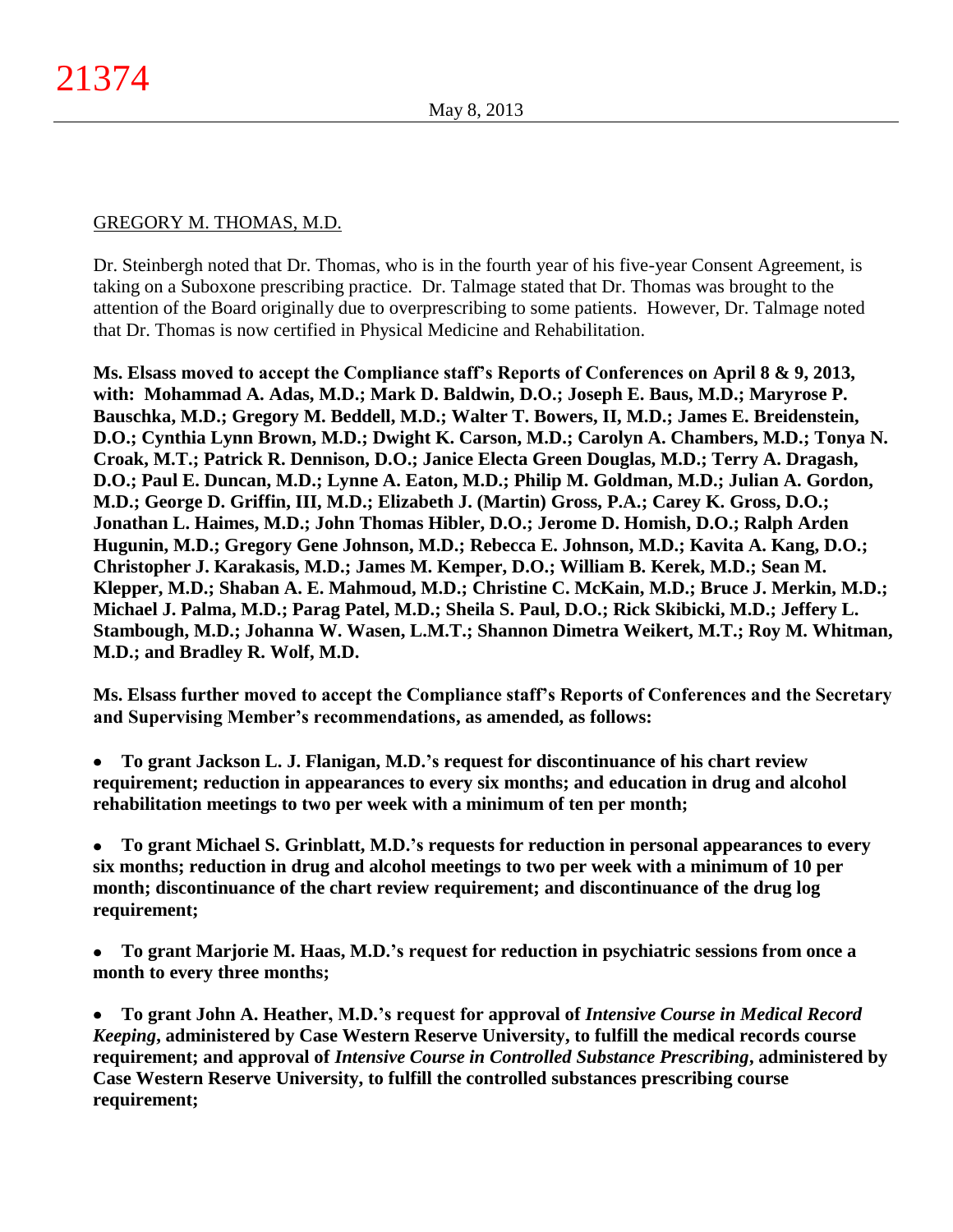# GREGORY M. THOMAS, M.D.

Dr. Steinbergh noted that Dr. Thomas, who is in the fourth year of his five-year Consent Agreement, is taking on a Suboxone prescribing practice. Dr. Talmage stated that Dr. Thomas was brought to the attention of the Board originally due to overprescribing to some patients. However, Dr. Talmage noted that Dr. Thomas is now certified in Physical Medicine and Rehabilitation.

**Ms. Elsass moved to accept the Compliance staff's Reports of Conferences on April 8 & 9, 2013, with: Mohammad A. Adas, M.D.; Mark D. Baldwin, D.O.; Joseph E. Baus, M.D.; Maryrose P. Bauschka, M.D.; Gregory M. Beddell, M.D.; Walter T. Bowers, II, M.D.; James E. Breidenstein, D.O.; Cynthia Lynn Brown, M.D.; Dwight K. Carson, M.D.; Carolyn A. Chambers, M.D.; Tonya N. Croak, M.T.; Patrick R. Dennison, D.O.; Janice Electa Green Douglas, M.D.; Terry A. Dragash, D.O.; Paul E. Duncan, M.D.; Lynne A. Eaton, M.D.; Philip M. Goldman, M.D.; Julian A. Gordon, M.D.; George D. Griffin, III, M.D.; Elizabeth J. (Martin) Gross, P.A.; Carey K. Gross, D.O.; Jonathan L. Haimes, M.D.; John Thomas Hibler, D.O.; Jerome D. Homish, D.O.; Ralph Arden Hugunin, M.D.; Gregory Gene Johnson, M.D.; Rebecca E. Johnson, M.D.; Kavita A. Kang, D.O.; Christopher J. Karakasis, M.D.; James M. Kemper, D.O.; William B. Kerek, M.D.; Sean M. Klepper, M.D.; Shaban A. E. Mahmoud, M.D.; Christine C. McKain, M.D.; Bruce J. Merkin, M.D.; Michael J. Palma, M.D.; Parag Patel, M.D.; Sheila S. Paul, D.O.; Rick Skibicki, M.D.; Jeffery L. Stambough, M.D.; Johanna W. Wasen, L.M.T.; Shannon Dimetra Weikert, M.T.; Roy M. Whitman, M.D.; and Bradley R. Wolf, M.D.**

**Ms. Elsass further moved to accept the Compliance staff's Reports of Conferences and the Secretary and Supervising Member's recommendations, as amended, as follows:**

**To grant Jackson L. J. Flanigan, M.D.'s request for discontinuance of his chart review**   $\bullet$ **requirement; reduction in appearances to every six months; and education in drug and alcohol rehabilitation meetings to two per week with a minimum of ten per month;**

**To grant Michael S. Grinblatt, M.D.'s requests for reduction in personal appearances to every**   $\bullet$ **six months; reduction in drug and alcohol meetings to two per week with a minimum of 10 per month; discontinuance of the chart review requirement; and discontinuance of the drug log requirement;**

**To grant Marjorie M. Haas, M.D.'s request for reduction in psychiatric sessions from once a**   $\bullet$ **month to every three months;**

**To grant John A. Heather, M.D.'s request for approval of** *Intensive Course in Medical Record*   $\bullet$ *Keeping***, administered by Case Western Reserve University, to fulfill the medical records course requirement; and approval of** *Intensive Course in Controlled Substance Prescribing***, administered by Case Western Reserve University, to fulfill the controlled substances prescribing course requirement;**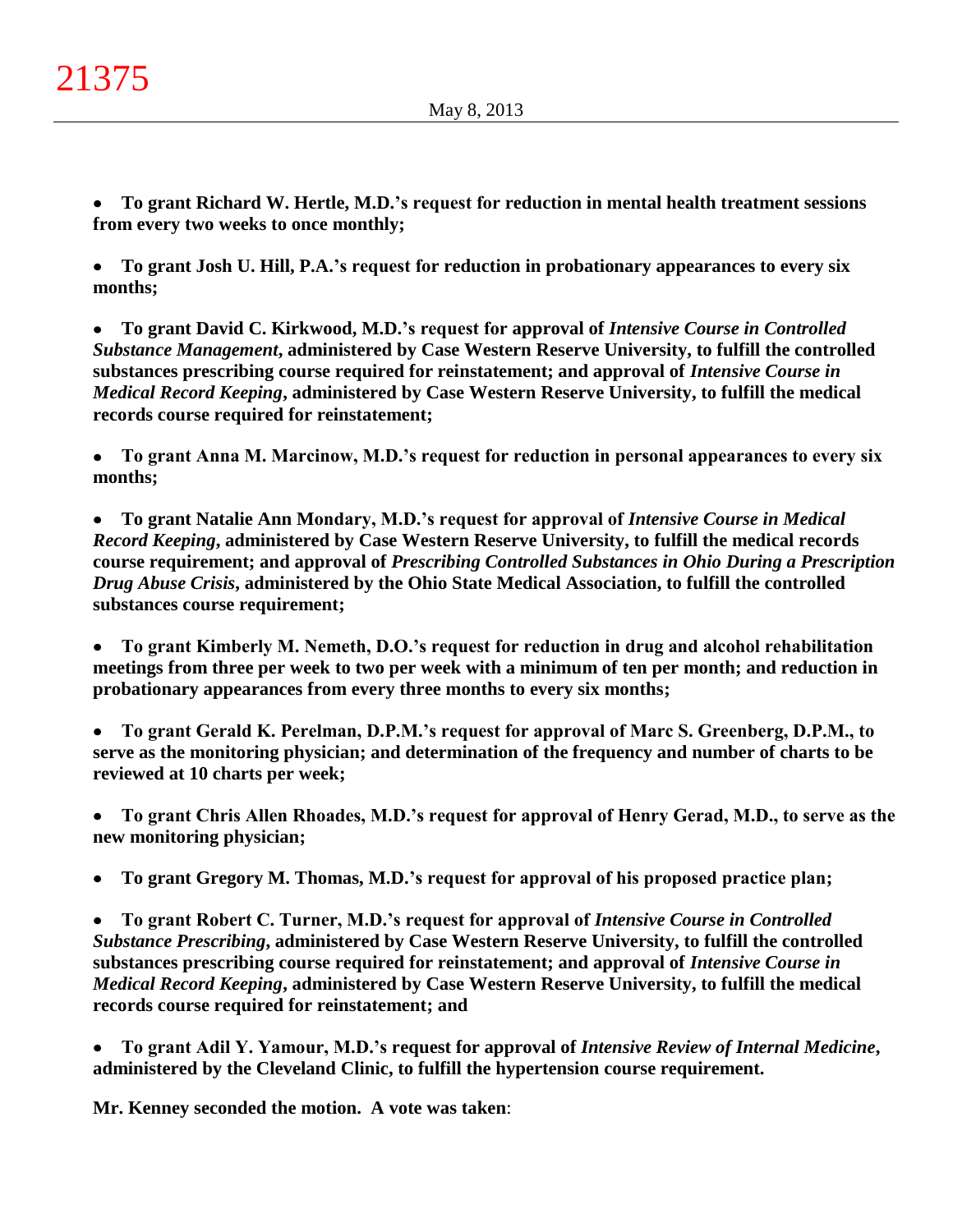**To grant Richard W. Hertle, M.D.'s request for reduction in mental health treatment sessions**   $\bullet$ **from every two weeks to once monthly;**

**To grant Josh U. Hill, P.A.'s request for reduction in probationary appearances to every six**   $\bullet$ **months;**

**To grant David C. Kirkwood, M.D.'s request for approval of** *Intensive Course in Controlled*   $\bullet$ *Substance Management***, administered by Case Western Reserve University, to fulfill the controlled substances prescribing course required for reinstatement; and approval of** *Intensive Course in Medical Record Keeping***, administered by Case Western Reserve University, to fulfill the medical records course required for reinstatement;**

**To grant Anna M. Marcinow, M.D.'s request for reduction in personal appearances to every six**   $\bullet$ **months;**

 $\bullet$ **To grant Natalie Ann Mondary, M.D.'s request for approval of** *Intensive Course in Medical Record Keeping***, administered by Case Western Reserve University, to fulfill the medical records course requirement; and approval of** *Prescribing Controlled Substances in Ohio During a Prescription Drug Abuse Crisis***, administered by the Ohio State Medical Association, to fulfill the controlled substances course requirement;**

**To grant Kimberly M. Nemeth, D.O.'s request for reduction in drug and alcohol rehabilitation**   $\bullet$ **meetings from three per week to two per week with a minimum of ten per month; and reduction in probationary appearances from every three months to every six months;**

**To grant Gerald K. Perelman, D.P.M.'s request for approval of Marc S. Greenberg, D.P.M., to**   $\bullet$ **serve as the monitoring physician; and determination of the frequency and number of charts to be reviewed at 10 charts per week;**

**To grant Chris Allen Rhoades, M.D.'s request for approval of Henry Gerad, M.D., to serve as the**   $\bullet$ **new monitoring physician;**

**To grant Gregory M. Thomas, M.D.'s request for approval of his proposed practice plan;**  $\bullet$ 

**To grant Robert C. Turner, M.D.'s request for approval of** *Intensive Course in Controlled*   $\bullet$ *Substance Prescribing***, administered by Case Western Reserve University, to fulfill the controlled substances prescribing course required for reinstatement; and approval of** *Intensive Course in Medical Record Keeping***, administered by Case Western Reserve University, to fulfill the medical records course required for reinstatement; and**

**To grant Adil Y. Yamour, M.D.'s request for approval of** *Intensive Review of Internal Medicine***,**   $\bullet$ **administered by the Cleveland Clinic, to fulfill the hypertension course requirement.**

**Mr. Kenney seconded the motion. A vote was taken**: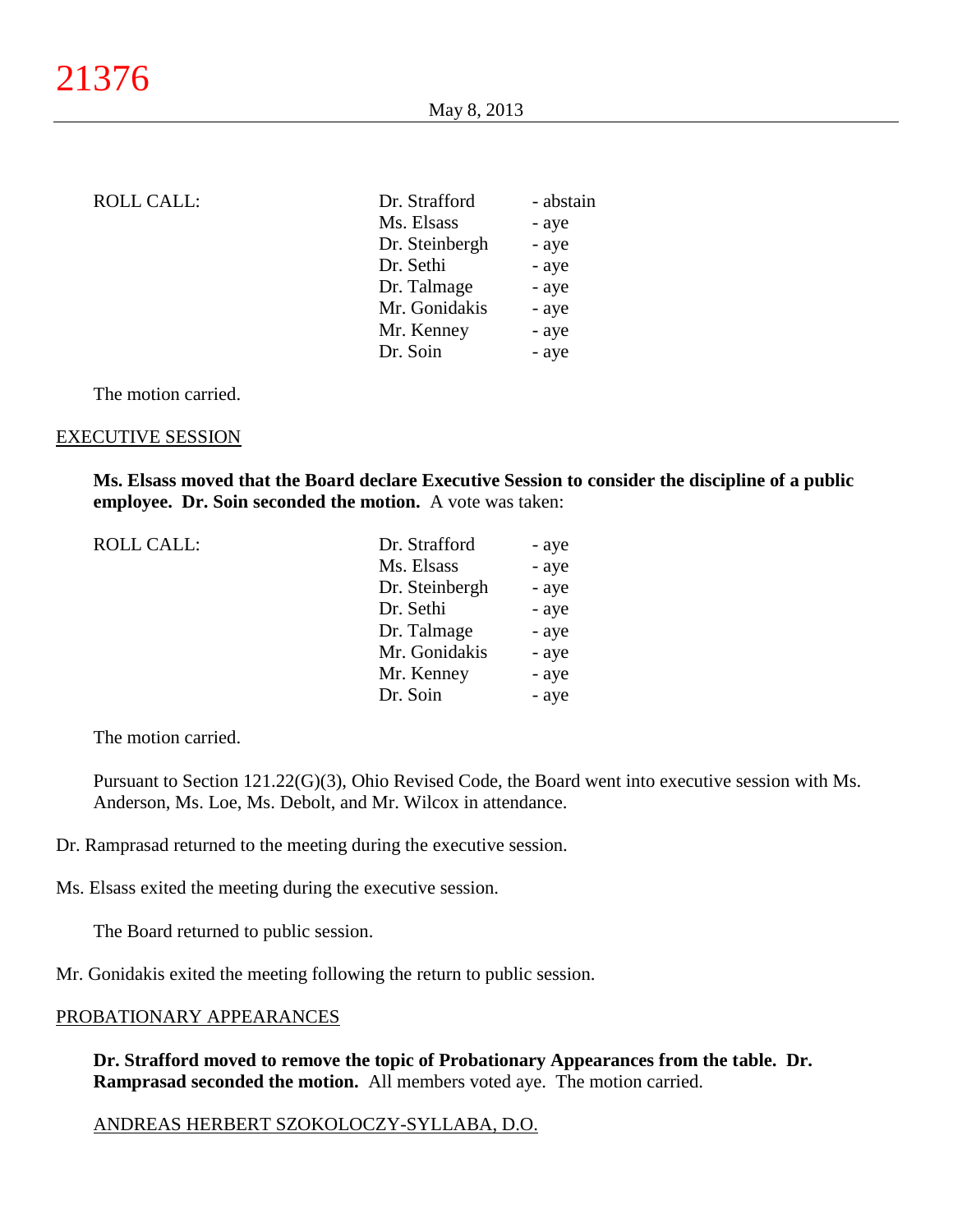| <b>ROLL CALL:</b> | Dr. Strafford  | - abstain |
|-------------------|----------------|-----------|
|                   | Ms. Elsass     | - aye     |
|                   | Dr. Steinbergh | - aye     |
|                   | Dr. Sethi      | - aye     |
|                   | Dr. Talmage    | - aye     |
|                   | Mr. Gonidakis  | - aye     |
|                   | Mr. Kenney     | - aye     |
|                   | Dr. Soin       | - aye     |
|                   |                |           |

The motion carried.

#### EXECUTIVE SESSION

**Ms. Elsass moved that the Board declare Executive Session to consider the discipline of a public employee. Dr. Soin seconded the motion.** A vote was taken:

| ROLL CALL: | Dr. Strafford  | - aye |
|------------|----------------|-------|
|            | Ms. Elsass     | - aye |
|            | Dr. Steinbergh | - aye |
|            | Dr. Sethi      | - aye |
|            | Dr. Talmage    | - aye |
|            | Mr. Gonidakis  | - aye |
|            | Mr. Kenney     | - aye |
|            | Dr. Soin       | - aye |
|            |                |       |

The motion carried.

Pursuant to Section 121.22(G)(3), Ohio Revised Code, the Board went into executive session with Ms. Anderson, Ms. Loe, Ms. Debolt, and Mr. Wilcox in attendance.

- Dr. Ramprasad returned to the meeting during the executive session.
- Ms. Elsass exited the meeting during the executive session.

The Board returned to public session.

Mr. Gonidakis exited the meeting following the return to public session.

# PROBATIONARY APPEARANCES

**Dr. Strafford moved to remove the topic of Probationary Appearances from the table. Dr. Ramprasad seconded the motion.** All members voted aye. The motion carried.

#### ANDREAS HERBERT SZOKOLOCZY-SYLLABA, D.O.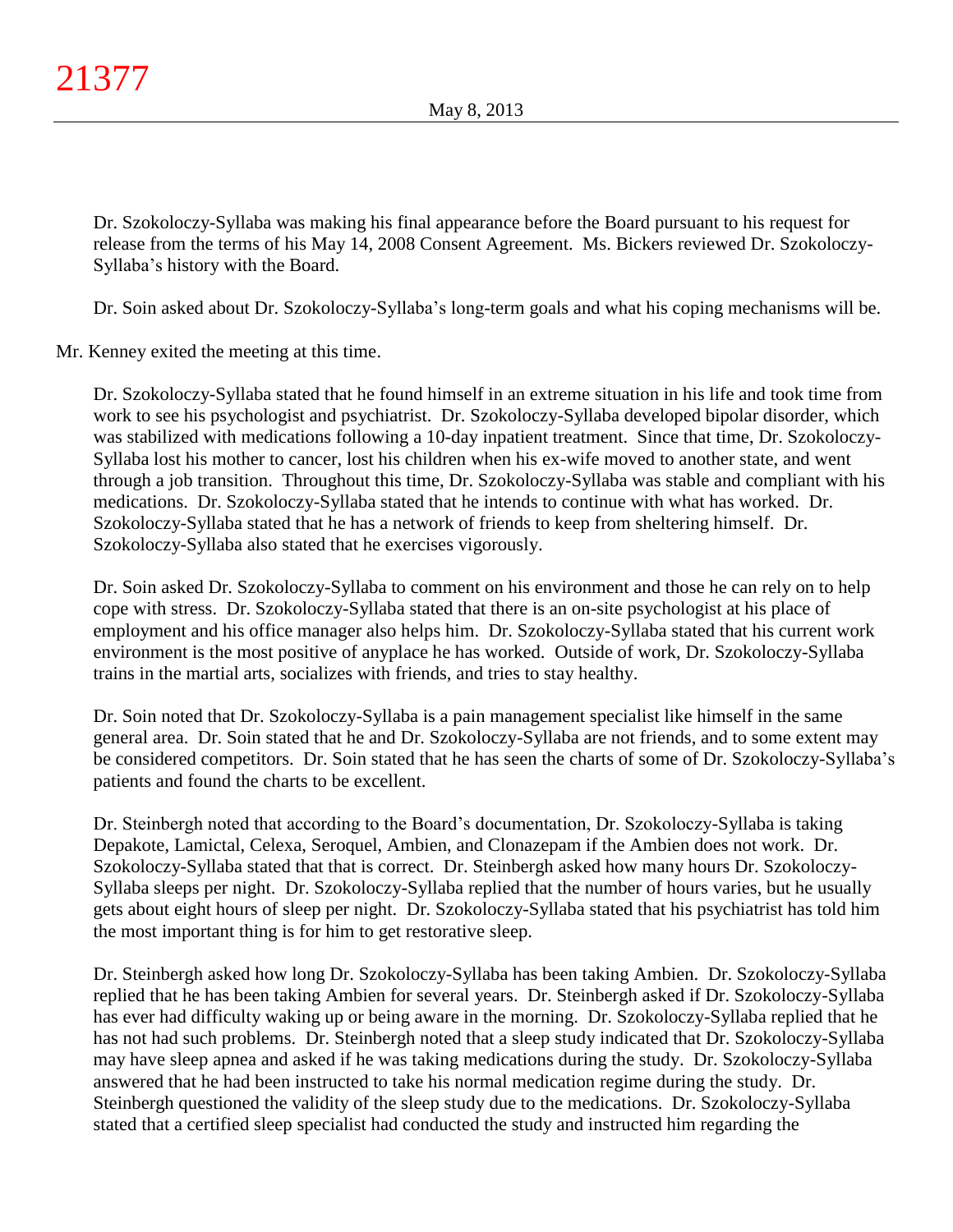Dr. Szokoloczy-Syllaba was making his final appearance before the Board pursuant to his request for release from the terms of his May 14, 2008 Consent Agreement. Ms. Bickers reviewed Dr. Szokoloczy-Syllaba's history with the Board.

Dr. Soin asked about Dr. Szokoloczy-Syllaba's long-term goals and what his coping mechanisms will be.

Mr. Kenney exited the meeting at this time.

Dr. Szokoloczy-Syllaba stated that he found himself in an extreme situation in his life and took time from work to see his psychologist and psychiatrist. Dr. Szokoloczy-Syllaba developed bipolar disorder, which was stabilized with medications following a 10-day inpatient treatment. Since that time, Dr. Szokoloczy-Syllaba lost his mother to cancer, lost his children when his ex-wife moved to another state, and went through a job transition. Throughout this time, Dr. Szokoloczy-Syllaba was stable and compliant with his medications. Dr. Szokoloczy-Syllaba stated that he intends to continue with what has worked. Dr. Szokoloczy-Syllaba stated that he has a network of friends to keep from sheltering himself. Dr. Szokoloczy-Syllaba also stated that he exercises vigorously.

Dr. Soin asked Dr. Szokoloczy-Syllaba to comment on his environment and those he can rely on to help cope with stress. Dr. Szokoloczy-Syllaba stated that there is an on-site psychologist at his place of employment and his office manager also helps him. Dr. Szokoloczy-Syllaba stated that his current work environment is the most positive of anyplace he has worked. Outside of work, Dr. Szokoloczy-Syllaba trains in the martial arts, socializes with friends, and tries to stay healthy.

Dr. Soin noted that Dr. Szokoloczy-Syllaba is a pain management specialist like himself in the same general area. Dr. Soin stated that he and Dr. Szokoloczy-Syllaba are not friends, and to some extent may be considered competitors. Dr. Soin stated that he has seen the charts of some of Dr. Szokoloczy-Syllaba's patients and found the charts to be excellent.

Dr. Steinbergh noted that according to the Board's documentation, Dr. Szokoloczy-Syllaba is taking Depakote, Lamictal, Celexa, Seroquel, Ambien, and Clonazepam if the Ambien does not work. Dr. Szokoloczy-Syllaba stated that that is correct. Dr. Steinbergh asked how many hours Dr. Szokoloczy-Syllaba sleeps per night. Dr. Szokoloczy-Syllaba replied that the number of hours varies, but he usually gets about eight hours of sleep per night. Dr. Szokoloczy-Syllaba stated that his psychiatrist has told him the most important thing is for him to get restorative sleep.

Dr. Steinbergh asked how long Dr. Szokoloczy-Syllaba has been taking Ambien. Dr. Szokoloczy-Syllaba replied that he has been taking Ambien for several years. Dr. Steinbergh asked if Dr. Szokoloczy-Syllaba has ever had difficulty waking up or being aware in the morning. Dr. Szokoloczy-Syllaba replied that he has not had such problems. Dr. Steinbergh noted that a sleep study indicated that Dr. Szokoloczy-Syllaba may have sleep apnea and asked if he was taking medications during the study. Dr. Szokoloczy-Syllaba answered that he had been instructed to take his normal medication regime during the study. Dr. Steinbergh questioned the validity of the sleep study due to the medications. Dr. Szokoloczy-Syllaba stated that a certified sleep specialist had conducted the study and instructed him regarding the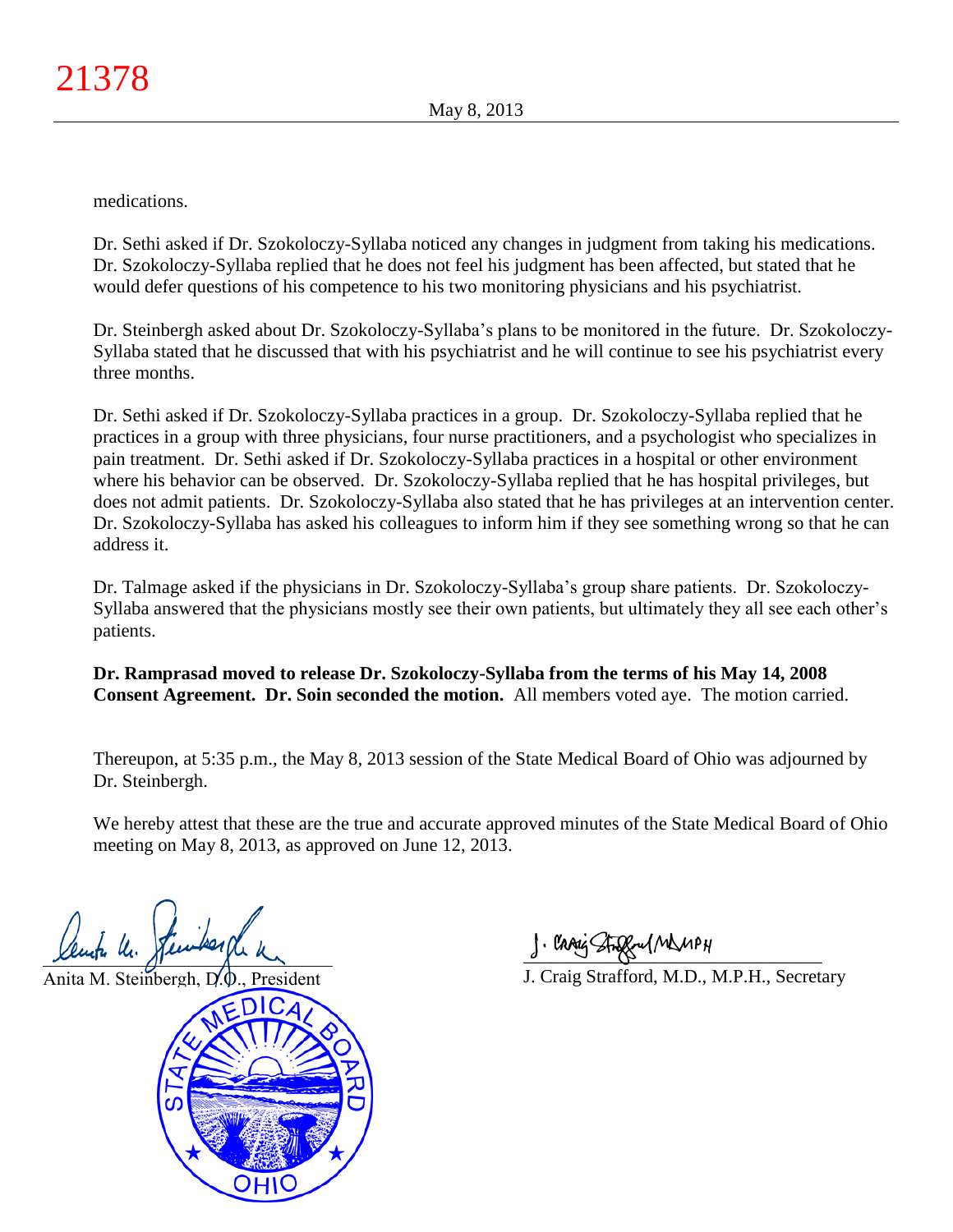medications.

Dr. Sethi asked if Dr. Szokoloczy-Syllaba noticed any changes in judgment from taking his medications. Dr. Szokoloczy-Syllaba replied that he does not feel his judgment has been affected, but stated that he would defer questions of his competence to his two monitoring physicians and his psychiatrist.

Dr. Steinbergh asked about Dr. Szokoloczy-Syllaba's plans to be monitored in the future. Dr. Szokoloczy-Syllaba stated that he discussed that with his psychiatrist and he will continue to see his psychiatrist every three months.

Dr. Sethi asked if Dr. Szokoloczy-Syllaba practices in a group. Dr. Szokoloczy-Syllaba replied that he practices in a group with three physicians, four nurse practitioners, and a psychologist who specializes in pain treatment. Dr. Sethi asked if Dr. Szokoloczy-Syllaba practices in a hospital or other environment where his behavior can be observed. Dr. Szokoloczy-Syllaba replied that he has hospital privileges, but does not admit patients. Dr. Szokoloczy-Syllaba also stated that he has privileges at an intervention center. Dr. Szokoloczy-Syllaba has asked his colleagues to inform him if they see something wrong so that he can address it.

Dr. Talmage asked if the physicians in Dr. Szokoloczy-Syllaba's group share patients. Dr. Szokoloczy-Syllaba answered that the physicians mostly see their own patients, but ultimately they all see each other's patients.

**Dr. Ramprasad moved to release Dr. Szokoloczy-Syllaba from the terms of his May 14, 2008 Consent Agreement. Dr. Soin seconded the motion.** All members voted aye. The motion carried.

Thereupon, at 5:35 p.m., the May 8, 2013 session of the State Medical Board of Ohio was adjourned by Dr. Steinbergh.

We hereby attest that these are the true and accurate approved minutes of the State Medical Board of Ohio meeting on May 8, 2013, as approved on June 12, 2013.

Jenika U. Fen

Anita M. Steinbergh,  $D<sub>0</sub>$ , President



 $\frac{1}{2}$  and since  $\frac{1}{2}$ 

J. Craig Strafford, M.D., M.P.H., Secretary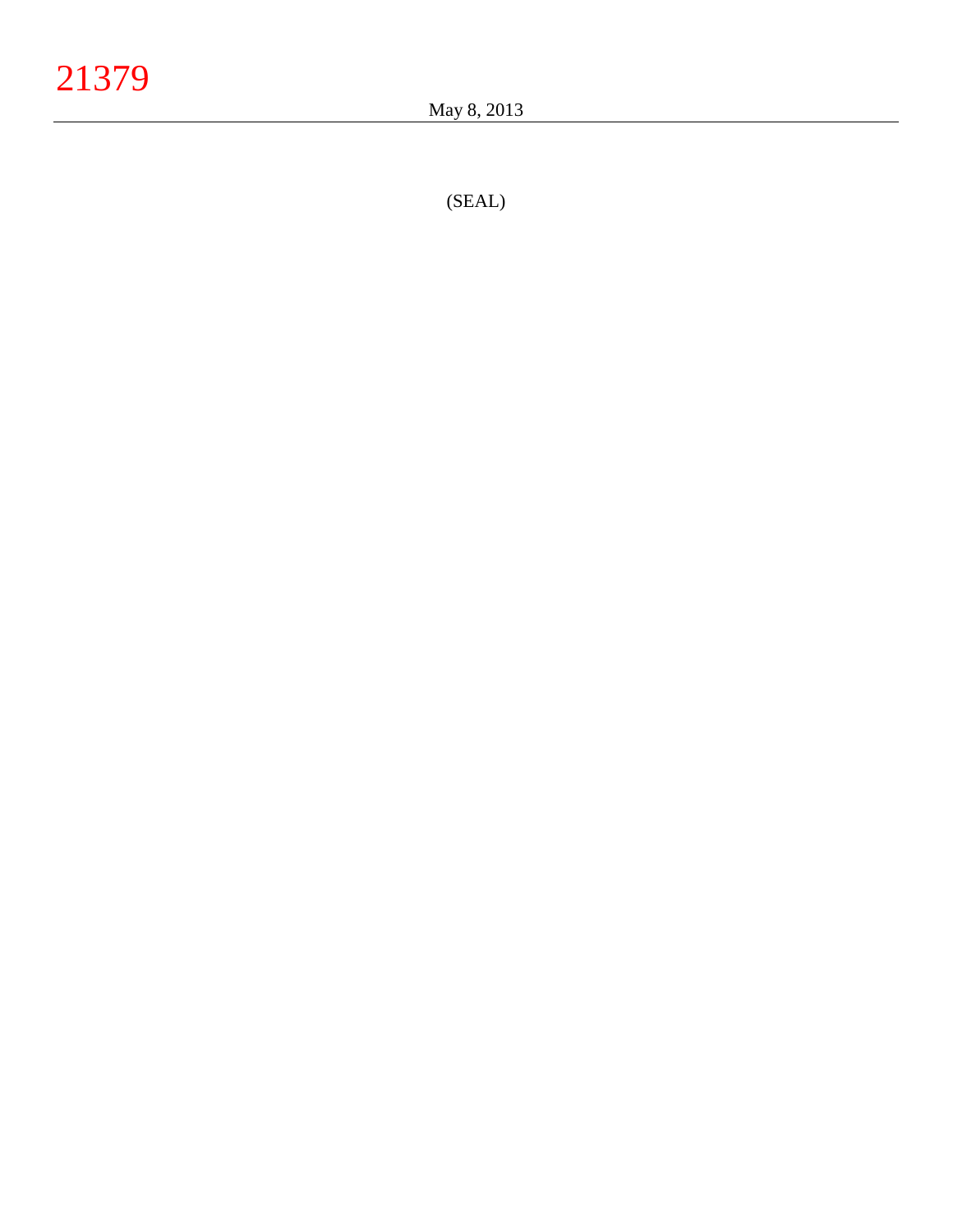(SEAL )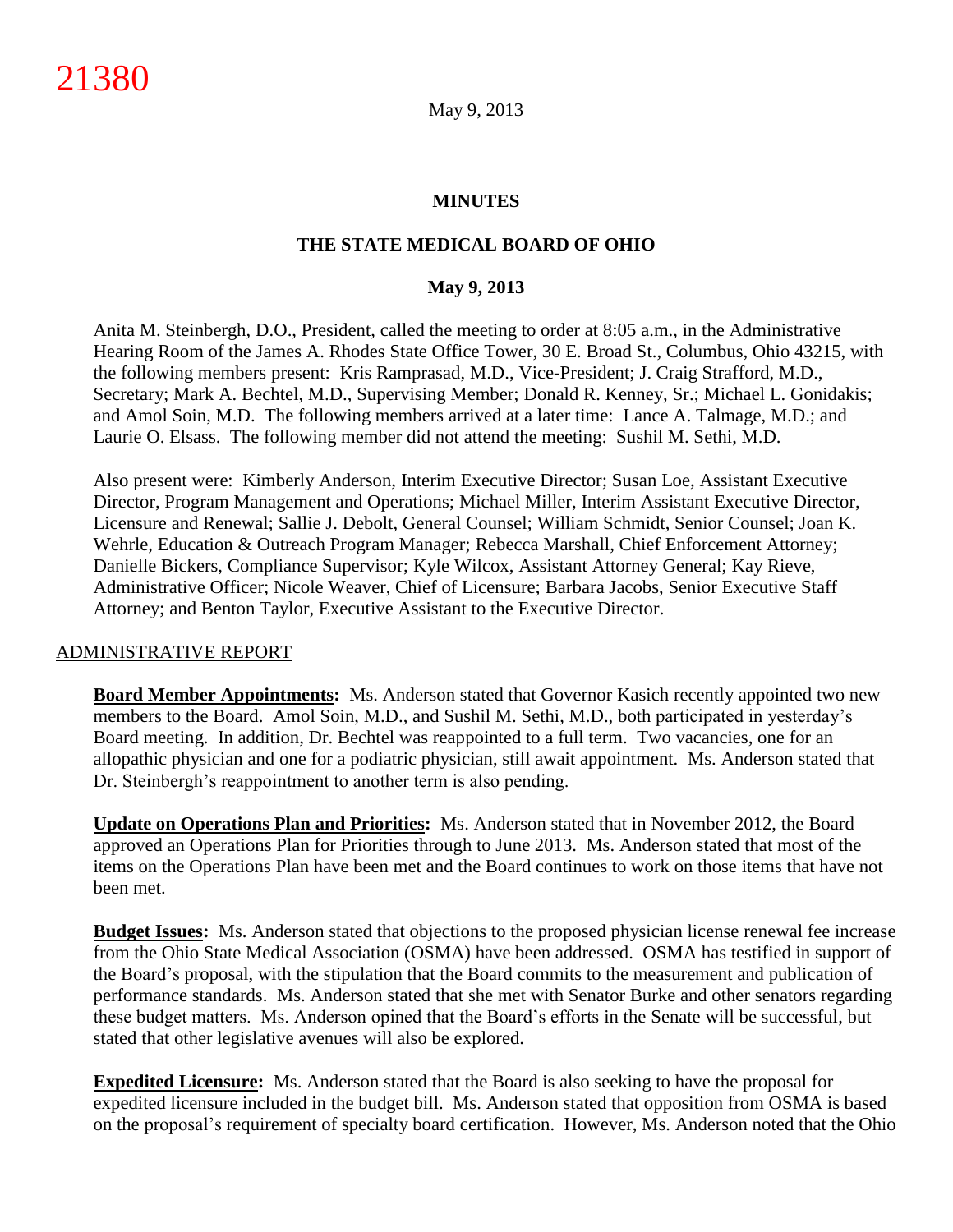## **MINUTES**

# **THE STATE MEDICAL BOARD OF OHIO**

## **May 9, 2013**

Anita M. Steinbergh, D.O., President, called the meeting to order at 8:05 a.m., in the Administrative Hearing Room of the James A. Rhodes State Office Tower, 30 E. Broad St., Columbus, Ohio 43215, with the following members present: Kris Ramprasad, M.D., Vice-President; J. Craig Strafford, M.D., Secretary; Mark A. Bechtel, M.D., Supervising Member; Donald R. Kenney, Sr.; Michael L. Gonidakis; and Amol Soin, M.D. The following members arrived at a later time: Lance A. Talmage, M.D.; and Laurie O. Elsass. The following member did not attend the meeting: Sushil M. Sethi, M.D.

Also present were: Kimberly Anderson, Interim Executive Director; Susan Loe, Assistant Executive Director, Program Management and Operations; Michael Miller, Interim Assistant Executive Director, Licensure and Renewal; Sallie J. Debolt, General Counsel; William Schmidt, Senior Counsel; Joan K. Wehrle, Education & Outreach Program Manager; Rebecca Marshall, Chief Enforcement Attorney; Danielle Bickers, Compliance Supervisor; Kyle Wilcox, Assistant Attorney General; Kay Rieve, Administrative Officer; Nicole Weaver, Chief of Licensure; Barbara Jacobs, Senior Executive Staff Attorney; and Benton Taylor, Executive Assistant to the Executive Director.

#### ADMINISTRATIVE REPORT

**Board Member Appointments:** Ms. Anderson stated that Governor Kasich recently appointed two new members to the Board. Amol Soin, M.D., and Sushil M. Sethi, M.D., both participated in yesterday's Board meeting. In addition, Dr. Bechtel was reappointed to a full term. Two vacancies, one for an allopathic physician and one for a podiatric physician, still await appointment. Ms. Anderson stated that Dr. Steinbergh's reappointment to another term is also pending.

**Update on Operations Plan and Priorities:** Ms. Anderson stated that in November 2012, the Board approved an Operations Plan for Priorities through to June 2013. Ms. Anderson stated that most of the items on the Operations Plan have been met and the Board continues to work on those items that have not been met.

**Budget Issues:** Ms. Anderson stated that objections to the proposed physician license renewal fee increase from the Ohio State Medical Association (OSMA) have been addressed. OSMA has testified in support of the Board's proposal, with the stipulation that the Board commits to the measurement and publication of performance standards. Ms. Anderson stated that she met with Senator Burke and other senators regarding these budget matters. Ms. Anderson opined that the Board's efforts in the Senate will be successful, but stated that other legislative avenues will also be explored.

**Expedited Licensure:** Ms. Anderson stated that the Board is also seeking to have the proposal for expedited licensure included in the budget bill. Ms. Anderson stated that opposition from OSMA is based on the proposal's requirement of specialty board certification. However, Ms. Anderson noted that the Ohio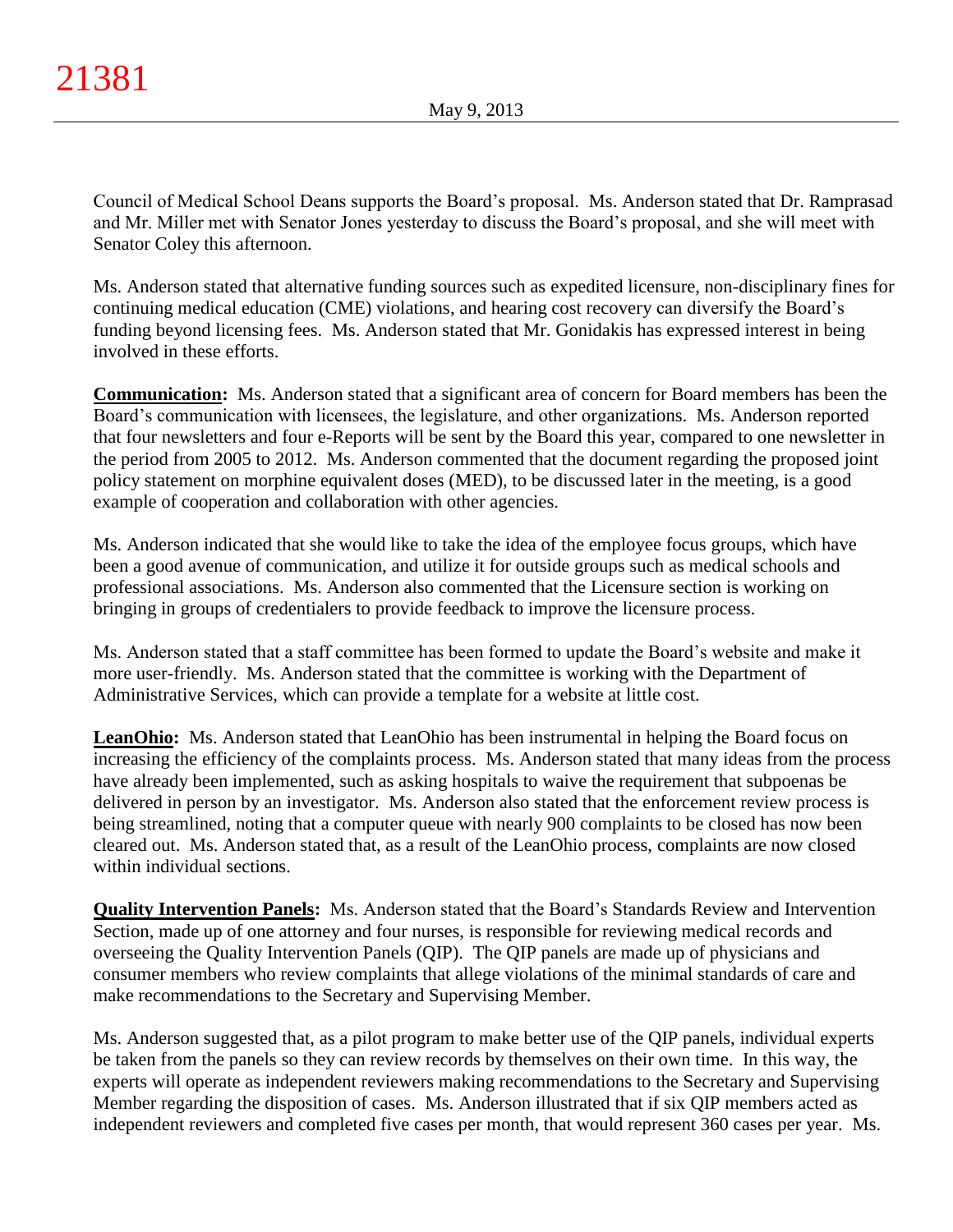Council of Medical School Deans supports the Board's proposal. Ms. Anderson stated that Dr. Ramprasad and Mr. Miller met with Senator Jones yesterday to discuss the Board's proposal, and she will meet with Senator Coley this afternoon.

Ms. Anderson stated that alternative funding sources such as expedited licensure, non-disciplinary fines for continuing medical education (CME) violations, and hearing cost recovery can diversify the Board's funding beyond licensing fees. Ms. Anderson stated that Mr. Gonidakis has expressed interest in being involved in these efforts.

**Communication:** Ms. Anderson stated that a significant area of concern for Board members has been the Board's communication with licensees, the legislature, and other organizations. Ms. Anderson reported that four newsletters and four e-Reports will be sent by the Board this year, compared to one newsletter in the period from 2005 to 2012. Ms. Anderson commented that the document regarding the proposed joint policy statement on morphine equivalent doses (MED), to be discussed later in the meeting, is a good example of cooperation and collaboration with other agencies.

Ms. Anderson indicated that she would like to take the idea of the employee focus groups, which have been a good avenue of communication, and utilize it for outside groups such as medical schools and professional associations. Ms. Anderson also commented that the Licensure section is working on bringing in groups of credentialers to provide feedback to improve the licensure process.

Ms. Anderson stated that a staff committee has been formed to update the Board's website and make it more user-friendly. Ms. Anderson stated that the committee is working with the Department of Administrative Services, which can provide a template for a website at little cost.

**LeanOhio:** Ms. Anderson stated that LeanOhio has been instrumental in helping the Board focus on increasing the efficiency of the complaints process. Ms. Anderson stated that many ideas from the process have already been implemented, such as asking hospitals to waive the requirement that subpoenas be delivered in person by an investigator. Ms. Anderson also stated that the enforcement review process is being streamlined, noting that a computer queue with nearly 900 complaints to be closed has now been cleared out. Ms. Anderson stated that, as a result of the LeanOhio process, complaints are now closed within individual sections.

**Quality Intervention Panels:** Ms. Anderson stated that the Board's Standards Review and Intervention Section, made up of one attorney and four nurses, is responsible for reviewing medical records and overseeing the Quality Intervention Panels (QIP). The QIP panels are made up of physicians and consumer members who review complaints that allege violations of the minimal standards of care and make recommendations to the Secretary and Supervising Member.

Ms. Anderson suggested that, as a pilot program to make better use of the QIP panels, individual experts be taken from the panels so they can review records by themselves on their own time. In this way, the experts will operate as independent reviewers making recommendations to the Secretary and Supervising Member regarding the disposition of cases. Ms. Anderson illustrated that if six QIP members acted as independent reviewers and completed five cases per month, that would represent 360 cases per year. Ms.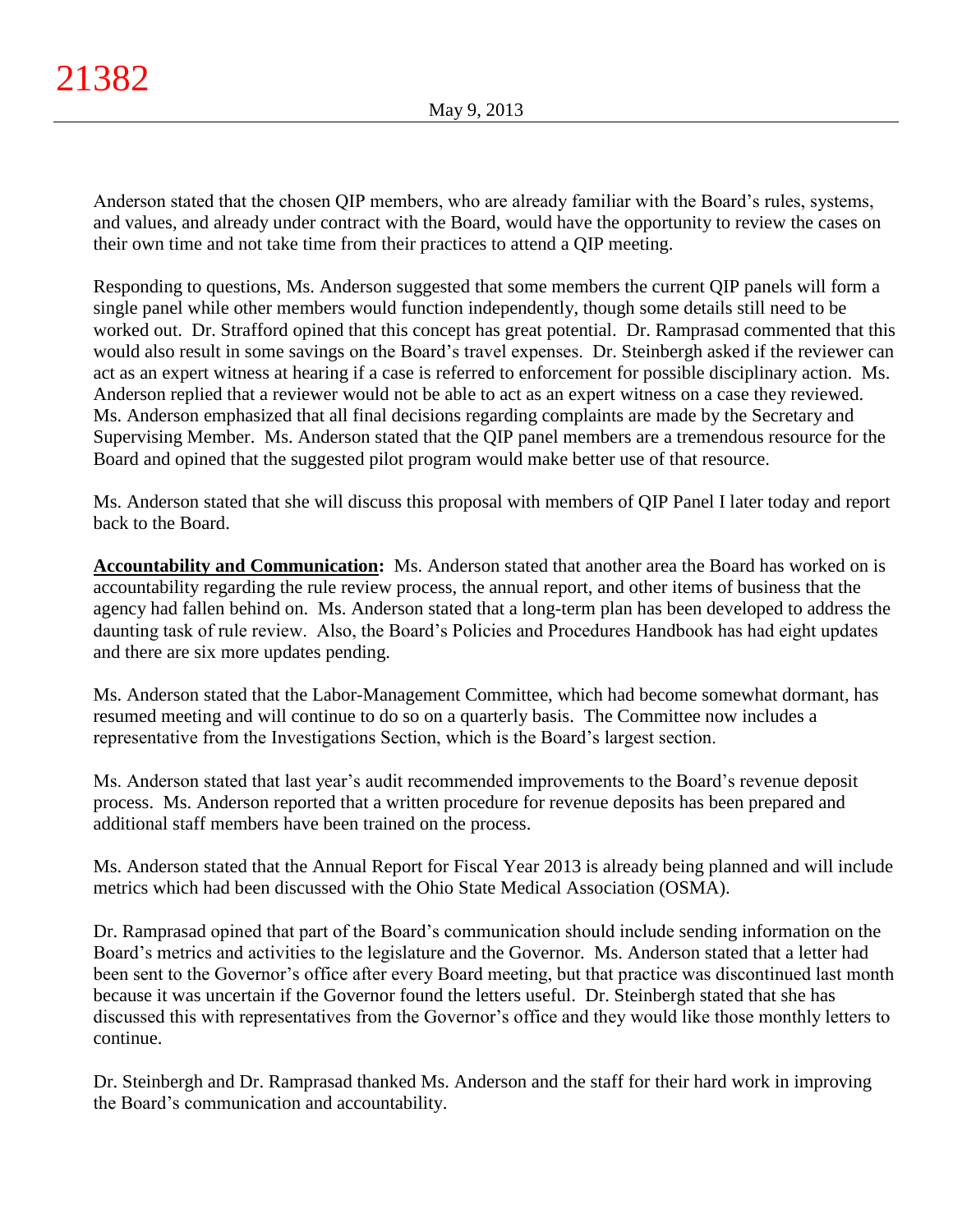Anderson stated that the chosen QIP members, who are already familiar with the Board's rules, systems, and values, and already under contract with the Board, would have the opportunity to review the cases on their own time and not take time from their practices to attend a QIP meeting.

Responding to questions, Ms. Anderson suggested that some members the current QIP panels will form a single panel while other members would function independently, though some details still need to be worked out. Dr. Strafford opined that this concept has great potential. Dr. Ramprasad commented that this would also result in some savings on the Board's travel expenses. Dr. Steinbergh asked if the reviewer can act as an expert witness at hearing if a case is referred to enforcement for possible disciplinary action. Ms. Anderson replied that a reviewer would not be able to act as an expert witness on a case they reviewed. Ms. Anderson emphasized that all final decisions regarding complaints are made by the Secretary and Supervising Member. Ms. Anderson stated that the QIP panel members are a tremendous resource for the Board and opined that the suggested pilot program would make better use of that resource.

Ms. Anderson stated that she will discuss this proposal with members of QIP Panel I later today and report back to the Board.

**Accountability and Communication:** Ms. Anderson stated that another area the Board has worked on is accountability regarding the rule review process, the annual report, and other items of business that the agency had fallen behind on. Ms. Anderson stated that a long-term plan has been developed to address the daunting task of rule review. Also, the Board's Policies and Procedures Handbook has had eight updates and there are six more updates pending.

Ms. Anderson stated that the Labor-Management Committee, which had become somewhat dormant, has resumed meeting and will continue to do so on a quarterly basis. The Committee now includes a representative from the Investigations Section, which is the Board's largest section.

Ms. Anderson stated that last year's audit recommended improvements to the Board's revenue deposit process. Ms. Anderson reported that a written procedure for revenue deposits has been prepared and additional staff members have been trained on the process.

Ms. Anderson stated that the Annual Report for Fiscal Year 2013 is already being planned and will include metrics which had been discussed with the Ohio State Medical Association (OSMA).

Dr. Ramprasad opined that part of the Board's communication should include sending information on the Board's metrics and activities to the legislature and the Governor. Ms. Anderson stated that a letter had been sent to the Governor's office after every Board meeting, but that practice was discontinued last month because it was uncertain if the Governor found the letters useful. Dr. Steinbergh stated that she has discussed this with representatives from the Governor's office and they would like those monthly letters to continue.

Dr. Steinbergh and Dr. Ramprasad thanked Ms. Anderson and the staff for their hard work in improving the Board's communication and accountability.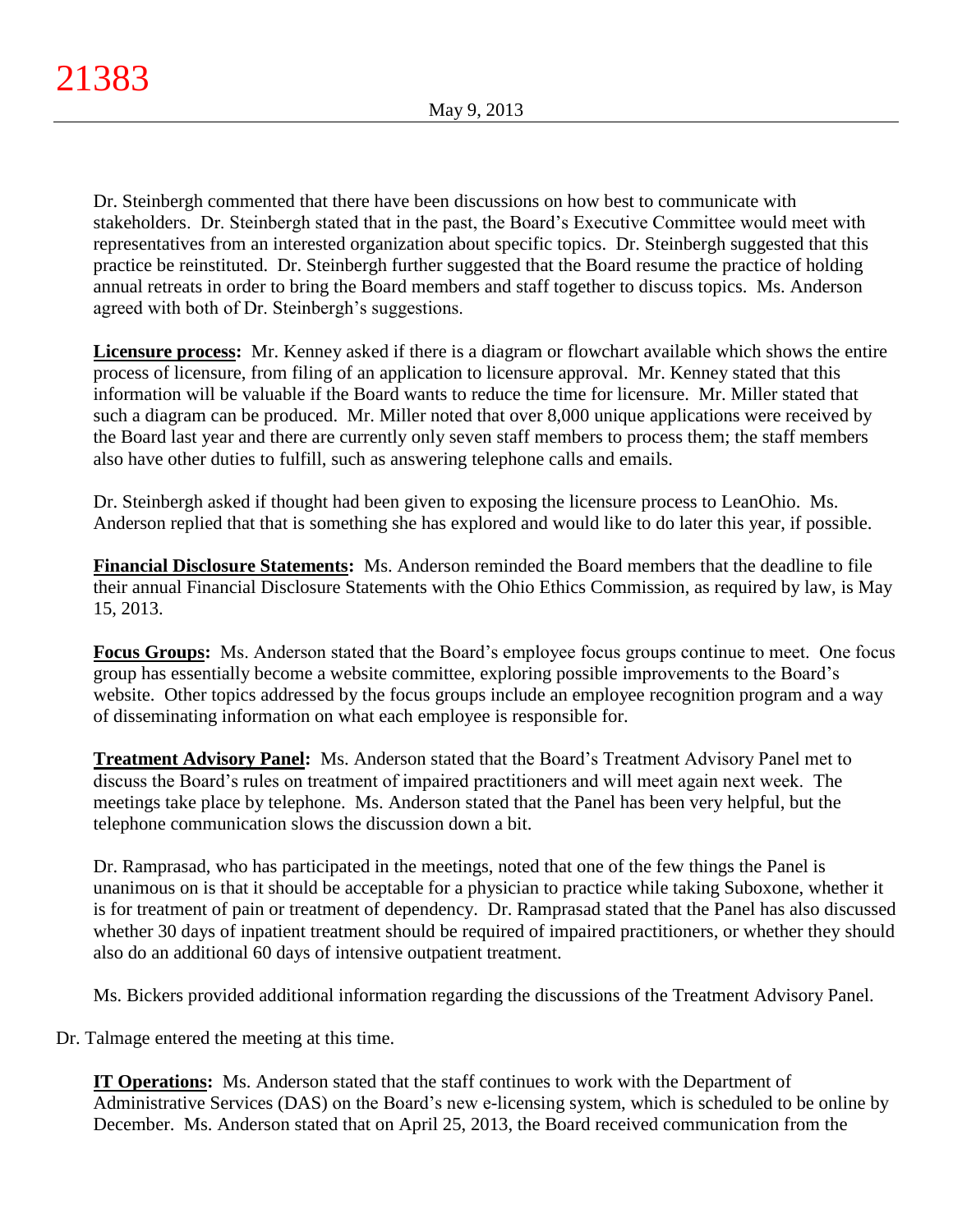Dr. Steinbergh commented that there have been discussions on how best to communicate with stakeholders. Dr. Steinbergh stated that in the past, the Board's Executive Committee would meet with representatives from an interested organization about specific topics. Dr. Steinbergh suggested that this practice be reinstituted. Dr. Steinbergh further suggested that the Board resume the practice of holding annual retreats in order to bring the Board members and staff together to discuss topics. Ms. Anderson agreed with both of Dr. Steinbergh's suggestions.

**Licensure process:** Mr. Kenney asked if there is a diagram or flowchart available which shows the entire process of licensure, from filing of an application to licensure approval. Mr. Kenney stated that this information will be valuable if the Board wants to reduce the time for licensure. Mr. Miller stated that such a diagram can be produced. Mr. Miller noted that over 8,000 unique applications were received by the Board last year and there are currently only seven staff members to process them; the staff members also have other duties to fulfill, such as answering telephone calls and emails.

Dr. Steinbergh asked if thought had been given to exposing the licensure process to LeanOhio. Ms. Anderson replied that that is something she has explored and would like to do later this year, if possible.

**Financial Disclosure Statements:** Ms. Anderson reminded the Board members that the deadline to file their annual Financial Disclosure Statements with the Ohio Ethics Commission, as required by law, is May 15, 2013.

**Focus Groups:** Ms. Anderson stated that the Board's employee focus groups continue to meet. One focus group has essentially become a website committee, exploring possible improvements to the Board's website. Other topics addressed by the focus groups include an employee recognition program and a way of disseminating information on what each employee is responsible for.

**Treatment Advisory Panel:** Ms. Anderson stated that the Board's Treatment Advisory Panel met to discuss the Board's rules on treatment of impaired practitioners and will meet again next week. The meetings take place by telephone. Ms. Anderson stated that the Panel has been very helpful, but the telephone communication slows the discussion down a bit.

Dr. Ramprasad, who has participated in the meetings, noted that one of the few things the Panel is unanimous on is that it should be acceptable for a physician to practice while taking Suboxone, whether it is for treatment of pain or treatment of dependency. Dr. Ramprasad stated that the Panel has also discussed whether 30 days of inpatient treatment should be required of impaired practitioners, or whether they should also do an additional 60 days of intensive outpatient treatment.

Ms. Bickers provided additional information regarding the discussions of the Treatment Advisory Panel.

Dr. Talmage entered the meeting at this time.

**IT Operations:** Ms. Anderson stated that the staff continues to work with the Department of Administrative Services (DAS) on the Board's new e-licensing system, which is scheduled to be online by December. Ms. Anderson stated that on April 25, 2013, the Board received communication from the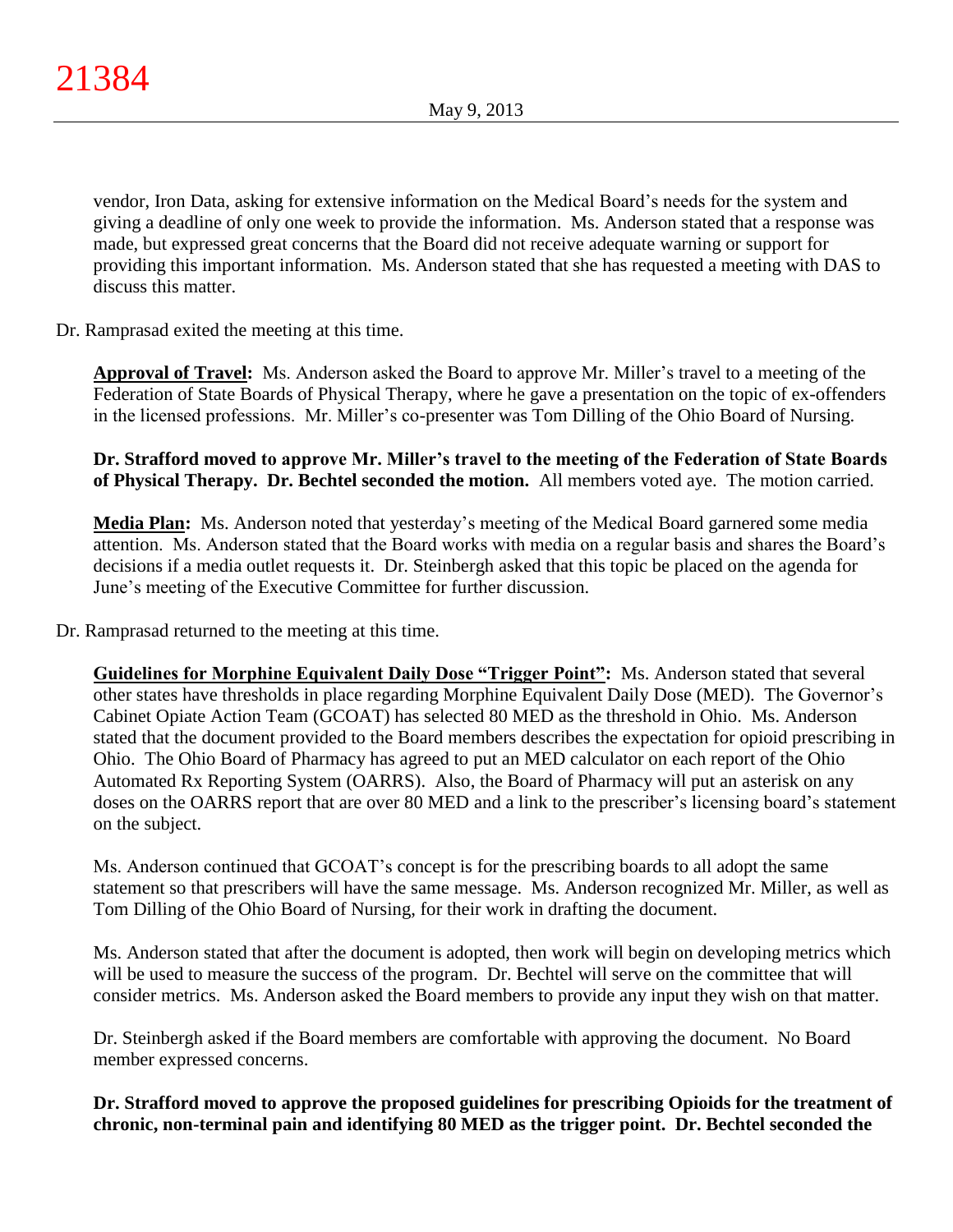vendor, Iron Data, asking for extensive information on the Medical Board's needs for the system and giving a deadline of only one week to provide the information. Ms. Anderson stated that a response was made, but expressed great concerns that the Board did not receive adequate warning or support for providing this important information. Ms. Anderson stated that she has requested a meeting with DAS to discuss this matter.

Dr. Ramprasad exited the meeting at this time.

**Approval of Travel:** Ms. Anderson asked the Board to approve Mr. Miller's travel to a meeting of the Federation of State Boards of Physical Therapy, where he gave a presentation on the topic of ex-offenders in the licensed professions. Mr. Miller's co-presenter was Tom Dilling of the Ohio Board of Nursing.

**Dr. Strafford moved to approve Mr. Miller's travel to the meeting of the Federation of State Boards of Physical Therapy. Dr. Bechtel seconded the motion.** All members voted aye. The motion carried.

**Media Plan:** Ms. Anderson noted that yesterday's meeting of the Medical Board garnered some media attention. Ms. Anderson stated that the Board works with media on a regular basis and shares the Board's decisions if a media outlet requests it. Dr. Steinbergh asked that this topic be placed on the agenda for June's meeting of the Executive Committee for further discussion.

Dr. Ramprasad returned to the meeting at this time.

**Guidelines for Morphine Equivalent Daily Dose "Trigger Point":** Ms. Anderson stated that several other states have thresholds in place regarding Morphine Equivalent Daily Dose (MED). The Governor's Cabinet Opiate Action Team (GCOAT) has selected 80 MED as the threshold in Ohio. Ms. Anderson stated that the document provided to the Board members describes the expectation for opioid prescribing in Ohio. The Ohio Board of Pharmacy has agreed to put an MED calculator on each report of the Ohio Automated Rx Reporting System (OARRS). Also, the Board of Pharmacy will put an asterisk on any doses on the OARRS report that are over 80 MED and a link to the prescriber's licensing board's statement on the subject.

Ms. Anderson continued that GCOAT's concept is for the prescribing boards to all adopt the same statement so that prescribers will have the same message. Ms. Anderson recognized Mr. Miller, as well as Tom Dilling of the Ohio Board of Nursing, for their work in drafting the document.

Ms. Anderson stated that after the document is adopted, then work will begin on developing metrics which will be used to measure the success of the program. Dr. Bechtel will serve on the committee that will consider metrics. Ms. Anderson asked the Board members to provide any input they wish on that matter.

Dr. Steinbergh asked if the Board members are comfortable with approving the document. No Board member expressed concerns.

**Dr. Strafford moved to approve the proposed guidelines for prescribing Opioids for the treatment of chronic, non-terminal pain and identifying 80 MED as the trigger point. Dr. Bechtel seconded the**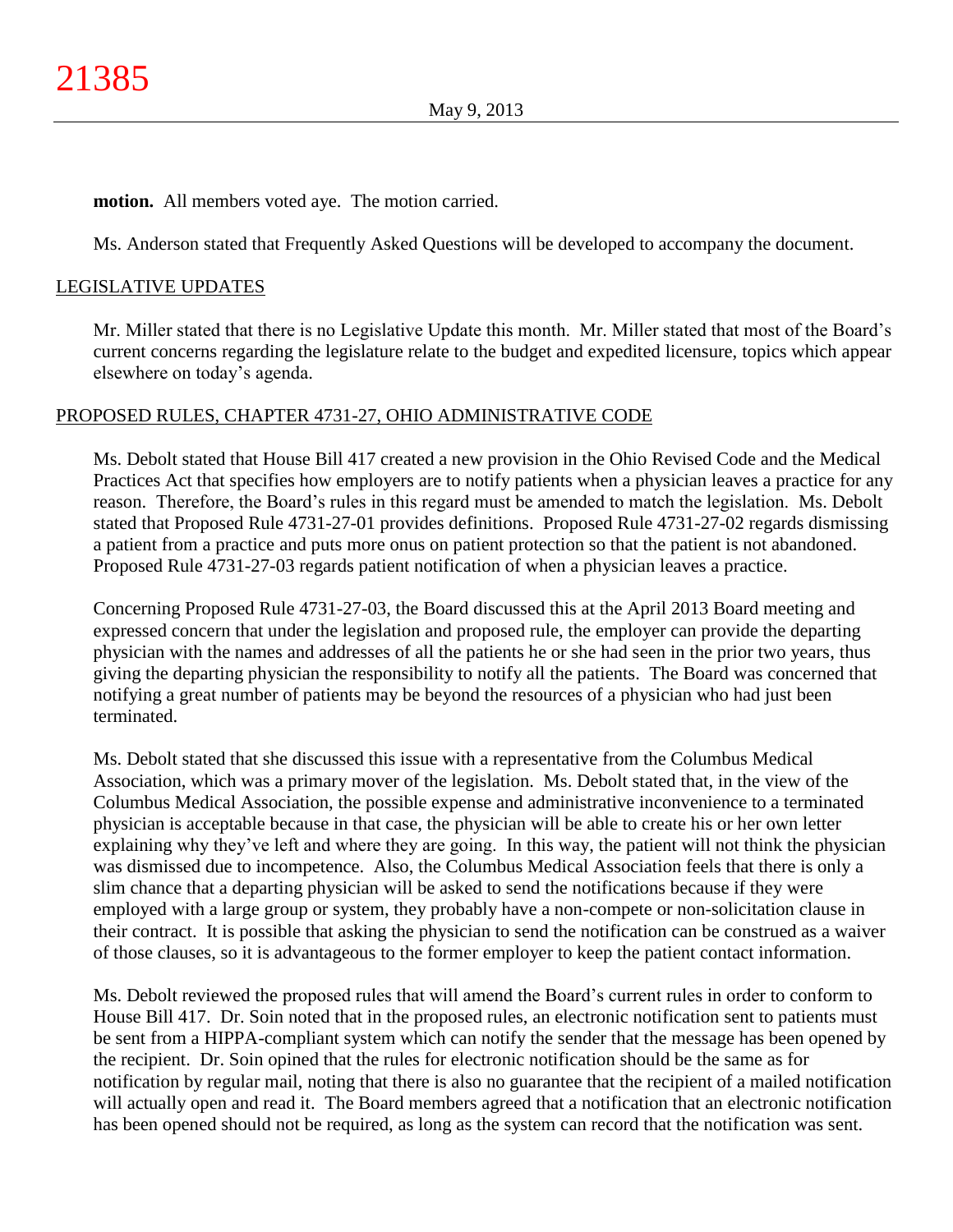## **motion.** All members voted aye. The motion carried.

Ms. Anderson stated that Frequently Asked Questions will be developed to accompany the document.

## LEGISLATIVE UPDATES

Mr. Miller stated that there is no Legislative Update this month. Mr. Miller stated that most of the Board's current concerns regarding the legislature relate to the budget and expedited licensure, topics which appear elsewhere on today's agenda.

### PROPOSED RULES, CHAPTER 4731-27, OHIO ADMINISTRATIVE CODE

Ms. Debolt stated that House Bill 417 created a new provision in the Ohio Revised Code and the Medical Practices Act that specifies how employers are to notify patients when a physician leaves a practice for any reason. Therefore, the Board's rules in this regard must be amended to match the legislation. Ms. Debolt stated that Proposed Rule 4731-27-01 provides definitions. Proposed Rule 4731-27-02 regards dismissing a patient from a practice and puts more onus on patient protection so that the patient is not abandoned. Proposed Rule 4731-27-03 regards patient notification of when a physician leaves a practice.

Concerning Proposed Rule 4731-27-03, the Board discussed this at the April 2013 Board meeting and expressed concern that under the legislation and proposed rule, the employer can provide the departing physician with the names and addresses of all the patients he or she had seen in the prior two years, thus giving the departing physician the responsibility to notify all the patients. The Board was concerned that notifying a great number of patients may be beyond the resources of a physician who had just been terminated.

Ms. Debolt stated that she discussed this issue with a representative from the Columbus Medical Association, which was a primary mover of the legislation. Ms. Debolt stated that, in the view of the Columbus Medical Association, the possible expense and administrative inconvenience to a terminated physician is acceptable because in that case, the physician will be able to create his or her own letter explaining why they've left and where they are going. In this way, the patient will not think the physician was dismissed due to incompetence. Also, the Columbus Medical Association feels that there is only a slim chance that a departing physician will be asked to send the notifications because if they were employed with a large group or system, they probably have a non-compete or non-solicitation clause in their contract. It is possible that asking the physician to send the notification can be construed as a waiver of those clauses, so it is advantageous to the former employer to keep the patient contact information.

Ms. Debolt reviewed the proposed rules that will amend the Board's current rules in order to conform to House Bill 417. Dr. Soin noted that in the proposed rules, an electronic notification sent to patients must be sent from a HIPPA-compliant system which can notify the sender that the message has been opened by the recipient. Dr. Soin opined that the rules for electronic notification should be the same as for notification by regular mail, noting that there is also no guarantee that the recipient of a mailed notification will actually open and read it. The Board members agreed that a notification that an electronic notification has been opened should not be required, as long as the system can record that the notification was sent.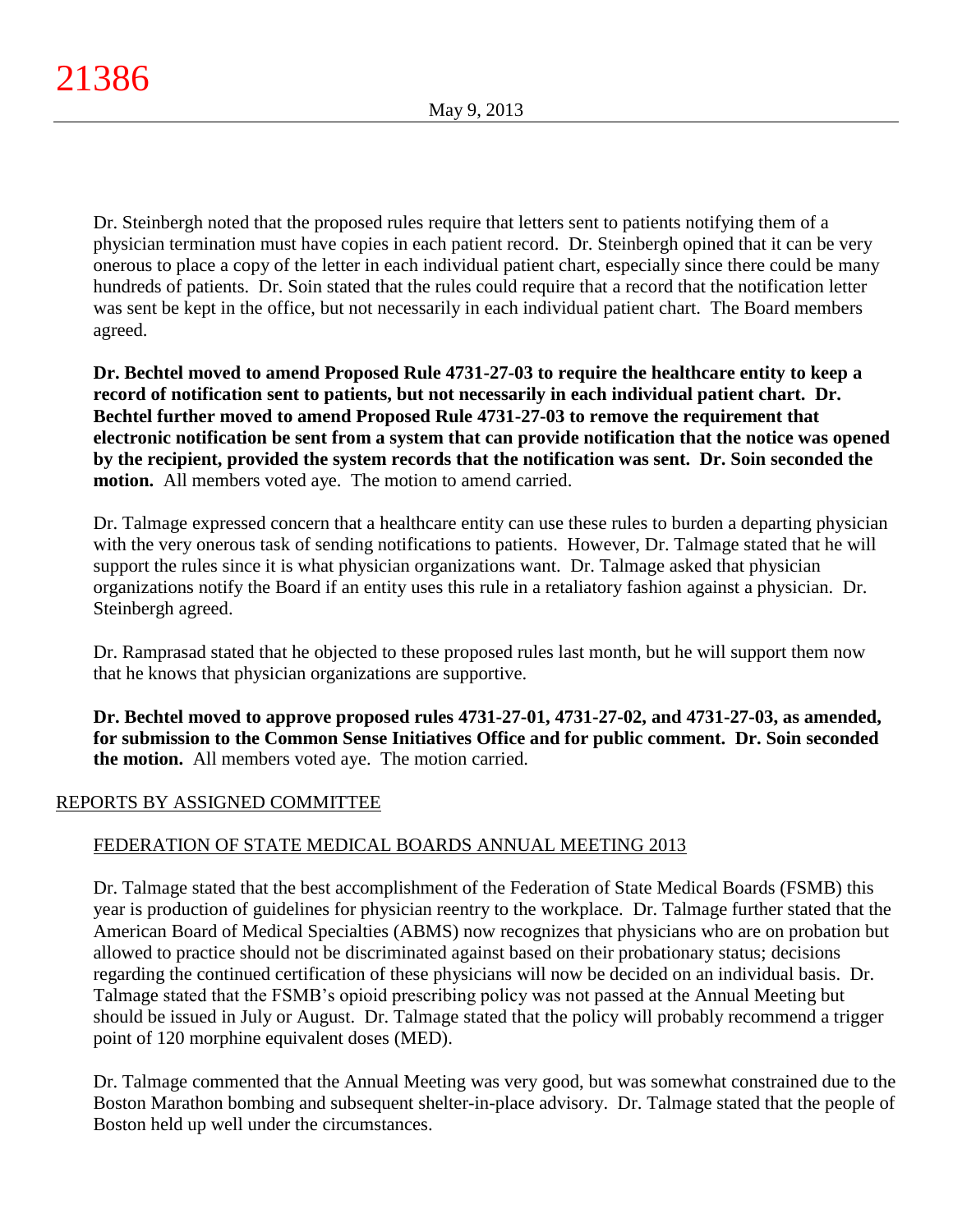Dr. Steinbergh noted that the proposed rules require that letters sent to patients notifying them of a physician termination must have copies in each patient record. Dr. Steinbergh opined that it can be very onerous to place a copy of the letter in each individual patient chart, especially since there could be many hundreds of patients. Dr. Soin stated that the rules could require that a record that the notification letter was sent be kept in the office, but not necessarily in each individual patient chart. The Board members agreed.

**Dr. Bechtel moved to amend Proposed Rule 4731-27-03 to require the healthcare entity to keep a record of notification sent to patients, but not necessarily in each individual patient chart. Dr. Bechtel further moved to amend Proposed Rule 4731-27-03 to remove the requirement that electronic notification be sent from a system that can provide notification that the notice was opened by the recipient, provided the system records that the notification was sent. Dr. Soin seconded the motion.** All members voted aye. The motion to amend carried.

Dr. Talmage expressed concern that a healthcare entity can use these rules to burden a departing physician with the very onerous task of sending notifications to patients. However, Dr. Talmage stated that he will support the rules since it is what physician organizations want. Dr. Talmage asked that physician organizations notify the Board if an entity uses this rule in a retaliatory fashion against a physician. Dr. Steinbergh agreed.

Dr. Ramprasad stated that he objected to these proposed rules last month, but he will support them now that he knows that physician organizations are supportive.

**Dr. Bechtel moved to approve proposed rules 4731-27-01, 4731-27-02, and 4731-27-03, as amended, for submission to the Common Sense Initiatives Office and for public comment. Dr. Soin seconded the motion.** All members voted aye. The motion carried.

# REPORTS BY ASSIGNED COMMITTEE

# FEDERATION OF STATE MEDICAL BOARDS ANNUAL MEETING 2013

Dr. Talmage stated that the best accomplishment of the Federation of State Medical Boards (FSMB) this year is production of guidelines for physician reentry to the workplace. Dr. Talmage further stated that the American Board of Medical Specialties (ABMS) now recognizes that physicians who are on probation but allowed to practice should not be discriminated against based on their probationary status; decisions regarding the continued certification of these physicians will now be decided on an individual basis. Dr. Talmage stated that the FSMB's opioid prescribing policy was not passed at the Annual Meeting but should be issued in July or August. Dr. Talmage stated that the policy will probably recommend a trigger point of 120 morphine equivalent doses (MED).

Dr. Talmage commented that the Annual Meeting was very good, but was somewhat constrained due to the Boston Marathon bombing and subsequent shelter-in-place advisory. Dr. Talmage stated that the people of Boston held up well under the circumstances.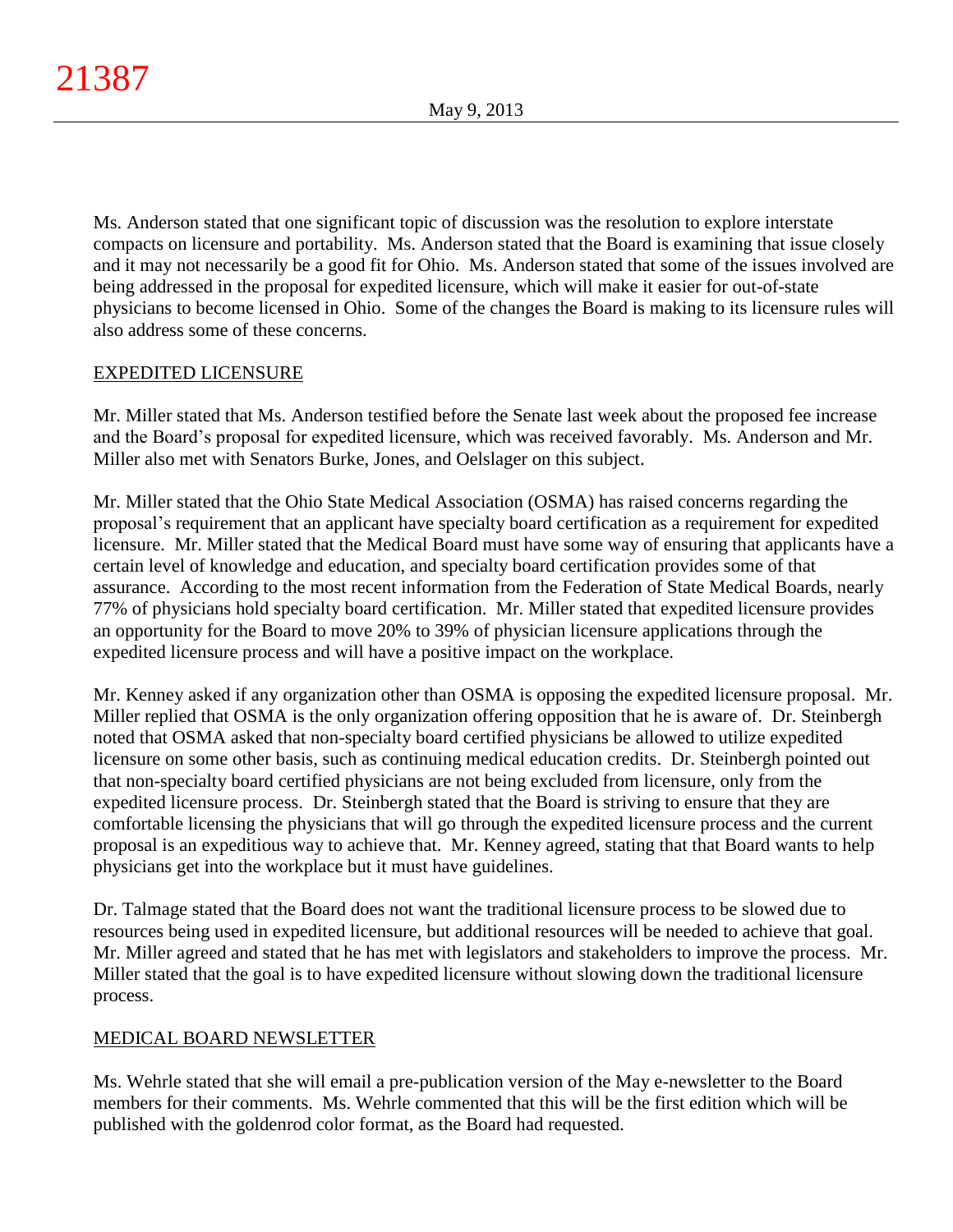Ms. Anderson stated that one significant topic of discussion was the resolution to explore interstate compacts on licensure and portability. Ms. Anderson stated that the Board is examining that issue closely and it may not necessarily be a good fit for Ohio. Ms. Anderson stated that some of the issues involved are being addressed in the proposal for expedited licensure, which will make it easier for out-of-state physicians to become licensed in Ohio. Some of the changes the Board is making to its licensure rules will also address some of these concerns.

# EXPEDITED LICENSURE

Mr. Miller stated that Ms. Anderson testified before the Senate last week about the proposed fee increase and the Board's proposal for expedited licensure, which was received favorably. Ms. Anderson and Mr. Miller also met with Senators Burke, Jones, and Oelslager on this subject.

Mr. Miller stated that the Ohio State Medical Association (OSMA) has raised concerns regarding the proposal's requirement that an applicant have specialty board certification as a requirement for expedited licensure. Mr. Miller stated that the Medical Board must have some way of ensuring that applicants have a certain level of knowledge and education, and specialty board certification provides some of that assurance. According to the most recent information from the Federation of State Medical Boards, nearly 77% of physicians hold specialty board certification. Mr. Miller stated that expedited licensure provides an opportunity for the Board to move 20% to 39% of physician licensure applications through the expedited licensure process and will have a positive impact on the workplace.

Mr. Kenney asked if any organization other than OSMA is opposing the expedited licensure proposal. Mr. Miller replied that OSMA is the only organization offering opposition that he is aware of. Dr. Steinbergh noted that OSMA asked that non-specialty board certified physicians be allowed to utilize expedited licensure on some other basis, such as continuing medical education credits. Dr. Steinbergh pointed out that non-specialty board certified physicians are not being excluded from licensure, only from the expedited licensure process. Dr. Steinbergh stated that the Board is striving to ensure that they are comfortable licensing the physicians that will go through the expedited licensure process and the current proposal is an expeditious way to achieve that. Mr. Kenney agreed, stating that that Board wants to help physicians get into the workplace but it must have guidelines.

Dr. Talmage stated that the Board does not want the traditional licensure process to be slowed due to resources being used in expedited licensure, but additional resources will be needed to achieve that goal. Mr. Miller agreed and stated that he has met with legislators and stakeholders to improve the process. Mr. Miller stated that the goal is to have expedited licensure without slowing down the traditional licensure process.

# MEDICAL BOARD NEWSLETTER

Ms. Wehrle stated that she will email a pre-publication version of the May e-newsletter to the Board members for their comments. Ms. Wehrle commented that this will be the first edition which will be published with the goldenrod color format, as the Board had requested.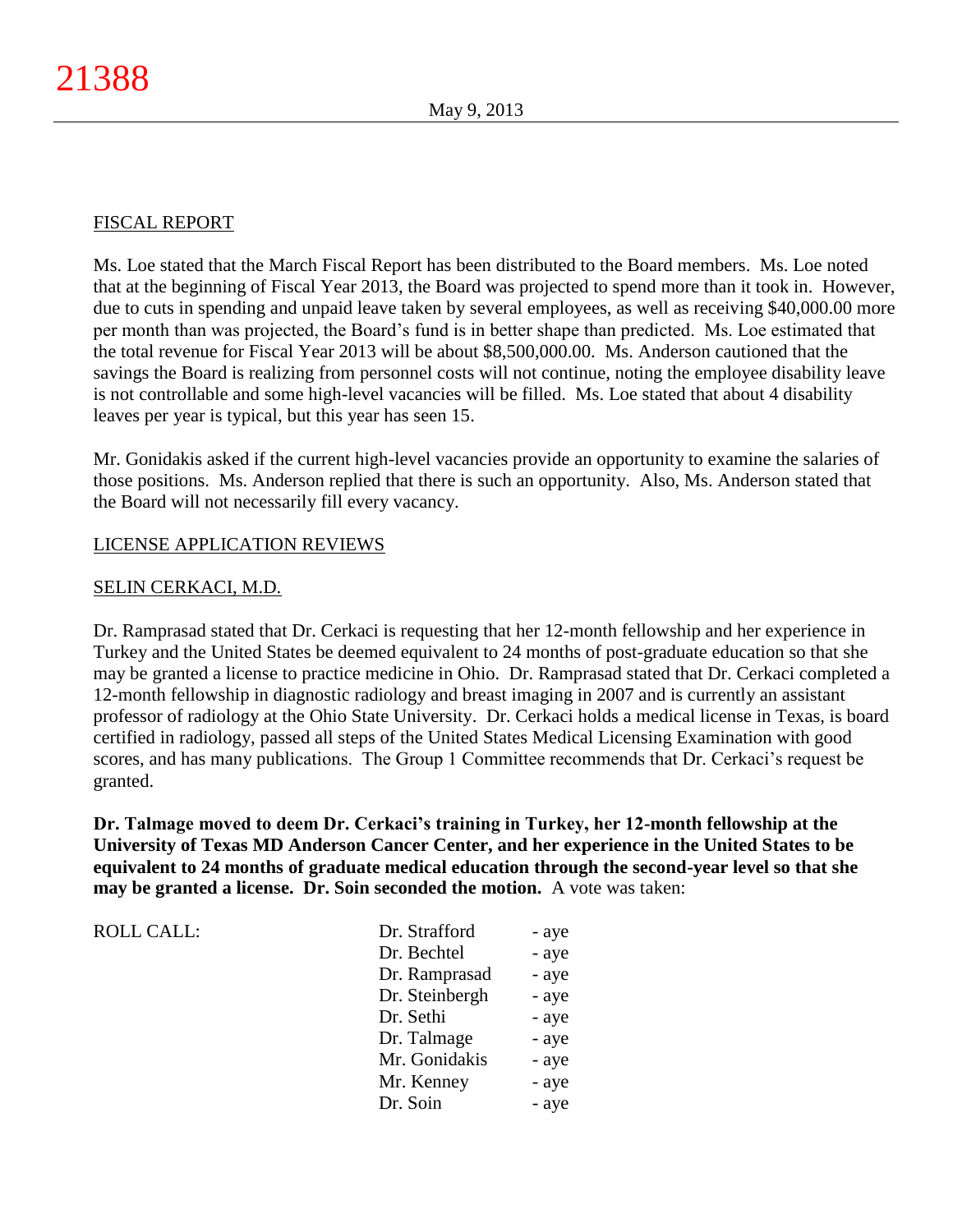# FISCAL REPORT

Ms. Loe stated that the March Fiscal Report has been distributed to the Board members. Ms. Loe noted that at the beginning of Fiscal Year 2013, the Board was projected to spend more than it took in. However, due to cuts in spending and unpaid leave taken by several employees, as well as receiving \$40,000.00 more per month than was projected, the Board's fund is in better shape than predicted. Ms. Loe estimated that the total revenue for Fiscal Year 2013 will be about \$8,500,000.00. Ms. Anderson cautioned that the savings the Board is realizing from personnel costs will not continue, noting the employee disability leave is not controllable and some high-level vacancies will be filled. Ms. Loe stated that about 4 disability leaves per year is typical, but this year has seen 15.

Mr. Gonidakis asked if the current high-level vacancies provide an opportunity to examine the salaries of those positions. Ms. Anderson replied that there is such an opportunity. Also, Ms. Anderson stated that the Board will not necessarily fill every vacancy.

# LICENSE APPLICATION REVIEWS

# SELIN CERKACI, M.D.

Dr. Ramprasad stated that Dr. Cerkaci is requesting that her 12-month fellowship and her experience in Turkey and the United States be deemed equivalent to 24 months of post-graduate education so that she may be granted a license to practice medicine in Ohio. Dr. Ramprasad stated that Dr. Cerkaci completed a 12-month fellowship in diagnostic radiology and breast imaging in 2007 and is currently an assistant professor of radiology at the Ohio State University. Dr. Cerkaci holds a medical license in Texas, is board certified in radiology, passed all steps of the United States Medical Licensing Examination with good scores, and has many publications. The Group 1 Committee recommends that Dr. Cerkaci's request be granted.

**Dr. Talmage moved to deem Dr. Cerkaci's training in Turkey, her 12-month fellowship at the University of Texas MD Anderson Cancer Center, and her experience in the United States to be equivalent to 24 months of graduate medical education through the second-year level so that she may be granted a license. Dr. Soin seconded the motion.** A vote was taken:

| <b>ROLL CALL:</b> | Dr. Strafford  | - aye |
|-------------------|----------------|-------|
|                   | Dr. Bechtel    | - aye |
|                   | Dr. Ramprasad  | - aye |
|                   | Dr. Steinbergh | - aye |
|                   | Dr. Sethi      | - aye |
|                   | Dr. Talmage    | - aye |
|                   | Mr. Gonidakis  | - aye |
|                   | Mr. Kenney     | - aye |
|                   | Dr. Soin       | - aye |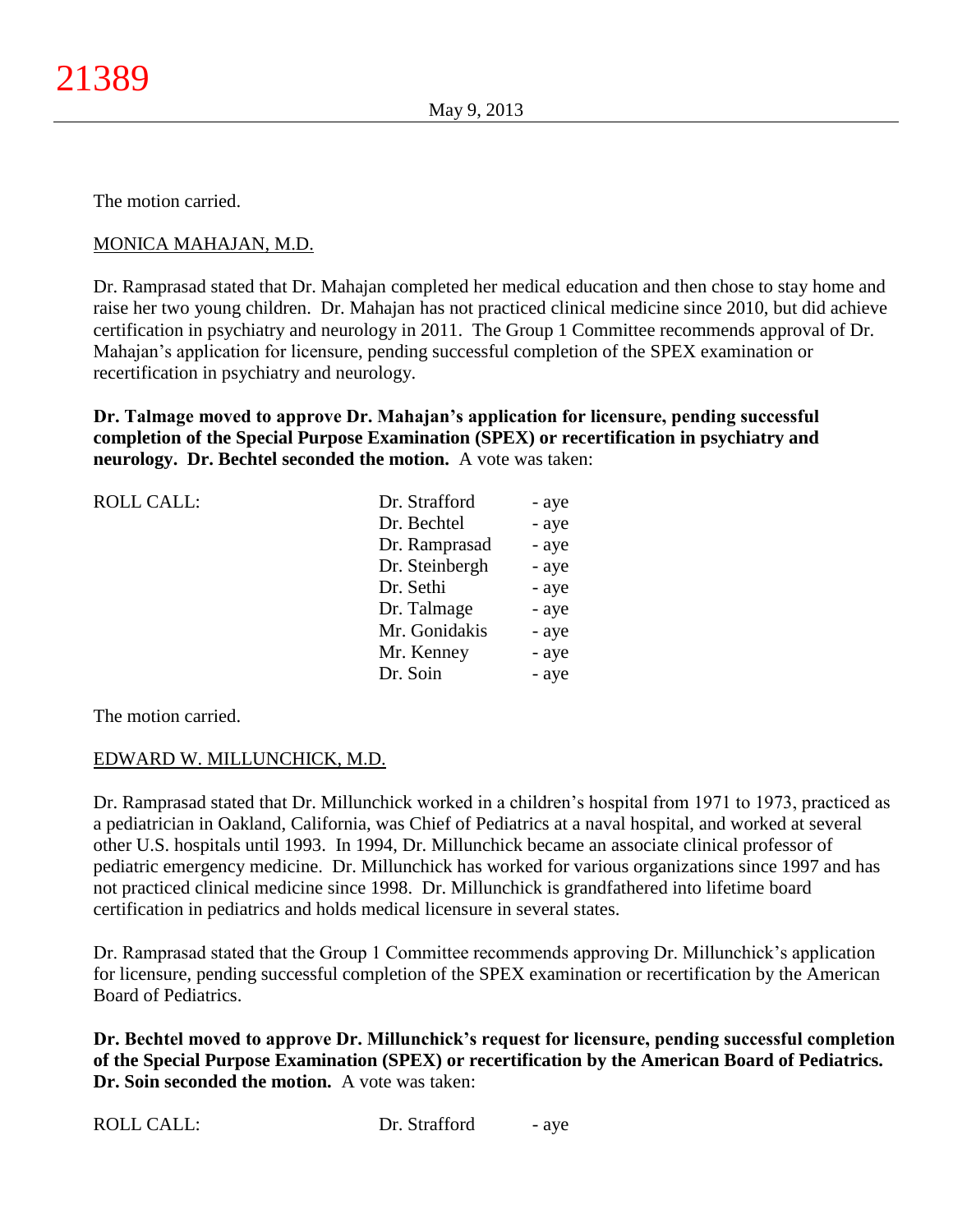The motion carried.

# MONICA MAHAJAN, M.D.

Dr. Ramprasad stated that Dr. Mahajan completed her medical education and then chose to stay home and raise her two young children. Dr. Mahajan has not practiced clinical medicine since 2010, but did achieve certification in psychiatry and neurology in 2011. The Group 1 Committee recommends approval of Dr. Mahajan's application for licensure, pending successful completion of the SPEX examination or recertification in psychiatry and neurology.

**Dr. Talmage moved to approve Dr. Mahajan's application for licensure, pending successful completion of the Special Purpose Examination (SPEX) or recertification in psychiatry and neurology. Dr. Bechtel seconded the motion.** A vote was taken:

| <b>ROLL CALL:</b> | Dr. Strafford  | - aye |
|-------------------|----------------|-------|
|                   | Dr. Bechtel    | - aye |
|                   | Dr. Ramprasad  | - aye |
|                   | Dr. Steinbergh | - aye |
|                   | Dr. Sethi      | - aye |
|                   | Dr. Talmage    | - aye |
|                   | Mr. Gonidakis  | - aye |
|                   | Mr. Kenney     | - aye |
|                   | Dr. Soin       | - aye |

The motion carried.

# EDWARD W. MILLUNCHICK, M.D.

Dr. Ramprasad stated that Dr. Millunchick worked in a children's hospital from 1971 to 1973, practiced as a pediatrician in Oakland, California, was Chief of Pediatrics at a naval hospital, and worked at several other U.S. hospitals until 1993. In 1994, Dr. Millunchick became an associate clinical professor of pediatric emergency medicine. Dr. Millunchick has worked for various organizations since 1997 and has not practiced clinical medicine since 1998. Dr. Millunchick is grandfathered into lifetime board certification in pediatrics and holds medical licensure in several states.

Dr. Ramprasad stated that the Group 1 Committee recommends approving Dr. Millunchick's application for licensure, pending successful completion of the SPEX examination or recertification by the American Board of Pediatrics.

**Dr. Bechtel moved to approve Dr. Millunchick's request for licensure, pending successful completion of the Special Purpose Examination (SPEX) or recertification by the American Board of Pediatrics. Dr. Soin seconded the motion.** A vote was taken:

| <b>ROLL CALL:</b> |  |
|-------------------|--|
|-------------------|--|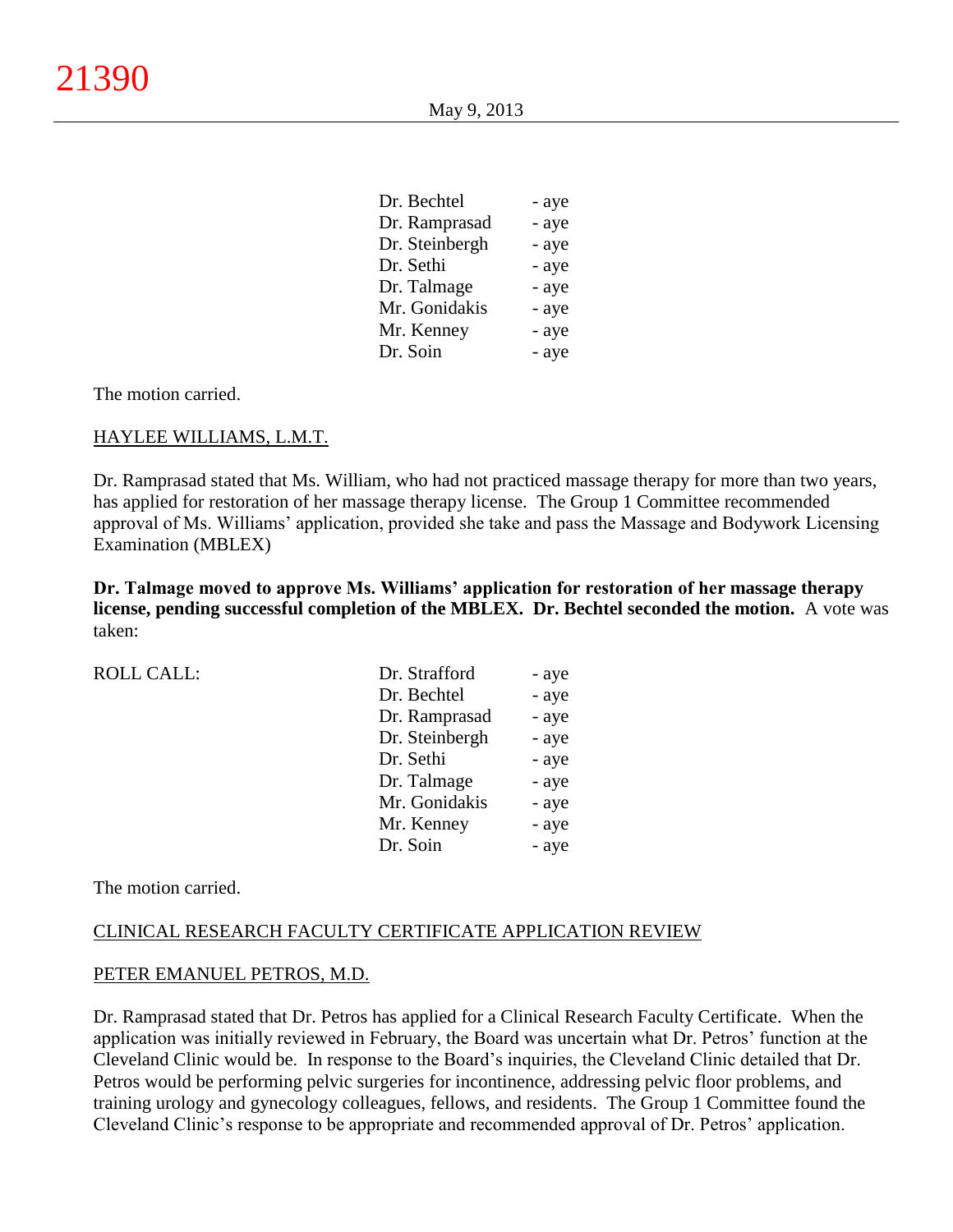| Dr. Bechtel    | - aye |
|----------------|-------|
| Dr. Ramprasad  | - aye |
| Dr. Steinbergh | - aye |
| Dr. Sethi      | - aye |
| Dr. Talmage    | - aye |
| Mr. Gonidakis  | - aye |
| Mr. Kenney     | - aye |
| Dr. Soin       | - aye |
|                |       |

The motion carried.

## HAYLEE WILLIAMS, L.M.T.

Dr. Ramprasad stated that Ms. William, who had not practiced massage therapy for more than two years, has applied for restoration of her massage therapy license. The Group 1 Committee recommended approval of Ms. Williams' application, provided she take and pass the Massage and Bodywork Licensing Examination (MBLEX)

**Dr. Talmage moved to approve Ms. Williams' application for restoration of her massage therapy license, pending successful completion of the MBLEX. Dr. Bechtel seconded the motion.** A vote was taken:

| <b>ROLL CALL:</b> |  |  |
|-------------------|--|--|

| <b>ROLL CALL:</b> | Dr. Strafford  | - aye |
|-------------------|----------------|-------|
|                   |                |       |
|                   | Dr. Bechtel    | - aye |
|                   | Dr. Ramprasad  | - aye |
|                   | Dr. Steinbergh | - aye |
|                   | Dr. Sethi      | - aye |
|                   | Dr. Talmage    | - aye |
|                   | Mr. Gonidakis  | - aye |
|                   | Mr. Kenney     | - aye |
|                   | Dr. Soin       | - aye |
|                   |                |       |

The motion carried.

#### CLINICAL RESEARCH FACULTY CERTIFICATE APPLICATION REVIEW

#### PETER EMANUEL PETROS, M.D.

Dr. Ramprasad stated that Dr. Petros has applied for a Clinical Research Faculty Certificate. When the application was initially reviewed in February, the Board was uncertain what Dr. Petros' function at the Cleveland Clinic would be. In response to the Board's inquiries, the Cleveland Clinic detailed that Dr. Petros would be performing pelvic surgeries for incontinence, addressing pelvic floor problems, and training urology and gynecology colleagues, fellows, and residents. The Group 1 Committee found the Cleveland Clinic's response to be appropriate and recommended approval of Dr. Petros' application.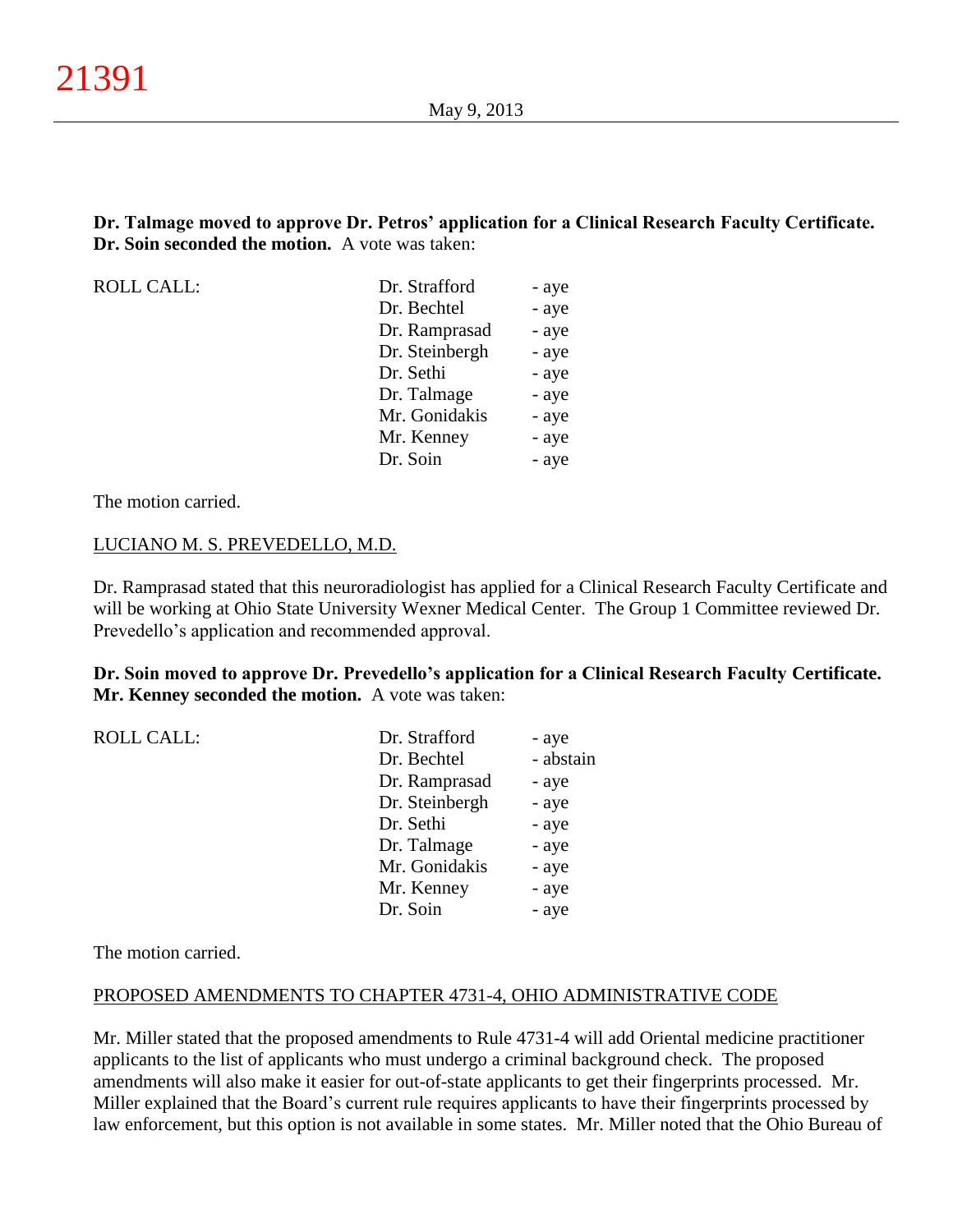**Dr. Talmage moved to approve Dr. Petros' application for a Clinical Research Faculty Certificate. Dr. Soin seconded the motion.** A vote was taken:

 $ROLL CALL$ :

| Dr. Strafford  | - aye |
|----------------|-------|
| Dr. Bechtel    | - aye |
| Dr. Ramprasad  | - aye |
| Dr. Steinbergh | - aye |
| Dr. Sethi      | - aye |
| Dr. Talmage    | - aye |
| Mr. Gonidakis  | - aye |
| Mr. Kenney     | - aye |
| Dr. Soin       | - aye |

The motion carried.

#### LUCIANO M. S. PREVEDELLO, M.D.

Dr. Ramprasad stated that this neuroradiologist has applied for a Clinical Research Faculty Certificate and will be working at Ohio State University Wexner Medical Center. The Group 1 Committee reviewed Dr. Prevedello's application and recommended approval.

**Dr. Soin moved to approve Dr. Prevedello's application for a Clinical Research Faculty Certificate. Mr. Kenney seconded the motion.** A vote was taken:

| Dr. Strafford  | - aye     |
|----------------|-----------|
| Dr. Bechtel    | - abstain |
| Dr. Ramprasad  | - aye     |
| Dr. Steinbergh | - aye     |
| Dr. Sethi      | - aye     |
| Dr. Talmage    | - aye     |
| Mr. Gonidakis  | - aye     |
| Mr. Kenney     | - aye     |
| Dr. Soin       | - aye     |
|                |           |

The motion carried.

## PROPOSED AMENDMENTS TO CHAPTER 4731-4, OHIO ADMINISTRATIVE CODE

Mr. Miller stated that the proposed amendments to Rule 4731-4 will add Oriental medicine practitioner applicants to the list of applicants who must undergo a criminal background check. The proposed amendments will also make it easier for out-of-state applicants to get their fingerprints processed. Mr. Miller explained that the Board's current rule requires applicants to have their fingerprints processed by law enforcement, but this option is not available in some states. Mr. Miller noted that the Ohio Bureau of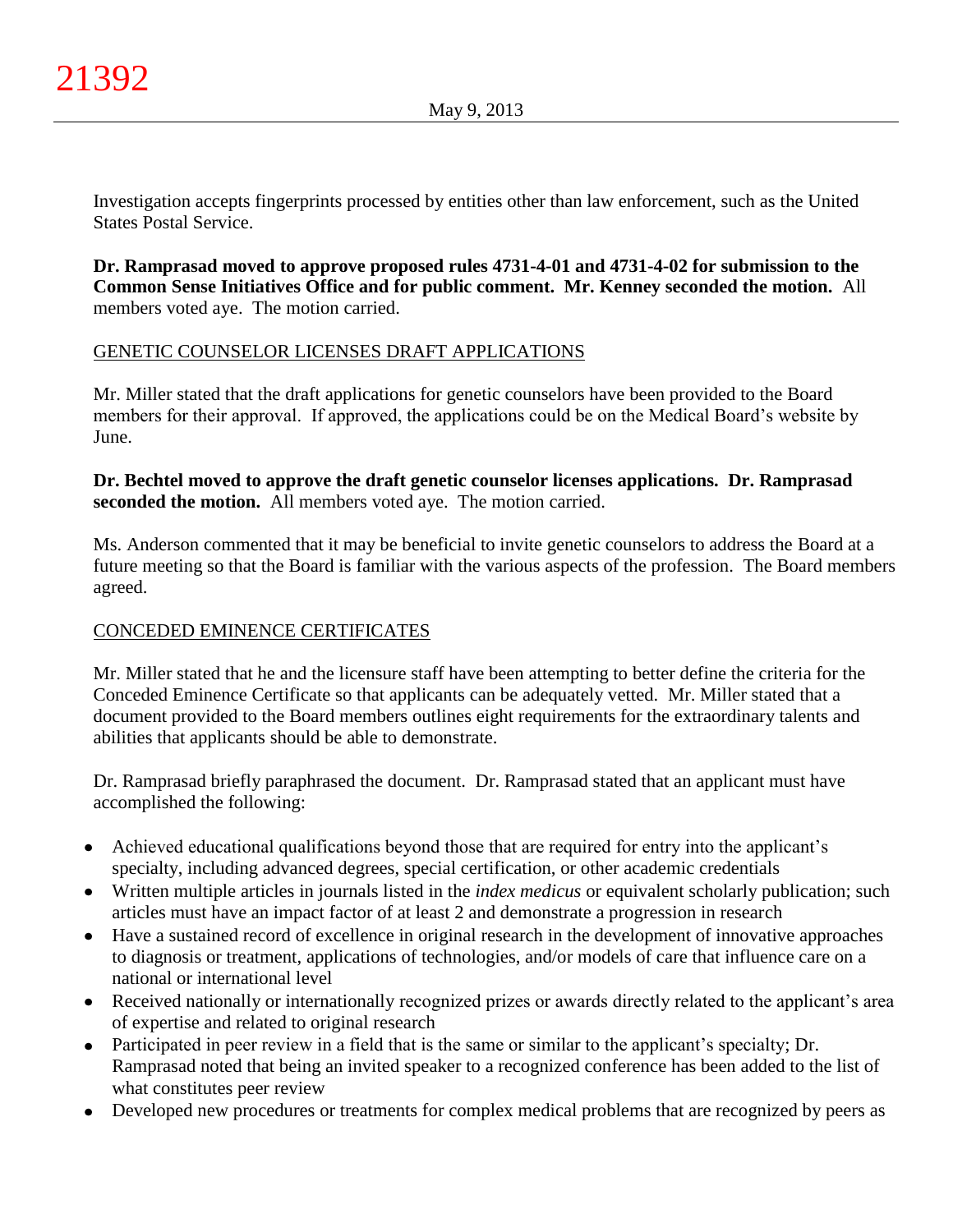Investigation accepts fingerprints processed by entities other than law enforcement, such as the United States Postal Service.

**Dr. Ramprasad moved to approve proposed rules 4731-4-01 and 4731-4-02 for submission to the Common Sense Initiatives Office and for public comment. Mr. Kenney seconded the motion.** All members voted aye. The motion carried.

# GENETIC COUNSELOR LICENSES DRAFT APPLICATIONS

Mr. Miller stated that the draft applications for genetic counselors have been provided to the Board members for their approval. If approved, the applications could be on the Medical Board's website by June.

# **Dr. Bechtel moved to approve the draft genetic counselor licenses applications. Dr. Ramprasad seconded the motion.** All members voted aye. The motion carried.

Ms. Anderson commented that it may be beneficial to invite genetic counselors to address the Board at a future meeting so that the Board is familiar with the various aspects of the profession. The Board members agreed.

# CONCEDED EMINENCE CERTIFICATES

Mr. Miller stated that he and the licensure staff have been attempting to better define the criteria for the Conceded Eminence Certificate so that applicants can be adequately vetted. Mr. Miller stated that a document provided to the Board members outlines eight requirements for the extraordinary talents and abilities that applicants should be able to demonstrate.

Dr. Ramprasad briefly paraphrased the document. Dr. Ramprasad stated that an applicant must have accomplished the following:

- Achieved educational qualifications beyond those that are required for entry into the applicant's specialty, including advanced degrees, special certification, or other academic credentials
- Written multiple articles in journals listed in the *index medicus* or equivalent scholarly publication; such articles must have an impact factor of at least 2 and demonstrate a progression in research
- Have a sustained record of excellence in original research in the development of innovative approaches  $\bullet$ to diagnosis or treatment, applications of technologies, and/or models of care that influence care on a national or international level
- Received nationally or internationally recognized prizes or awards directly related to the applicant's area of expertise and related to original research
- Participated in peer review in a field that is the same or similar to the applicant's specialty; Dr. Ramprasad noted that being an invited speaker to a recognized conference has been added to the list of what constitutes peer review
- Developed new procedures or treatments for complex medical problems that are recognized by peers as  $\bullet$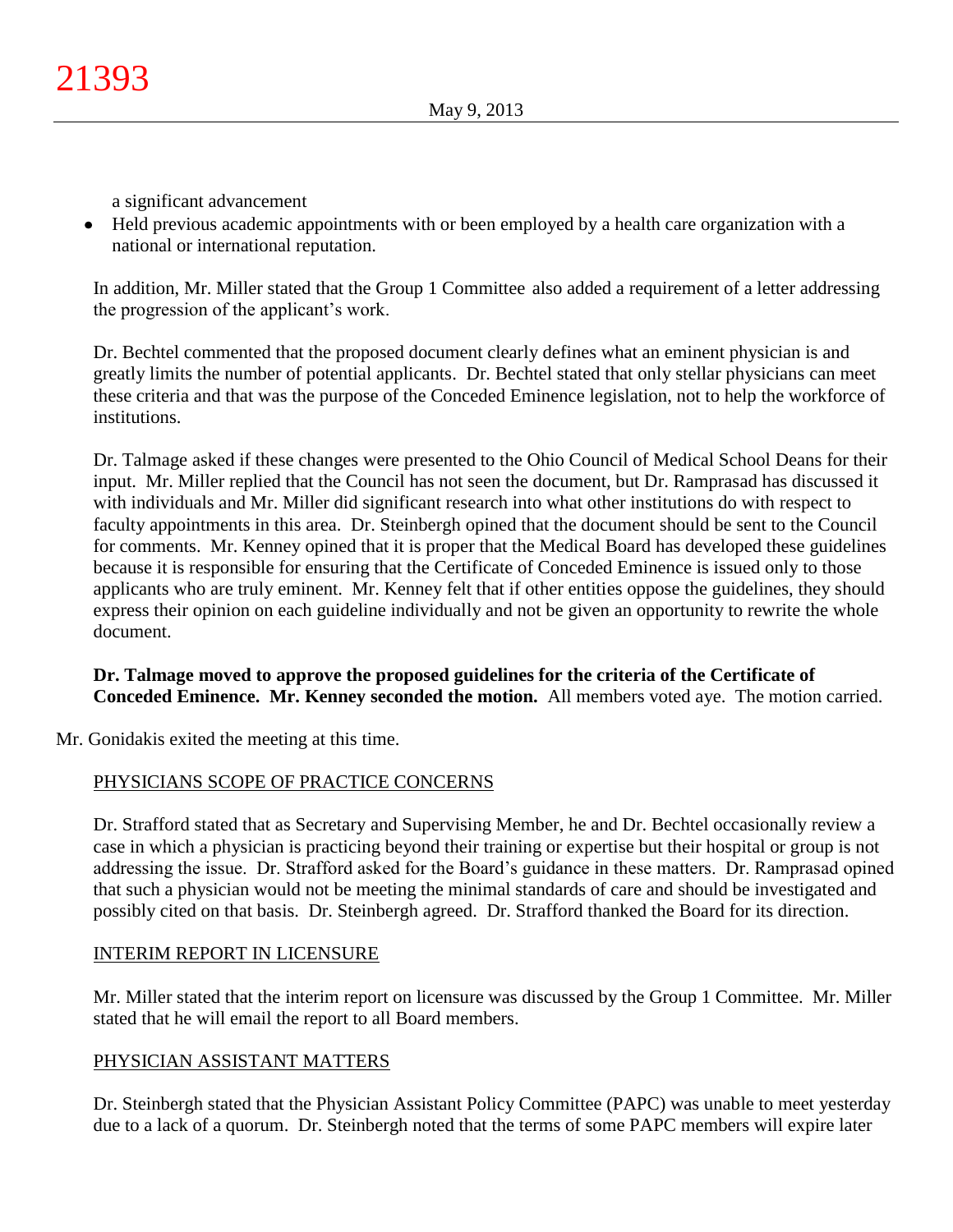a significant advancement

Held previous academic appointments with or been employed by a health care organization with a national or international reputation.

In addition, Mr. Miller stated that the Group 1 Committee also added a requirement of a letter addressing the progression of the applicant's work.

Dr. Bechtel commented that the proposed document clearly defines what an eminent physician is and greatly limits the number of potential applicants. Dr. Bechtel stated that only stellar physicians can meet these criteria and that was the purpose of the Conceded Eminence legislation, not to help the workforce of institutions.

Dr. Talmage asked if these changes were presented to the Ohio Council of Medical School Deans for their input. Mr. Miller replied that the Council has not seen the document, but Dr. Ramprasad has discussed it with individuals and Mr. Miller did significant research into what other institutions do with respect to faculty appointments in this area. Dr. Steinbergh opined that the document should be sent to the Council for comments. Mr. Kenney opined that it is proper that the Medical Board has developed these guidelines because it is responsible for ensuring that the Certificate of Conceded Eminence is issued only to those applicants who are truly eminent. Mr. Kenney felt that if other entities oppose the guidelines, they should express their opinion on each guideline individually and not be given an opportunity to rewrite the whole document.

# **Dr. Talmage moved to approve the proposed guidelines for the criteria of the Certificate of Conceded Eminence. Mr. Kenney seconded the motion.** All members voted aye. The motion carried.

Mr. Gonidakis exited the meeting at this time.

# PHYSICIANS SCOPE OF PRACTICE CONCERNS

Dr. Strafford stated that as Secretary and Supervising Member, he and Dr. Bechtel occasionally review a case in which a physician is practicing beyond their training or expertise but their hospital or group is not addressing the issue. Dr. Strafford asked for the Board's guidance in these matters. Dr. Ramprasad opined that such a physician would not be meeting the minimal standards of care and should be investigated and possibly cited on that basis. Dr. Steinbergh agreed. Dr. Strafford thanked the Board for its direction.

# INTERIM REPORT IN LICENSURE

Mr. Miller stated that the interim report on licensure was discussed by the Group 1 Committee. Mr. Miller stated that he will email the report to all Board members.

# PHYSICIAN ASSISTANT MATTERS

Dr. Steinbergh stated that the Physician Assistant Policy Committee (PAPC) was unable to meet yesterday due to a lack of a quorum. Dr. Steinbergh noted that the terms of some PAPC members will expire later